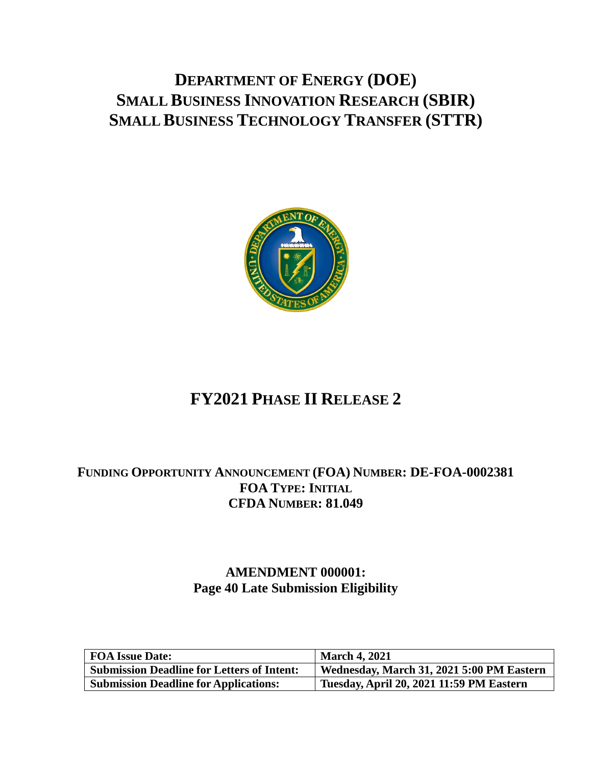# **DEPARTMENT OF ENERGY (DOE) SMALL BUSINESS INNOVATION RESEARCH (SBIR) SMALL BUSINESS TECHNOLOGY TRANSFER (STTR)**



# **FY2021 PHASE II RELEASE 2**

## **FUNDING OPPORTUNITY ANNOUNCEMENT (FOA) NUMBER: DE-FOA-0002381 FOA TYPE: INITIAL CFDA NUMBER: 81.049**

## **AMENDMENT 000001: Page 40 Late Submission Eligibility**

| FOA Issue Date:                                   | <b>March 4, 2021</b>                      |
|---------------------------------------------------|-------------------------------------------|
| <b>Submission Deadline for Letters of Intent:</b> | Wednesday, March 31, 2021 5:00 PM Eastern |
| <b>Submission Deadline for Applications:</b>      | Tuesday, April 20, 2021 11:59 PM Eastern  |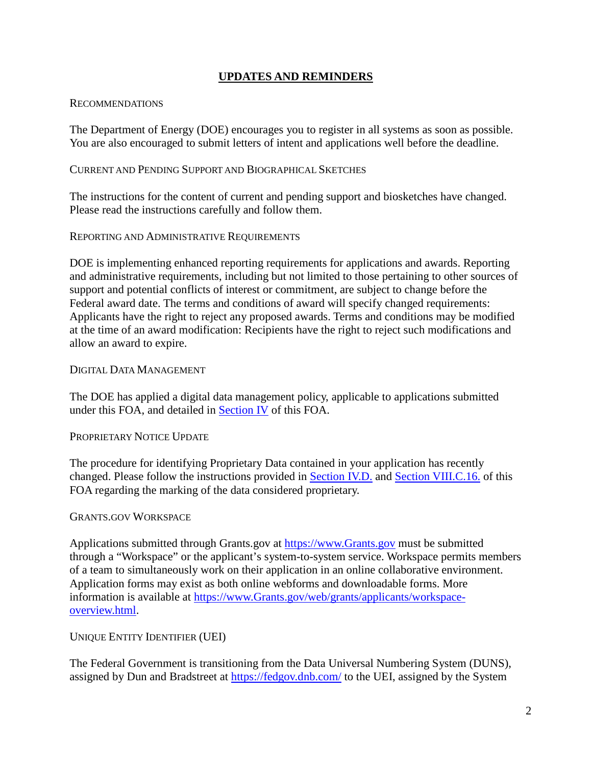### **UPDATES AND REMINDERS**

#### <span id="page-1-0"></span>RECOMMENDATIONS

The Department of Energy (DOE) encourages you to register in all systems as soon as possible. You are also encouraged to submit letters of intent and applications well before the deadline.

#### CURRENT AND PENDING SUPPORT AND BIOGRAPHICAL SKETCHES

The instructions for the content of current and pending support and biosketches have changed. Please read the instructions carefully and follow them.

#### REPORTING AND ADMINISTRATIVE REQUIREMENTS

DOE is implementing enhanced reporting requirements for applications and awards. Reporting and administrative requirements, including but not limited to those pertaining to other sources of support and potential conflicts of interest or commitment, are subject to change before the Federal award date. The terms and conditions of award will specify changed requirements: Applicants have the right to reject any proposed awards. Terms and conditions may be modified at the time of an award modification: Recipients have the right to reject such modifications and allow an award to expire.

#### DIGITAL DATA MANAGEMENT

The DOE has applied a digital data management policy, applicable to applications submitted under this FOA, and detailed in [Section IV](#page-24-0) of this FOA.

#### PROPRIETARY NOTICE UPDATE

The procedure for identifying Proprietary Data contained in your application has recently changed. Please follow the instructions provided in [Section IV.D.](#page-25-0) and [Section VIII.C.16.](#page-84-0) of this FOA regarding the marking of the data considered proprietary.

#### GRANTS.GOV WORKSPACE

Applications submitted through Grants.gov at [https://www.Grants.gov](https://www.grants.gov/) must be submitted through a "Workspace" or the applicant's system-to-system service. Workspace permits members of a team to simultaneously work on their application in an online collaborative environment. Application forms may exist as both online webforms and downloadable forms. More information is available at [https://www.Grants.gov/web/grants/applicants/workspace](https://www.grants.gov/web/grants/applicants/workspace-overview.html)[overview.html.](https://www.grants.gov/web/grants/applicants/workspace-overview.html)

#### UNIQUE ENTITY IDENTIFIER (UEI)

The Federal Government is transitioning from the Data Universal Numbering System (DUNS), assigned by Dun and Bradstreet at<https://fedgov.dnb.com/> to the UEI, assigned by the System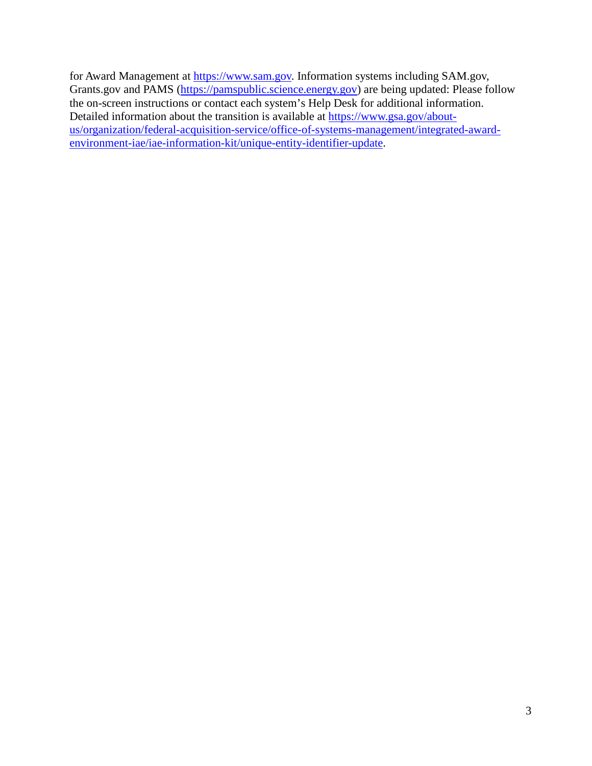for Award Management at [https://www.sam.gov.](https://www.sam.gov/) Information systems including SAM.gov, Grants.gov and PAMS [\(https://pamspublic.science.energy.gov\)](https://pamspublic.science.energy.gov/) are being updated: Please follow the on-screen instructions or contact each system's Help Desk for additional information. Detailed information about the transition is available at [https://www.gsa.gov/about](https://www.gsa.gov/about-us/organization/federal-acquisition-service/office-of-systems-management/integrated-award-environment-iae/iae-information-kit/unique-entity-identifier-update)[us/organization/federal-acquisition-service/office-of-systems-management/integrated-award](https://www.gsa.gov/about-us/organization/federal-acquisition-service/office-of-systems-management/integrated-award-environment-iae/iae-information-kit/unique-entity-identifier-update)[environment-iae/iae-information-kit/unique-entity-identifier-update.](https://www.gsa.gov/about-us/organization/federal-acquisition-service/office-of-systems-management/integrated-award-environment-iae/iae-information-kit/unique-entity-identifier-update)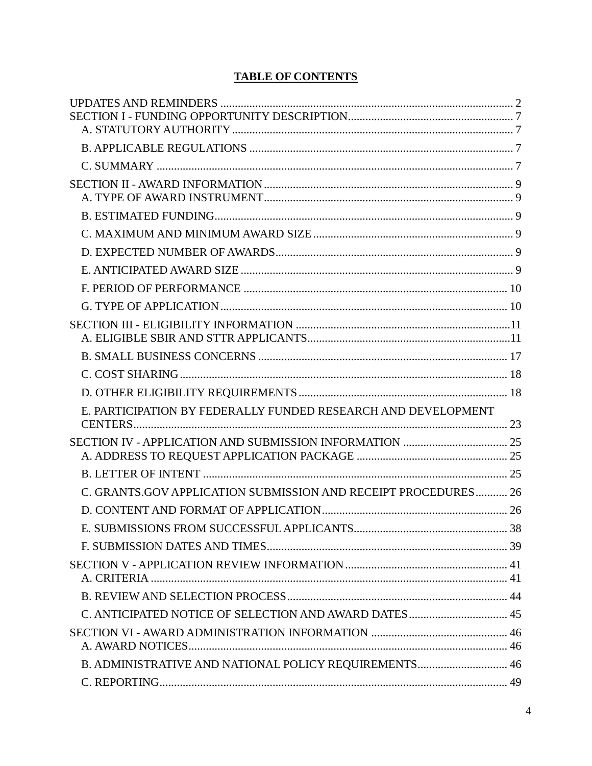## **TABLE OF CONTENTS**

| E. PARTICIPATION BY FEDERALLY FUNDED RESEARCH AND DEVELOPMENT  |  |
|----------------------------------------------------------------|--|
|                                                                |  |
|                                                                |  |
|                                                                |  |
| C. GRANTS.GOV APPLICATION SUBMISSION AND RECEIPT PROCEDURES 26 |  |
|                                                                |  |
|                                                                |  |
|                                                                |  |
|                                                                |  |
|                                                                |  |
|                                                                |  |
|                                                                |  |
| B. ADMINISTRATIVE AND NATIONAL POLICY REQUIREMENTS 46          |  |
|                                                                |  |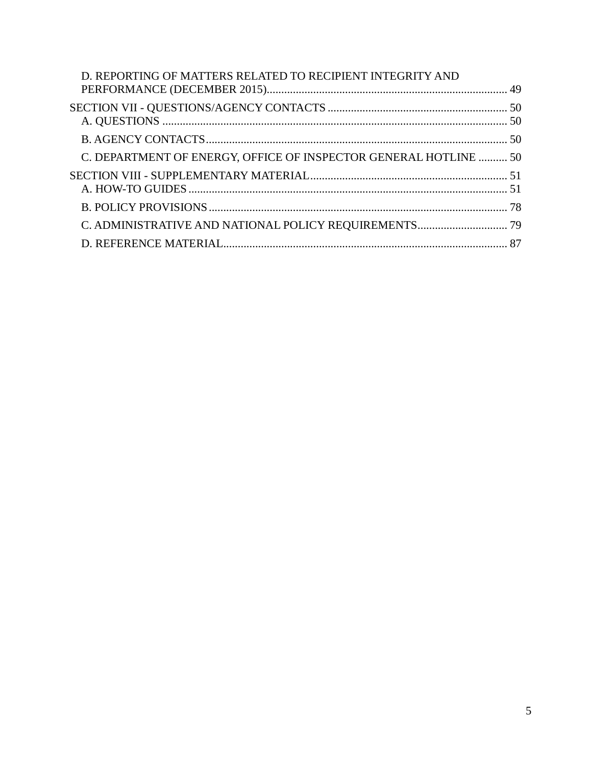| D. REPORTING OF MATTERS RELATED TO RECIPIENT INTEGRITY AND       |  |
|------------------------------------------------------------------|--|
|                                                                  |  |
|                                                                  |  |
| C. DEPARTMENT OF ENERGY, OFFICE OF INSPECTOR GENERAL HOTLINE  50 |  |
|                                                                  |  |
|                                                                  |  |
|                                                                  |  |
|                                                                  |  |
|                                                                  |  |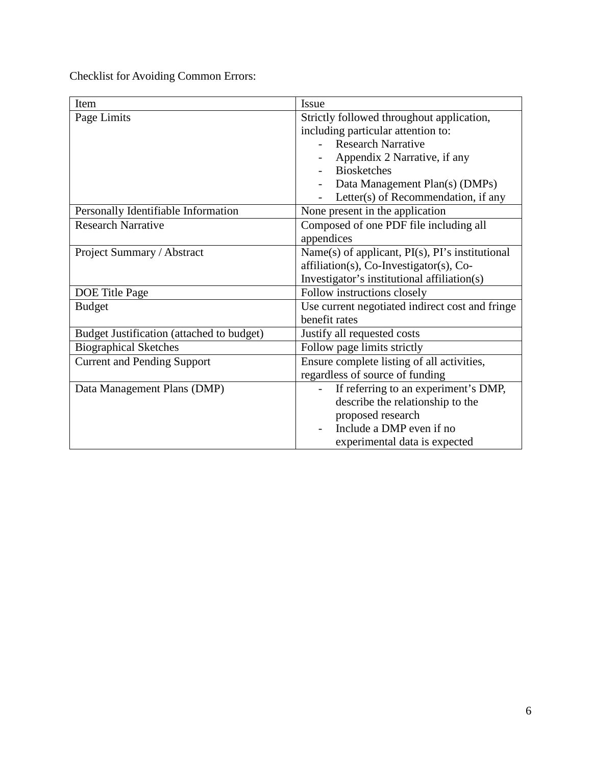Checklist for Avoiding Common Errors:

| Item                                      | Issue                                                |  |  |
|-------------------------------------------|------------------------------------------------------|--|--|
| Page Limits                               | Strictly followed throughout application,            |  |  |
|                                           | including particular attention to:                   |  |  |
|                                           | <b>Research Narrative</b>                            |  |  |
|                                           | Appendix 2 Narrative, if any                         |  |  |
|                                           | <b>Biosketches</b>                                   |  |  |
|                                           | Data Management Plan(s) (DMPs)                       |  |  |
|                                           | Letter(s) of Recommendation, if any                  |  |  |
| Personally Identifiable Information       | None present in the application                      |  |  |
| <b>Research Narrative</b>                 | Composed of one PDF file including all               |  |  |
|                                           | appendices                                           |  |  |
| Project Summary / Abstract                | Name(s) of applicant, $PI(s)$ , $PI's$ institutional |  |  |
|                                           | $affiliation(s)$ , Co-Investigator(s), Co-           |  |  |
|                                           | Investigator's institutional affiliation(s)          |  |  |
| DOE Title Page                            | Follow instructions closely                          |  |  |
| <b>Budget</b>                             | Use current negotiated indirect cost and fringe      |  |  |
|                                           | benefit rates                                        |  |  |
| Budget Justification (attached to budget) | Justify all requested costs                          |  |  |
| <b>Biographical Sketches</b>              | Follow page limits strictly                          |  |  |
| <b>Current and Pending Support</b>        | Ensure complete listing of all activities,           |  |  |
|                                           | regardless of source of funding                      |  |  |
| Data Management Plans (DMP)               | If referring to an experiment's DMP,                 |  |  |
|                                           | describe the relationship to the                     |  |  |
|                                           | proposed research                                    |  |  |
|                                           | Include a DMP even if no                             |  |  |
|                                           | experimental data is expected                        |  |  |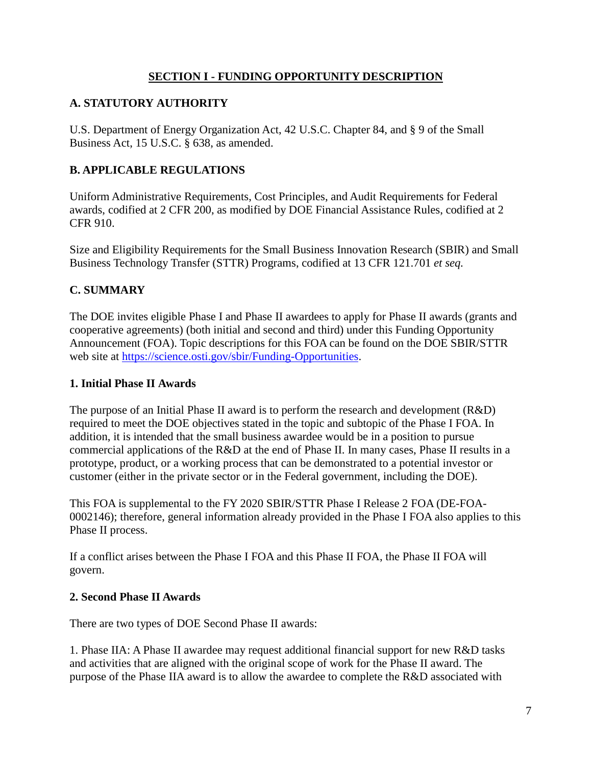### **SECTION I - FUNDING OPPORTUNITY DESCRIPTION**

## <span id="page-6-1"></span><span id="page-6-0"></span>**A. STATUTORY AUTHORITY**

U.S. Department of Energy Organization Act, 42 U.S.C. Chapter 84, and § 9 of the Small Business Act, 15 U.S.C. § 638, as amended.

## <span id="page-6-2"></span>**B. APPLICABLE REGULATIONS**

Uniform Administrative Requirements, Cost Principles, and Audit Requirements for Federal awards, codified at 2 CFR 200, as modified by DOE Financial Assistance Rules, codified at 2 CFR 910.

Size and Eligibility Requirements for the Small Business Innovation Research (SBIR) and Small Business Technology Transfer (STTR) Programs, codified at 13 CFR 121.701 *et seq.*

#### <span id="page-6-3"></span>**C. SUMMARY**

The DOE invites eligible Phase I and Phase II awardees to apply for Phase II awards (grants and cooperative agreements) (both initial and second and third) under this Funding Opportunity Announcement (FOA). Topic descriptions for this FOA can be found on the DOE SBIR/STTR web site at [https://science.osti.gov/sbir/Funding-Opportunities.](https://science.osti.gov/sbir/Funding-Opportunities)

#### **1. Initial Phase II Awards**

The purpose of an Initial Phase II award is to perform the research and development (R&D) required to meet the DOE objectives stated in the topic and subtopic of the Phase I FOA. In addition, it is intended that the small business awardee would be in a position to pursue commercial applications of the R&D at the end of Phase II. In many cases, Phase II results in a prototype, product, or a working process that can be demonstrated to a potential investor or customer (either in the private sector or in the Federal government, including the DOE).

This FOA is supplemental to the FY 2020 SBIR/STTR Phase I Release 2 FOA (DE-FOA-0002146); therefore, general information already provided in the Phase I FOA also applies to this Phase II process.

If a conflict arises between the Phase I FOA and this Phase II FOA, the Phase II FOA will govern.

#### **2. Second Phase II Awards**

There are two types of DOE Second Phase II awards:

1. Phase IIA: A Phase II awardee may request additional financial support for new R&D tasks and activities that are aligned with the original scope of work for the Phase II award. The purpose of the Phase IIA award is to allow the awardee to complete the R&D associated with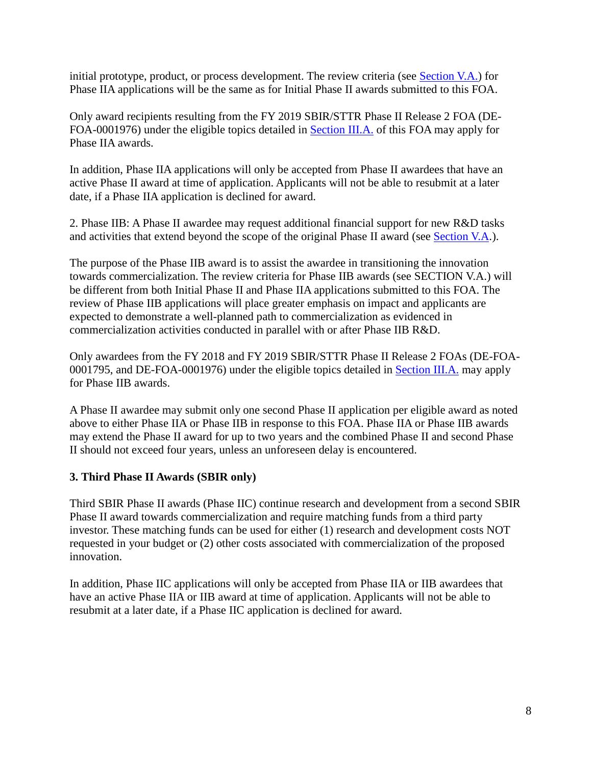initial prototype, product, or process development. The review criteria (see [Section V.A.\)](#page-40-1) for Phase IIA applications will be the same as for Initial Phase II awards submitted to this FOA.

Only award recipients resulting from the FY 2019 SBIR/STTR Phase II Release 2 FOA (DE-FOA-0001976) under the eligible topics detailed in [Section III.A.](#page-9-2) of this FOA may apply for Phase IIA awards.

In addition, Phase IIA applications will only be accepted from Phase II awardees that have an active Phase II award at time of application. Applicants will not be able to resubmit at a later date, if a Phase IIA application is declined for award.

2. Phase IIB: A Phase II awardee may request additional financial support for new R&D tasks and activities that extend beyond the scope of the original Phase II award (see [Section V.A.](#page-40-1)).

The purpose of the Phase IIB award is to assist the awardee in transitioning the innovation towards commercialization. The review criteria for Phase IIB awards (see SECTION V.A.) will be different from both Initial Phase II and Phase IIA applications submitted to this FOA. The review of Phase IIB applications will place greater emphasis on impact and applicants are expected to demonstrate a well-planned path to commercialization as evidenced in commercialization activities conducted in parallel with or after Phase IIB R&D.

Only awardees from the FY 2018 and FY 2019 SBIR/STTR Phase II Release 2 FOAs (DE-FOA-0001795, and DE-FOA-0001976) under the eligible topics detailed in [Section III.A.](#page-10-1) may apply for Phase IIB awards.

A Phase II awardee may submit only one second Phase II application per eligible award as noted above to either Phase IIA or Phase IIB in response to this FOA. Phase IIA or Phase IIB awards may extend the Phase II award for up to two years and the combined Phase II and second Phase II should not exceed four years, unless an unforeseen delay is encountered.

## **3. Third Phase II Awards (SBIR only)**

Third SBIR Phase II awards (Phase IIC) continue research and development from a second SBIR Phase II award towards commercialization and require matching funds from a third party investor. These matching funds can be used for either (1) research and development costs NOT requested in your budget or (2) other costs associated with commercialization of the proposed innovation.

In addition, Phase IIC applications will only be accepted from Phase IIA or IIB awardees that have an active Phase IIA or IIB award at time of application. Applicants will not be able to resubmit at a later date, if a Phase IIC application is declined for award.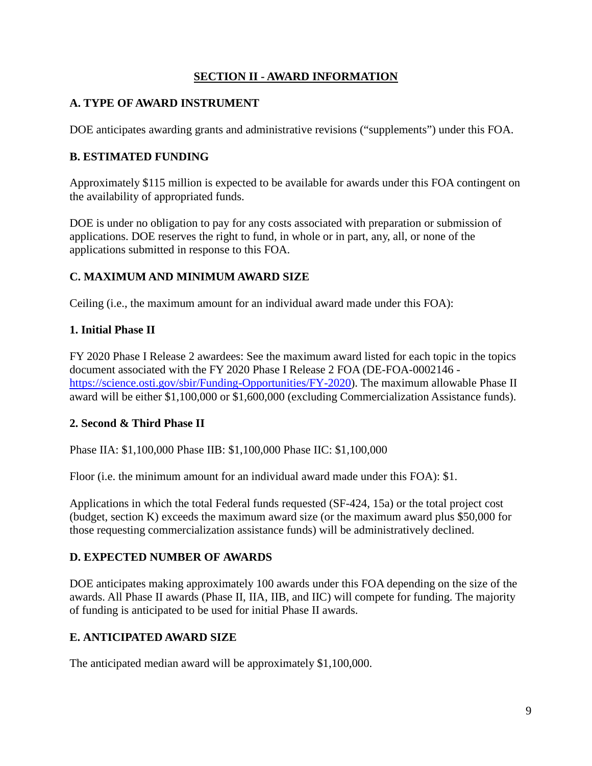## **SECTION II - AWARD INFORMATION**

## <span id="page-8-1"></span><span id="page-8-0"></span>**A. TYPE OF AWARD INSTRUMENT**

DOE anticipates awarding grants and administrative revisions ("supplements") under this FOA.

### <span id="page-8-2"></span>**B. ESTIMATED FUNDING**

Approximately \$115 million is expected to be available for awards under this FOA contingent on the availability of appropriated funds.

DOE is under no obligation to pay for any costs associated with preparation or submission of applications. DOE reserves the right to fund, in whole or in part, any, all, or none of the applications submitted in response to this FOA.

## <span id="page-8-3"></span>**C. MAXIMUM AND MINIMUM AWARD SIZE**

Ceiling (i.e., the maximum amount for an individual award made under this FOA):

#### **1. Initial Phase II**

FY 2020 Phase I Release 2 awardees: See the maximum award listed for each topic in the topics document associated with the FY 2020 Phase I Release 2 FOA (DE-FOA-0002146 [https://science.osti.gov/sbir/Funding-Opportunities/FY-2020\)](https://science.osti.gov/sbir/Funding-Opportunities/FY-2020). The maximum allowable Phase II award will be either \$1,100,000 or \$1,600,000 (excluding Commercialization Assistance funds).

#### **2. Second & Third Phase II**

Phase IIA: \$1,100,000 Phase IIB: \$1,100,000 Phase IIC: \$1,100,000

Floor (i.e. the minimum amount for an individual award made under this FOA): \$1.

Applications in which the total Federal funds requested (SF-424, 15a) or the total project cost (budget, section K) exceeds the maximum award size (or the maximum award plus \$50,000 for those requesting commercialization assistance funds) will be administratively declined.

#### <span id="page-8-4"></span>**D. EXPECTED NUMBER OF AWARDS**

DOE anticipates making approximately 100 awards under this FOA depending on the size of the awards. All Phase II awards (Phase II, IIA, IIB, and IIC) will compete for funding. The majority of funding is anticipated to be used for initial Phase II awards.

## <span id="page-8-5"></span>**E. ANTICIPATED AWARD SIZE**

The anticipated median award will be approximately \$1,100,000.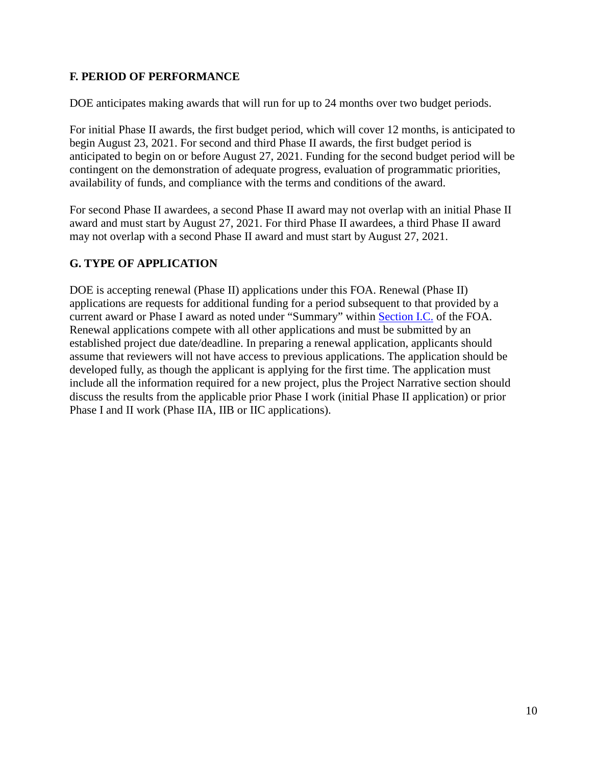## <span id="page-9-0"></span>**F. PERIOD OF PERFORMANCE**

DOE anticipates making awards that will run for up to 24 months over two budget periods.

For initial Phase II awards, the first budget period, which will cover 12 months, is anticipated to begin August 23, 2021. For second and third Phase II awards, the first budget period is anticipated to begin on or before August 27, 2021. Funding for the second budget period will be contingent on the demonstration of adequate progress, evaluation of programmatic priorities, availability of funds, and compliance with the terms and conditions of the award.

For second Phase II awardees, a second Phase II award may not overlap with an initial Phase II award and must start by August 27, 2021. For third Phase II awardees, a third Phase II award may not overlap with a second Phase II award and must start by August 27, 2021.

## <span id="page-9-1"></span>**G. TYPE OF APPLICATION**

<span id="page-9-2"></span>DOE is accepting renewal (Phase II) applications under this FOA. Renewal (Phase II) applications are requests for additional funding for a period subsequent to that provided by a current award or Phase I award as noted under "Summary" within [Section I.C.](#page-6-3) of the FOA. Renewal applications compete with all other applications and must be submitted by an established project due date/deadline. In preparing a renewal application, applicants should assume that reviewers will not have access to previous applications. The application should be developed fully, as though the applicant is applying for the first time. The application must include all the information required for a new project, plus the Project Narrative section should discuss the results from the applicable prior Phase I work (initial Phase II application) or prior Phase I and II work (Phase IIA, IIB or IIC applications).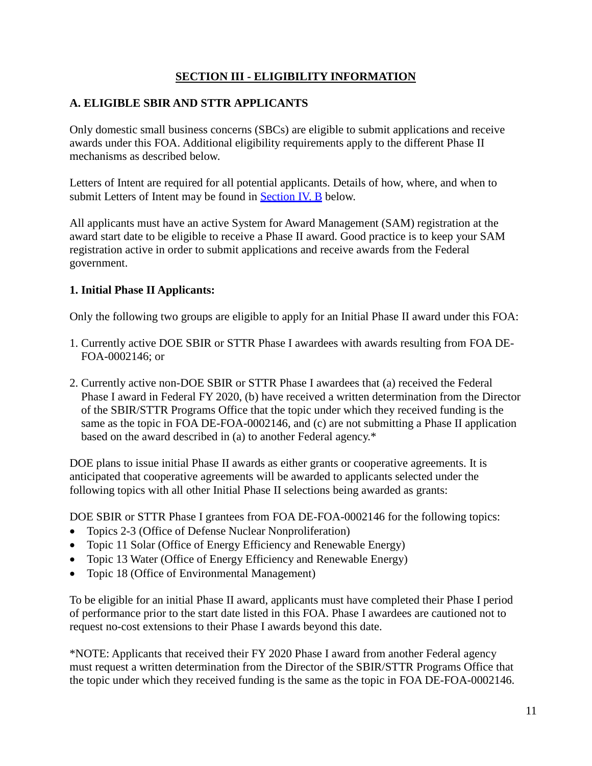## **SECTION III - ELIGIBILITY INFORMATION**

## <span id="page-10-1"></span><span id="page-10-0"></span>**A. ELIGIBLE SBIR AND STTR APPLICANTS**

Only domestic small business concerns (SBCs) are eligible to submit applications and receive awards under this FOA. Additional eligibility requirements apply to the different Phase II mechanisms as described below.

Letters of Intent are required for all potential applicants. Details of how, where, and when to submit Letters of Intent may be found in **Section IV. B** below.

All applicants must have an active System for Award Management (SAM) registration at the award start date to be eligible to receive a Phase II award. Good practice is to keep your SAM registration active in order to submit applications and receive awards from the Federal government.

#### **1. Initial Phase II Applicants:**

Only the following two groups are eligible to apply for an Initial Phase II award under this FOA:

- 1. Currently active DOE SBIR or STTR Phase I awardees with awards resulting from FOA DE-FOA-0002146; or
- 2. Currently active non-DOE SBIR or STTR Phase I awardees that (a) received the Federal Phase I award in Federal FY 2020, (b) have received a written determination from the Director of the SBIR/STTR Programs Office that the topic under which they received funding is the same as the topic in FOA DE-FOA-0002146, and (c) are not submitting a Phase II application based on the award described in (a) to another Federal agency.\*

DOE plans to issue initial Phase II awards as either grants or cooperative agreements. It is anticipated that cooperative agreements will be awarded to applicants selected under the following topics with all other Initial Phase II selections being awarded as grants:

DOE SBIR or STTR Phase I grantees from FOA DE-FOA-0002146 for the following topics:

- Topics 2-3 (Office of Defense Nuclear Nonproliferation)
- Topic 11 Solar (Office of Energy Efficiency and Renewable Energy)
- Topic 13 Water (Office of Energy Efficiency and Renewable Energy)
- Topic 18 (Office of Environmental Management)

To be eligible for an initial Phase II award, applicants must have completed their Phase I period of performance prior to the start date listed in this FOA. Phase I awardees are cautioned not to request no-cost extensions to their Phase I awards beyond this date.

\*NOTE: Applicants that received their FY 2020 Phase I award from another Federal agency must request a written determination from the Director of the SBIR/STTR Programs Office that the topic under which they received funding is the same as the topic in FOA DE-FOA-0002146.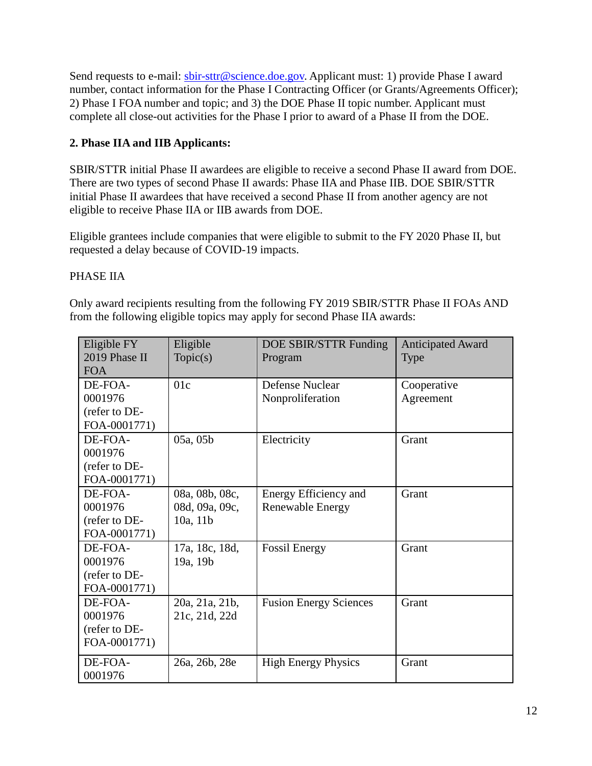Send requests to e-mail: [sbir-sttr@science.doe.gov.](mailto:sbir-sttr@science.doe.gov) Applicant must: 1) provide Phase I award number, contact information for the Phase I Contracting Officer (or Grants/Agreements Officer); 2) Phase I FOA number and topic; and 3) the DOE Phase II topic number. Applicant must complete all close-out activities for the Phase I prior to award of a Phase II from the DOE.

## **2. Phase IIA and IIB Applicants:**

SBIR/STTR initial Phase II awardees are eligible to receive a second Phase II award from DOE. There are two types of second Phase II awards: Phase IIA and Phase IIB. DOE SBIR/STTR initial Phase II awardees that have received a second Phase II from another agency are not eligible to receive Phase IIA or IIB awards from DOE.

Eligible grantees include companies that were eligible to submit to the FY 2020 Phase II, but requested a delay because of COVID-19 impacts.

## PHASE IIA

Only award recipients resulting from the following FY 2019 SBIR/STTR Phase II FOAs AND from the following eligible topics may apply for second Phase IIA awards:

| Eligible FY   | Eligible       | DOE SBIR/STTR Funding         | <b>Anticipated Award</b> |
|---------------|----------------|-------------------------------|--------------------------|
| 2019 Phase II | Topic(s)       | Program<br><b>Type</b>        |                          |
| <b>FOA</b>    |                |                               |                          |
| DE-FOA-       | 01c            | <b>Defense Nuclear</b>        | Cooperative              |
| 0001976       |                | Nonproliferation              | Agreement                |
| (refer to DE- |                |                               |                          |
| FOA-0001771)  |                |                               |                          |
| DE-FOA-       | 05a, 05b       | Electricity                   | Grant                    |
| 0001976       |                |                               |                          |
| (refer to DE- |                |                               |                          |
| FOA-0001771)  |                |                               |                          |
| DE-FOA-       | 08a, 08b, 08c, | Energy Efficiency and         | Grant                    |
| 0001976       | 08d, 09a, 09c, | Renewable Energy              |                          |
| (refer to DE- | 10a, 11b       |                               |                          |
| FOA-0001771)  |                |                               |                          |
| DE-FOA-       | 17a, 18c, 18d, | <b>Fossil Energy</b>          | Grant                    |
| 0001976       | 19a, 19b       |                               |                          |
| (refer to DE- |                |                               |                          |
| FOA-0001771)  |                |                               |                          |
| DE-FOA-       | 20a, 21a, 21b, | <b>Fusion Energy Sciences</b> | Grant                    |
| 0001976       | 21c, 21d, 22d  |                               |                          |
| (refer to DE- |                |                               |                          |
| FOA-0001771)  |                |                               |                          |
| DE-FOA-       | 26a, 26b, 28e  | <b>High Energy Physics</b>    | Grant                    |
| 0001976       |                |                               |                          |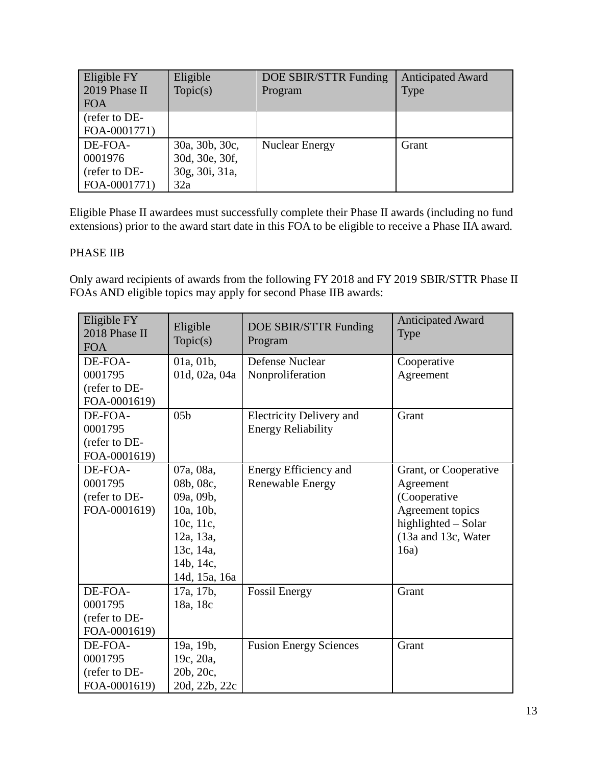| Eligible FY<br>2019 Phase II<br><b>FOA</b> | Eligible<br>Topic(s) | DOE SBIR/STTR Funding<br>Program | <b>Anticipated Award</b><br><b>Type</b> |
|--------------------------------------------|----------------------|----------------------------------|-----------------------------------------|
| (refer to DE-                              |                      |                                  |                                         |
| FOA-0001771)                               |                      |                                  |                                         |
| DE-FOA-                                    | 30a, 30b, 30c,       | <b>Nuclear Energy</b>            | Grant                                   |
| 0001976                                    | 30d, 30e, 30f,       |                                  |                                         |
| (refer to DE-                              | 30g, 30i, 31a,       |                                  |                                         |
| FOA-0001771)                               | 32a                  |                                  |                                         |

Eligible Phase II awardees must successfully complete their Phase II awards (including no fund extensions) prior to the award start date in this FOA to be eligible to receive a Phase IIA award.

## PHASE IIB

Only award recipients of awards from the following FY 2018 and FY 2019 SBIR/STTR Phase II FOAs AND eligible topics may apply for second Phase IIB awards:

| Eligible FY<br>2018 Phase II<br><b>FOA</b> | Eligible<br>Topic(s) | DOE SBIR/STTR Funding<br>Program | <b>Anticipated Award</b><br>Type |
|--------------------------------------------|----------------------|----------------------------------|----------------------------------|
| DE-FOA-                                    | 01a, 01b,            | Defense Nuclear                  | Cooperative                      |
| 0001795                                    | 01d, 02a, 04a        | Nonproliferation                 | Agreement                        |
| (refer to DE-                              |                      |                                  |                                  |
| FOA-0001619)                               |                      |                                  |                                  |
| DE-FOA-                                    | 05 <sub>b</sub>      | <b>Electricity Delivery and</b>  | Grant                            |
| 0001795                                    |                      | <b>Energy Reliability</b>        |                                  |
| (refer to DE-                              |                      |                                  |                                  |
| FOA-0001619)                               |                      |                                  |                                  |
| DE-FOA-                                    | 07a, 08a,            | Energy Efficiency and            | Grant, or Cooperative            |
| 0001795                                    | 08b, 08c,            | <b>Renewable Energy</b>          | Agreement                        |
| (refer to DE-                              | 09a, 09b,            |                                  | (Cooperative                     |
| FOA-0001619)                               | 10a, 10b,            |                                  | Agreement topics                 |
|                                            | 10c, 11c,            |                                  | highlighted - Solar              |
|                                            | 12a, 13a,            |                                  | (13a and 13c, Water              |
|                                            | 13c, 14a,            |                                  | 16a)                             |
|                                            | 14b, 14c,            |                                  |                                  |
|                                            | 14d, 15a, 16a        |                                  |                                  |
| DE-FOA-                                    | 17a, 17b,            | <b>Fossil Energy</b>             | Grant                            |
| 0001795                                    | 18a, 18c             |                                  |                                  |
| (refer to DE-                              |                      |                                  |                                  |
| FOA-0001619)                               |                      |                                  |                                  |
| DE-FOA-                                    | 19a, 19b,            | <b>Fusion Energy Sciences</b>    | Grant                            |
| 0001795                                    | 19c, 20a,            |                                  |                                  |
| (refer to DE-                              | 20b, 20c,            |                                  |                                  |
| FOA-0001619)                               | 20d, 22b, 22c        |                                  |                                  |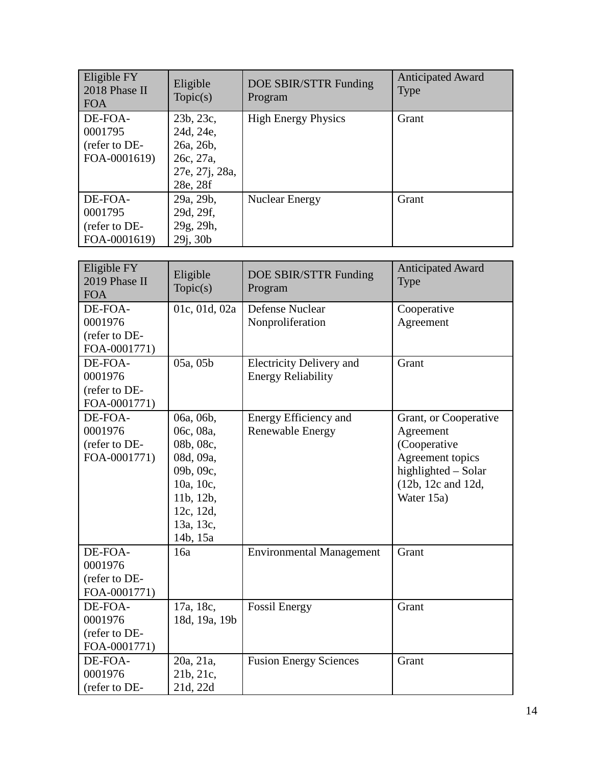| Eligible FY<br>2018 Phase II<br><b>FOA</b> | Eligible<br>Topic(s) | DOE SBIR/STTR Funding<br>Program | <b>Anticipated Award</b><br><b>Type</b> |
|--------------------------------------------|----------------------|----------------------------------|-----------------------------------------|
| DE-FOA-                                    | 23b, 23c,            | <b>High Energy Physics</b>       | Grant                                   |
| 0001795                                    | 24d, 24e,            |                                  |                                         |
| (refer to DE-                              | 26a, 26b,            |                                  |                                         |
| FOA-0001619)                               | 26c, 27a,            |                                  |                                         |
|                                            | 27e, 27j, 28a,       |                                  |                                         |
|                                            | 28e, 28f             |                                  |                                         |
| DE-FOA-                                    | 29a, 29b,            | <b>Nuclear Energy</b>            | Grant                                   |
| 0001795                                    | 29d, 29f,            |                                  |                                         |
| (refer to DE-                              | 29g, 29h,            |                                  |                                         |
| FOA-0001619)                               | 29j, 30b             |                                  |                                         |

| Eligible FY<br>2019 Phase II<br><b>FOA</b> | Eligible<br>Topic(s) | DOE SBIR/STTR Funding<br>Program | <b>Anticipated Award</b><br>Type |
|--------------------------------------------|----------------------|----------------------------------|----------------------------------|
| DE-FOA-                                    | 01c, 01d, 02a        | Defense Nuclear                  | Cooperative                      |
| 0001976                                    |                      | Nonproliferation                 | Agreement                        |
| (refer to DE-                              |                      |                                  |                                  |
| FOA-0001771)                               |                      |                                  |                                  |
| DE-FOA-                                    | 05a, 05b             | <b>Electricity Delivery and</b>  | Grant                            |
| 0001976                                    |                      | <b>Energy Reliability</b>        |                                  |
| (refer to DE-                              |                      |                                  |                                  |
| FOA-0001771)                               |                      |                                  |                                  |
| DE-FOA-                                    | 06a, 06b,            | Energy Efficiency and            | Grant, or Cooperative            |
| 0001976                                    | 06c, 08a,            | Renewable Energy                 | Agreement                        |
| (refer to DE-                              | 08b, 08c,            |                                  | (Cooperative                     |
| FOA-0001771)                               | 08d, 09a,            |                                  | Agreement topics                 |
|                                            | 09b, 09c,            |                                  | highlighted - Solar              |
|                                            | 10a, 10c,            |                                  | (12b, 12c and 12d,               |
|                                            | 11b, 12b,            |                                  | Water 15a)                       |
|                                            | 12c, 12d,            |                                  |                                  |
|                                            | 13a, 13c,            |                                  |                                  |
|                                            | 14b, 15a             |                                  |                                  |
| DE-FOA-                                    | 16a                  | <b>Environmental Management</b>  | Grant                            |
| 0001976                                    |                      |                                  |                                  |
| (refer to DE-                              |                      |                                  |                                  |
| FOA-0001771)                               |                      |                                  |                                  |
| DE-FOA-                                    | 17a, 18c,            | <b>Fossil Energy</b>             | Grant                            |
| 0001976                                    | 18d, 19a, 19b        |                                  |                                  |
| (refer to DE-                              |                      |                                  |                                  |
| FOA-0001771)                               |                      |                                  |                                  |
| DE-FOA-                                    | 20a, 21a,            | <b>Fusion Energy Sciences</b>    | Grant                            |
| 0001976                                    | 21b, 21c,            |                                  |                                  |
| (refer to DE-                              | 21d, 22d             |                                  |                                  |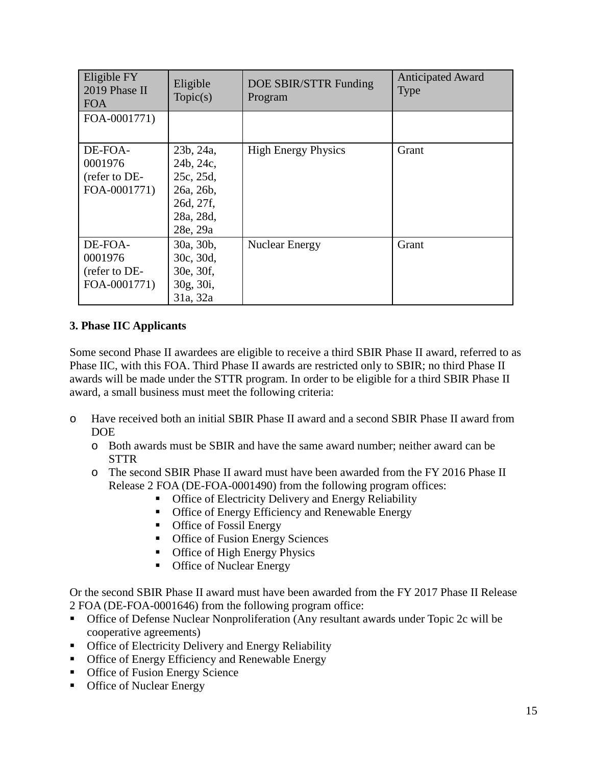| Eligible FY<br>2019 Phase II<br><b>FOA</b>          | Eligible<br>Topic(s)                                                                   | DOE SBIR/STTR Funding<br>Program | <b>Anticipated Award</b><br><b>Type</b> |
|-----------------------------------------------------|----------------------------------------------------------------------------------------|----------------------------------|-----------------------------------------|
| FOA-0001771)                                        |                                                                                        |                                  |                                         |
| DE-FOA-<br>0001976<br>(refer to DE-<br>FOA-0001771) | 23b, 24a,<br>24b, 24c,<br>25c, 25d,<br>26a, 26b,<br>26d, 27f,<br>28a, 28d,<br>28e, 29a | <b>High Energy Physics</b>       | Grant                                   |
| DE-FOA-<br>0001976<br>(refer to DE-<br>FOA-0001771) | 30a, 30b,<br>30c, 30d,<br>30e, 30f,<br>30g, 30i,<br>31a, 32a                           | <b>Nuclear Energy</b>            | Grant                                   |

#### **3. Phase IIC Applicants**

Some second Phase II awardees are eligible to receive a third SBIR Phase II award, referred to as Phase IIC, with this FOA. Third Phase II awards are restricted only to SBIR; no third Phase II awards will be made under the STTR program. In order to be eligible for a third SBIR Phase II award, a small business must meet the following criteria:

- o Have received both an initial SBIR Phase II award and a second SBIR Phase II award from DOE
	- o Both awards must be SBIR and have the same award number; neither award can be **STTR**
	- o The second SBIR Phase II award must have been awarded from the FY 2016 Phase II Release 2 FOA (DE-FOA-0001490) from the following program offices:
		- **Office of Electricity Delivery and Energy Reliability**
		- **Office of Energy Efficiency and Renewable Energy**
		- **•** Office of Fossil Energy
		- **Office of Fusion Energy Sciences**
		- **•** Office of High Energy Physics
		- **Office of Nuclear Energy**

Or the second SBIR Phase II award must have been awarded from the FY 2017 Phase II Release 2 FOA (DE-FOA-0001646) from the following program office:

- Office of Defense Nuclear Nonproliferation (Any resultant awards under Topic 2c will be cooperative agreements)
- **Office of Electricity Delivery and Energy Reliability**
- **Office of Energy Efficiency and Renewable Energy**
- **Office of Fusion Energy Science**
- **Office of Nuclear Energy**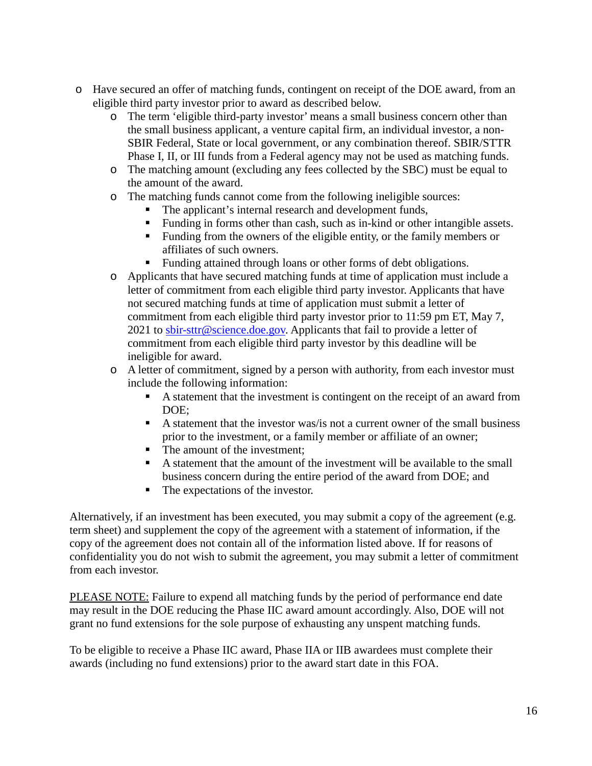- o Have secured an offer of matching funds, contingent on receipt of the DOE award, from an eligible third party investor prior to award as described below.
	- o The term 'eligible third-party investor' means a small business concern other than the small business applicant, a venture capital firm, an individual investor, a non-SBIR Federal, State or local government, or any combination thereof. SBIR/STTR Phase I, II, or III funds from a Federal agency may not be used as matching funds.
	- o The matching amount (excluding any fees collected by the SBC) must be equal to the amount of the award.
	- o The matching funds cannot come from the following ineligible sources:
		- The applicant's internal research and development funds,
		- Funding in forms other than cash, such as in-kind or other intangible assets.
		- Funding from the owners of the eligible entity, or the family members or affiliates of such owners.
		- Funding attained through loans or other forms of debt obligations.
	- o Applicants that have secured matching funds at time of application must include a letter of commitment from each eligible third party investor. Applicants that have not secured matching funds at time of application must submit a letter of commitment from each eligible third party investor prior to 11:59 pm ET, May 7, 2021 to [sbir-sttr@science.doe.gov.](mailto:sbir-sttr@science.doe.gov) Applicants that fail to provide a letter of commitment from each eligible third party investor by this deadline will be ineligible for award.
	- o A letter of commitment, signed by a person with authority, from each investor must include the following information:
		- A statement that the investment is contingent on the receipt of an award from DOE;
		- A statement that the investor was/is not a current owner of the small business prior to the investment, or a family member or affiliate of an owner;
		- The amount of the investment;
		- A statement that the amount of the investment will be available to the small business concern during the entire period of the award from DOE; and
		- The expectations of the investor.

Alternatively, if an investment has been executed, you may submit a copy of the agreement (e.g. term sheet) and supplement the copy of the agreement with a statement of information, if the copy of the agreement does not contain all of the information listed above. If for reasons of confidentiality you do not wish to submit the agreement, you may submit a letter of commitment from each investor.

PLEASE NOTE: Failure to expend all matching funds by the period of performance end date may result in the DOE reducing the Phase IIC award amount accordingly. Also, DOE will not grant no fund extensions for the sole purpose of exhausting any unspent matching funds.

To be eligible to receive a Phase IIC award, Phase IIA or IIB awardees must complete their awards (including no fund extensions) prior to the award start date in this FOA.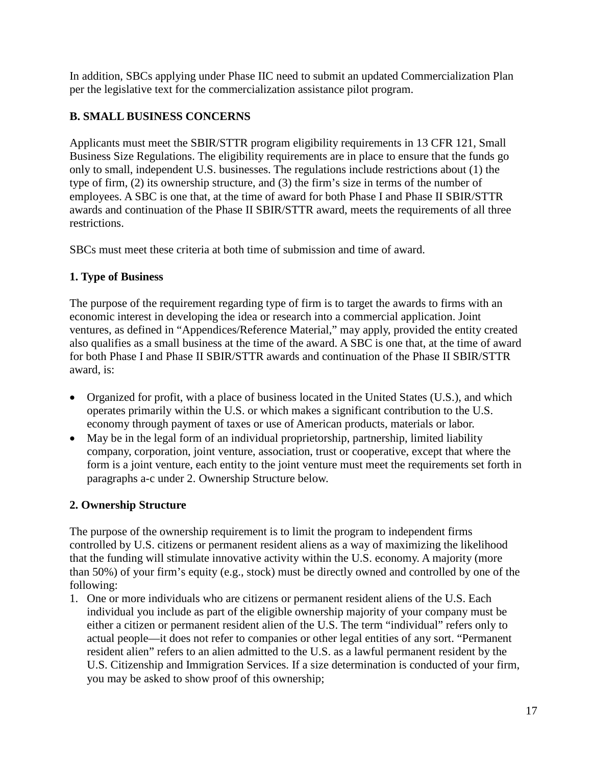In addition, SBCs applying under Phase IIC need to submit an updated Commercialization Plan per the legislative text for the commercialization assistance pilot program.

## <span id="page-16-0"></span>**B. SMALL BUSINESS CONCERNS**

Applicants must meet the SBIR/STTR program eligibility requirements in 13 CFR 121, Small Business Size Regulations. The eligibility requirements are in place to ensure that the funds go only to small, independent U.S. businesses. The regulations include restrictions about (1) the type of firm, (2) its ownership structure, and (3) the firm's size in terms of the number of employees. A SBC is one that, at the time of award for both Phase I and Phase II SBIR/STTR awards and continuation of the Phase II SBIR/STTR award, meets the requirements of all three restrictions.

SBCs must meet these criteria at both time of submission and time of award.

## **1. Type of Business**

The purpose of the requirement regarding type of firm is to target the awards to firms with an economic interest in developing the idea or research into a commercial application. Joint ventures, as defined in "Appendices/Reference Material," may apply, provided the entity created also qualifies as a small business at the time of the award. A SBC is one that, at the time of award for both Phase I and Phase II SBIR/STTR awards and continuation of the Phase II SBIR/STTR award, is:

- Organized for profit, with a place of business located in the United States (U.S.), and which operates primarily within the U.S. or which makes a significant contribution to the U.S. economy through payment of taxes or use of American products, materials or labor.
- May be in the legal form of an individual proprietorship, partnership, limited liability company, corporation, joint venture, association, trust or cooperative, except that where the form is a joint venture, each entity to the joint venture must meet the requirements set forth in paragraphs a-c under 2. Ownership Structure below.

## **2. Ownership Structure**

The purpose of the ownership requirement is to limit the program to independent firms controlled by U.S. citizens or permanent resident aliens as a way of maximizing the likelihood that the funding will stimulate innovative activity within the U.S. economy. A majority (more than 50%) of your firm's equity (e.g., stock) must be directly owned and controlled by one of the following:

1. One or more individuals who are citizens or permanent resident aliens of the U.S. Each individual you include as part of the eligible ownership majority of your company must be either a citizen or permanent resident alien of the U.S. The term "individual" refers only to actual people—it does not refer to companies or other legal entities of any sort. "Permanent resident alien" refers to an alien admitted to the U.S. as a lawful permanent resident by the U.S. Citizenship and Immigration Services. If a size determination is conducted of your firm, you may be asked to show proof of this ownership;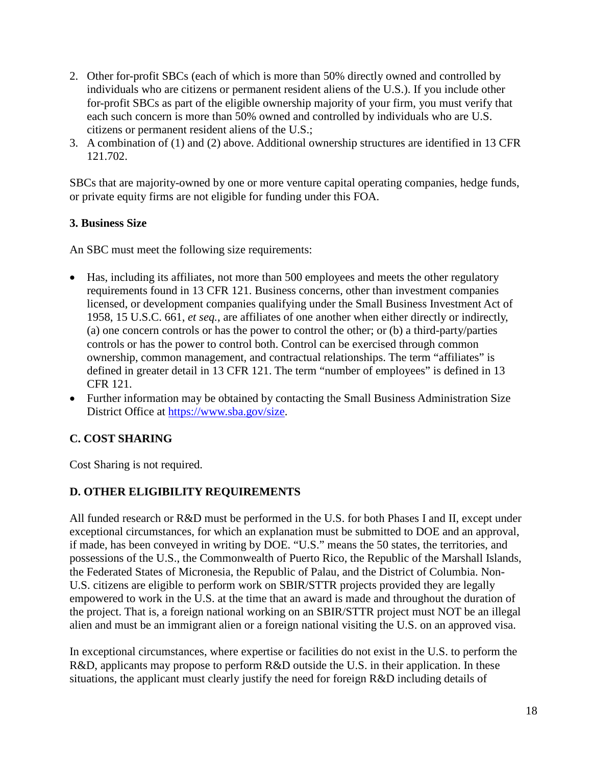- 2. Other for-profit SBCs (each of which is more than 50% directly owned and controlled by individuals who are citizens or permanent resident aliens of the U.S.). If you include other for-profit SBCs as part of the eligible ownership majority of your firm, you must verify that each such concern is more than 50% owned and controlled by individuals who are U.S. citizens or permanent resident aliens of the U.S.;
- 3. A combination of (1) and (2) above. Additional ownership structures are identified in 13 CFR 121.702.

SBCs that are majority-owned by one or more venture capital operating companies, hedge funds, or private equity firms are not eligible for funding under this FOA.

## **3. Business Size**

An SBC must meet the following size requirements:

- Has, including its affiliates, not more than 500 employees and meets the other regulatory requirements found in 13 CFR 121. Business concerns, other than investment companies licensed, or development companies qualifying under the Small Business Investment Act of 1958, 15 U.S.C. 661, *et seq.*, are affiliates of one another when either directly or indirectly, (a) one concern controls or has the power to control the other; or (b) a third-party/parties controls or has the power to control both. Control can be exercised through common ownership, common management, and contractual relationships. The term "affiliates" is defined in greater detail in 13 CFR 121. The term "number of employees" is defined in 13 CFR 121.
- Further information may be obtained by contacting the Small Business Administration Size District Office at [https://www.sba.gov/size.](https://www.sba.gov/size)

## <span id="page-17-0"></span>**C. COST SHARING**

Cost Sharing is not required.

## <span id="page-17-1"></span>**D. OTHER ELIGIBILITY REQUIREMENTS**

All funded research or R&D must be performed in the U.S. for both Phases I and II, except under exceptional circumstances, for which an explanation must be submitted to DOE and an approval, if made, has been conveyed in writing by DOE. "U.S." means the 50 states, the territories, and possessions of the U.S., the Commonwealth of Puerto Rico, the Republic of the Marshall Islands, the Federated States of Micronesia, the Republic of Palau, and the District of Columbia. Non-U.S. citizens are eligible to perform work on SBIR/STTR projects provided they are legally empowered to work in the U.S. at the time that an award is made and throughout the duration of the project. That is, a foreign national working on an SBIR/STTR project must NOT be an illegal alien and must be an immigrant alien or a foreign national visiting the U.S. on an approved visa.

In exceptional circumstances, where expertise or facilities do not exist in the U.S. to perform the R&D, applicants may propose to perform R&D outside the U.S. in their application. In these situations, the applicant must clearly justify the need for foreign R&D including details of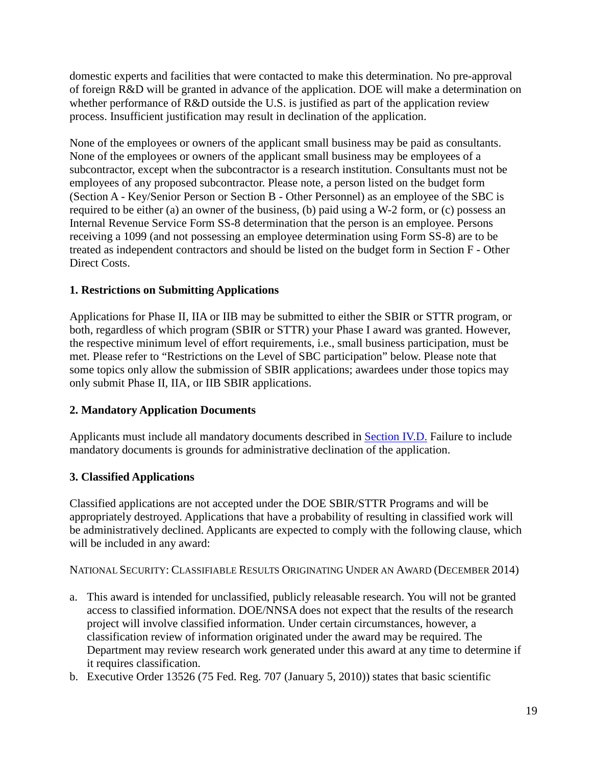domestic experts and facilities that were contacted to make this determination. No pre-approval of foreign R&D will be granted in advance of the application. DOE will make a determination on whether performance of R&D outside the U.S. is justified as part of the application review process. Insufficient justification may result in declination of the application.

None of the employees or owners of the applicant small business may be paid as consultants. None of the employees or owners of the applicant small business may be employees of a subcontractor, except when the subcontractor is a research institution. Consultants must not be employees of any proposed subcontractor. Please note, a person listed on the budget form (Section A - Key/Senior Person or Section B - Other Personnel) as an employee of the SBC is required to be either (a) an owner of the business, (b) paid using a W-2 form, or (c) possess an Internal Revenue Service Form SS-8 determination that the person is an employee. Persons receiving a 1099 (and not possessing an employee determination using Form SS-8) are to be treated as independent contractors and should be listed on the budget form in Section F - Other Direct Costs.

## **1. Restrictions on Submitting Applications**

Applications for Phase II, IIA or IIB may be submitted to either the SBIR or STTR program, or both, regardless of which program (SBIR or STTR) your Phase I award was granted. However, the respective minimum level of effort requirements, i.e., small business participation, must be met. Please refer to "Restrictions on the Level of SBC participation" below. Please note that some topics only allow the submission of SBIR applications; awardees under those topics may only submit Phase II, IIA, or IIB SBIR applications.

## **2. Mandatory Application Documents**

Applicants must include all mandatory documents described in [Section IV.D.](#page-25-0) Failure to include mandatory documents is grounds for administrative declination of the application.

## **3. Classified Applications**

Classified applications are not accepted under the DOE SBIR/STTR Programs and will be appropriately destroyed. Applications that have a probability of resulting in classified work will be administratively declined. Applicants are expected to comply with the following clause, which will be included in any award:

NATIONAL SECURITY: CLASSIFIABLE RESULTS ORIGINATING UNDER AN AWARD (DECEMBER 2014)

- a. This award is intended for unclassified, publicly releasable research. You will not be granted access to classified information. DOE/NNSA does not expect that the results of the research project will involve classified information. Under certain circumstances, however, a classification review of information originated under the award may be required. The Department may review research work generated under this award at any time to determine if it requires classification.
- b. Executive Order 13526 (75 Fed. Reg. 707 (January 5, 2010)) states that basic scientific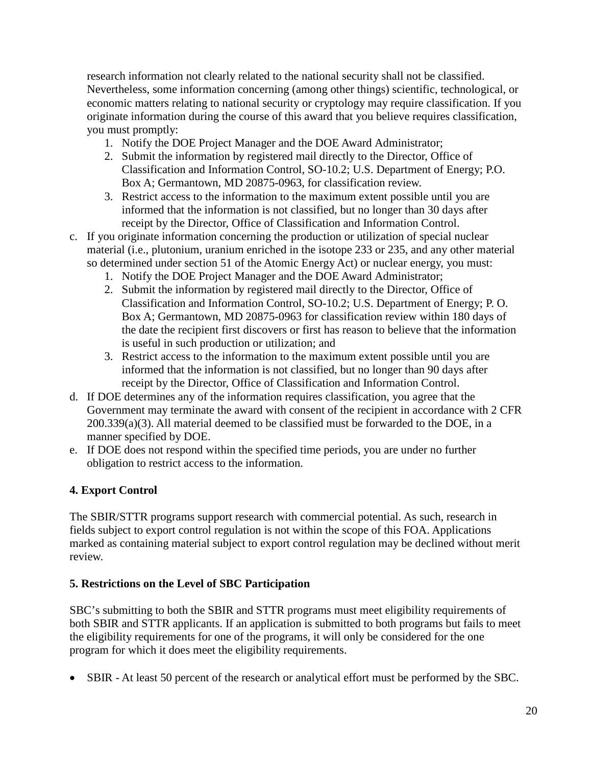research information not clearly related to the national security shall not be classified. Nevertheless, some information concerning (among other things) scientific, technological, or economic matters relating to national security or cryptology may require classification. If you originate information during the course of this award that you believe requires classification, you must promptly:

- 1. Notify the DOE Project Manager and the DOE Award Administrator;
- 2. Submit the information by registered mail directly to the Director, Office of Classification and Information Control, SO-10.2; U.S. Department of Energy; P.O. Box A; Germantown, MD 20875-0963, for classification review.
- 3. Restrict access to the information to the maximum extent possible until you are informed that the information is not classified, but no longer than 30 days after receipt by the Director, Office of Classification and Information Control.
- c. If you originate information concerning the production or utilization of special nuclear material (i.e., plutonium, uranium enriched in the isotope 233 or 235, and any other material so determined under section 51 of the Atomic Energy Act) or nuclear energy, you must:
	- 1. Notify the DOE Project Manager and the DOE Award Administrator;
	- 2. Submit the information by registered mail directly to the Director, Office of Classification and Information Control, SO-10.2; U.S. Department of Energy; P. O. Box A; Germantown, MD 20875-0963 for classification review within 180 days of the date the recipient first discovers or first has reason to believe that the information is useful in such production or utilization; and
	- 3. Restrict access to the information to the maximum extent possible until you are informed that the information is not classified, but no longer than 90 days after receipt by the Director, Office of Classification and Information Control.
- d. If DOE determines any of the information requires classification, you agree that the Government may terminate the award with consent of the recipient in accordance with 2 CFR  $200.339(a)(3)$ . All material deemed to be classified must be forwarded to the DOE, in a manner specified by DOE.
- e. If DOE does not respond within the specified time periods, you are under no further obligation to restrict access to the information.

## **4. Export Control**

The SBIR/STTR programs support research with commercial potential. As such, research in fields subject to export control regulation is not within the scope of this FOA. Applications marked as containing material subject to export control regulation may be declined without merit review.

## **5. Restrictions on the Level of SBC Participation**

SBC's submitting to both the SBIR and STTR programs must meet eligibility requirements of both SBIR and STTR applicants. If an application is submitted to both programs but fails to meet the eligibility requirements for one of the programs, it will only be considered for the one program for which it does meet the eligibility requirements.

• SBIR - At least 50 percent of the research or analytical effort must be performed by the SBC.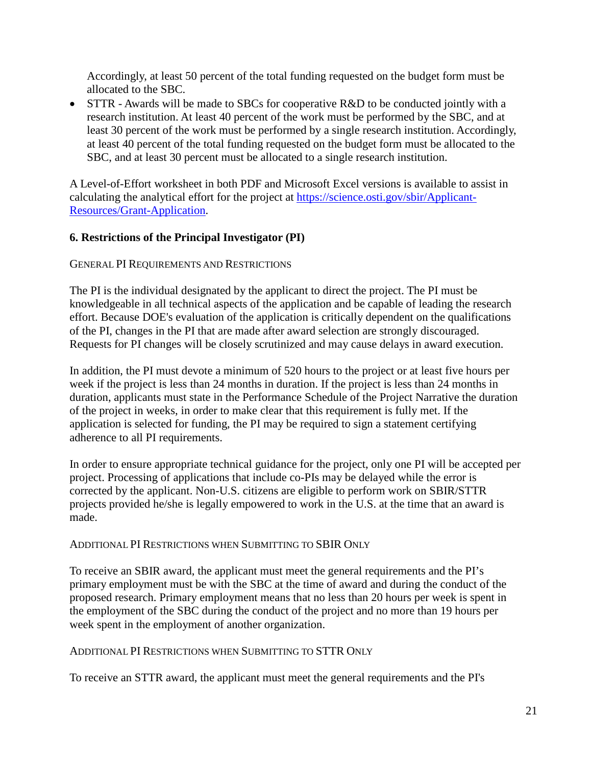Accordingly, at least 50 percent of the total funding requested on the budget form must be allocated to the SBC.

• STTR - Awards will be made to SBCs for cooperative R&D to be conducted jointly with a research institution. At least 40 percent of the work must be performed by the SBC, and at least 30 percent of the work must be performed by a single research institution. Accordingly, at least 40 percent of the total funding requested on the budget form must be allocated to the SBC, and at least 30 percent must be allocated to a single research institution.

A Level-of-Effort worksheet in both PDF and Microsoft Excel versions is available to assist in calculating the analytical effort for the project at [https://science.osti.gov/sbir/Applicant-](https://science.osti.gov/sbir/Applicant-Resources/Grant-Application)[Resources/Grant-Application.](https://science.osti.gov/sbir/Applicant-Resources/Grant-Application)

#### <span id="page-20-0"></span>**6. Restrictions of the Principal Investigator (PI)**

GENERAL PI REQUIREMENTS AND RESTRICTIONS

The PI is the individual designated by the applicant to direct the project. The PI must be knowledgeable in all technical aspects of the application and be capable of leading the research effort. Because DOE's evaluation of the application is critically dependent on the qualifications of the PI, changes in the PI that are made after award selection are strongly discouraged. Requests for PI changes will be closely scrutinized and may cause delays in award execution.

In addition, the PI must devote a minimum of 520 hours to the project or at least five hours per week if the project is less than 24 months in duration. If the project is less than 24 months in duration, applicants must state in the Performance Schedule of the Project Narrative the duration of the project in weeks, in order to make clear that this requirement is fully met. If the application is selected for funding, the PI may be required to sign a statement certifying adherence to all PI requirements.

In order to ensure appropriate technical guidance for the project, only one PI will be accepted per project. Processing of applications that include co-PIs may be delayed while the error is corrected by the applicant. Non-U.S. citizens are eligible to perform work on SBIR/STTR projects provided he/she is legally empowered to work in the U.S. at the time that an award is made.

#### ADDITIONAL PI RESTRICTIONS WHEN SUBMITTING TO SBIR ONLY

To receive an SBIR award, the applicant must meet the general requirements and the PI's primary employment must be with the SBC at the time of award and during the conduct of the proposed research. Primary employment means that no less than 20 hours per week is spent in the employment of the SBC during the conduct of the project and no more than 19 hours per week spent in the employment of another organization.

#### ADDITIONAL PI RESTRICTIONS WHEN SUBMITTING TO STTR ONLY

To receive an STTR award, the applicant must meet the general requirements and the PI's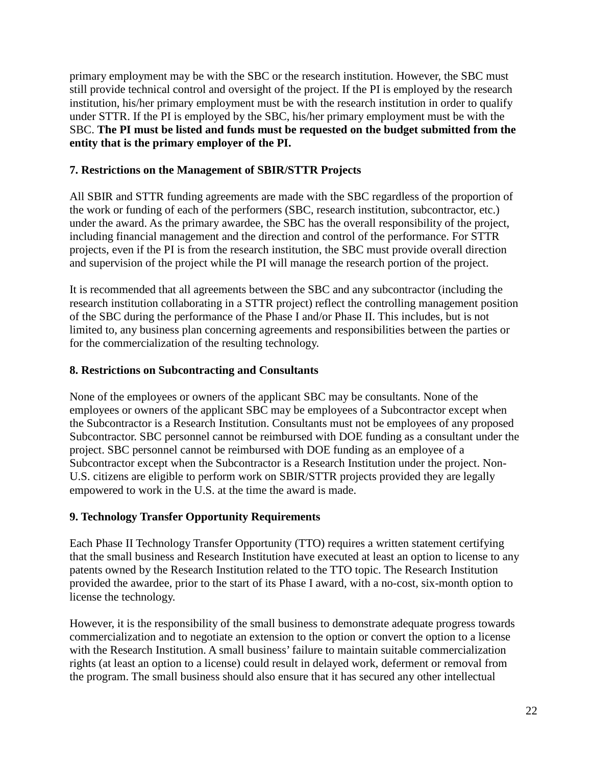primary employment may be with the SBC or the research institution. However, the SBC must still provide technical control and oversight of the project. If the PI is employed by the research institution, his/her primary employment must be with the research institution in order to qualify under STTR. If the PI is employed by the SBC, his/her primary employment must be with the SBC. **The PI must be listed and funds must be requested on the budget submitted from the entity that is the primary employer of the PI.**

### **7. Restrictions on the Management of SBIR/STTR Projects**

All SBIR and STTR funding agreements are made with the SBC regardless of the proportion of the work or funding of each of the performers (SBC, research institution, subcontractor, etc.) under the award. As the primary awardee, the SBC has the overall responsibility of the project, including financial management and the direction and control of the performance. For STTR projects, even if the PI is from the research institution, the SBC must provide overall direction and supervision of the project while the PI will manage the research portion of the project.

It is recommended that all agreements between the SBC and any subcontractor (including the research institution collaborating in a STTR project) reflect the controlling management position of the SBC during the performance of the Phase I and/or Phase II. This includes, but is not limited to, any business plan concerning agreements and responsibilities between the parties or for the commercialization of the resulting technology.

#### **8. Restrictions on Subcontracting and Consultants**

None of the employees or owners of the applicant SBC may be consultants. None of the employees or owners of the applicant SBC may be employees of a Subcontractor except when the Subcontractor is a Research Institution. Consultants must not be employees of any proposed Subcontractor. SBC personnel cannot be reimbursed with DOE funding as a consultant under the project. SBC personnel cannot be reimbursed with DOE funding as an employee of a Subcontractor except when the Subcontractor is a Research Institution under the project. Non-U.S. citizens are eligible to perform work on SBIR/STTR projects provided they are legally empowered to work in the U.S. at the time the award is made.

#### **9. Technology Transfer Opportunity Requirements**

Each Phase II Technology Transfer Opportunity (TTO) requires a written statement certifying that the small business and Research Institution have executed at least an option to license to any patents owned by the Research Institution related to the TTO topic. The Research Institution provided the awardee, prior to the start of its Phase I award, with a no-cost, six-month option to license the technology.

However, it is the responsibility of the small business to demonstrate adequate progress towards commercialization and to negotiate an extension to the option or convert the option to a license with the Research Institution. A small business' failure to maintain suitable commercialization rights (at least an option to a license) could result in delayed work, deferment or removal from the program. The small business should also ensure that it has secured any other intellectual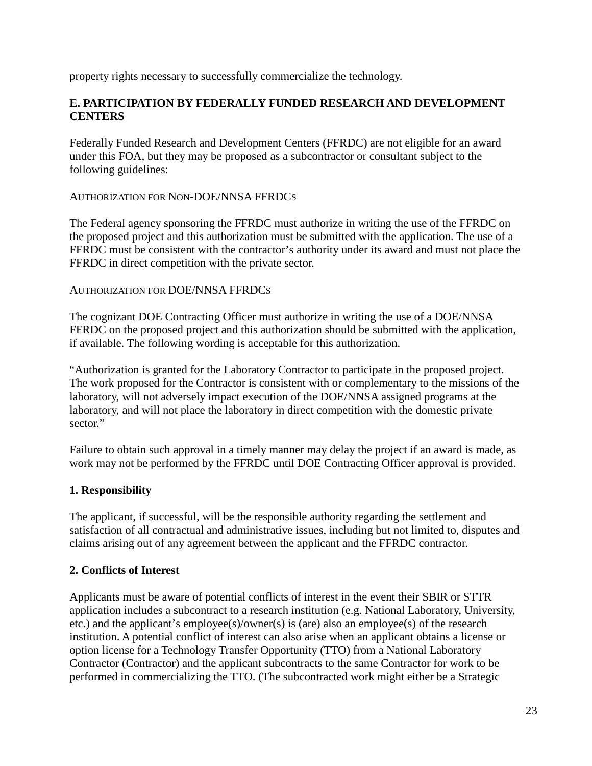property rights necessary to successfully commercialize the technology.

### <span id="page-22-0"></span>**E. PARTICIPATION BY FEDERALLY FUNDED RESEARCH AND DEVELOPMENT CENTERS**

Federally Funded Research and Development Centers (FFRDC) are not eligible for an award under this FOA, but they may be proposed as a subcontractor or consultant subject to the following guidelines:

#### AUTHORIZATION FOR NON-DOE/NNSA FFRDCS

The Federal agency sponsoring the FFRDC must authorize in writing the use of the FFRDC on the proposed project and this authorization must be submitted with the application. The use of a FFRDC must be consistent with the contractor's authority under its award and must not place the FFRDC in direct competition with the private sector.

#### AUTHORIZATION FOR DOE/NNSA FFRDCS

The cognizant DOE Contracting Officer must authorize in writing the use of a DOE/NNSA FFRDC on the proposed project and this authorization should be submitted with the application, if available. The following wording is acceptable for this authorization.

"Authorization is granted for the Laboratory Contractor to participate in the proposed project. The work proposed for the Contractor is consistent with or complementary to the missions of the laboratory, will not adversely impact execution of the DOE/NNSA assigned programs at the laboratory, and will not place the laboratory in direct competition with the domestic private sector."

Failure to obtain such approval in a timely manner may delay the project if an award is made, as work may not be performed by the FFRDC until DOE Contracting Officer approval is provided.

#### **1. Responsibility**

The applicant, if successful, will be the responsible authority regarding the settlement and satisfaction of all contractual and administrative issues, including but not limited to, disputes and claims arising out of any agreement between the applicant and the FFRDC contractor.

#### **2. Conflicts of Interest**

Applicants must be aware of potential conflicts of interest in the event their SBIR or STTR application includes a subcontract to a research institution (e.g. National Laboratory, University, etc.) and the applicant's employee(s)/owner(s) is (are) also an employee(s) of the research institution. A potential conflict of interest can also arise when an applicant obtains a license or option license for a Technology Transfer Opportunity (TTO) from a National Laboratory Contractor (Contractor) and the applicant subcontracts to the same Contractor for work to be performed in commercializing the TTO. (The subcontracted work might either be a Strategic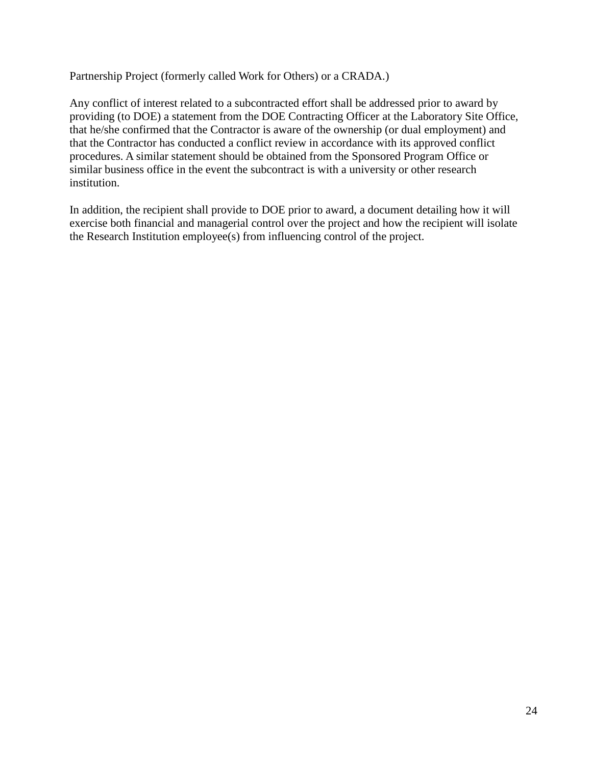Partnership Project (formerly called Work for Others) or a CRADA.)

Any conflict of interest related to a subcontracted effort shall be addressed prior to award by providing (to DOE) a statement from the DOE Contracting Officer at the Laboratory Site Office, that he/she confirmed that the Contractor is aware of the ownership (or dual employment) and that the Contractor has conducted a conflict review in accordance with its approved conflict procedures. A similar statement should be obtained from the Sponsored Program Office or similar business office in the event the subcontract is with a university or other research institution.

In addition, the recipient shall provide to DOE prior to award, a document detailing how it will exercise both financial and managerial control over the project and how the recipient will isolate the Research Institution employee(s) from influencing control of the project.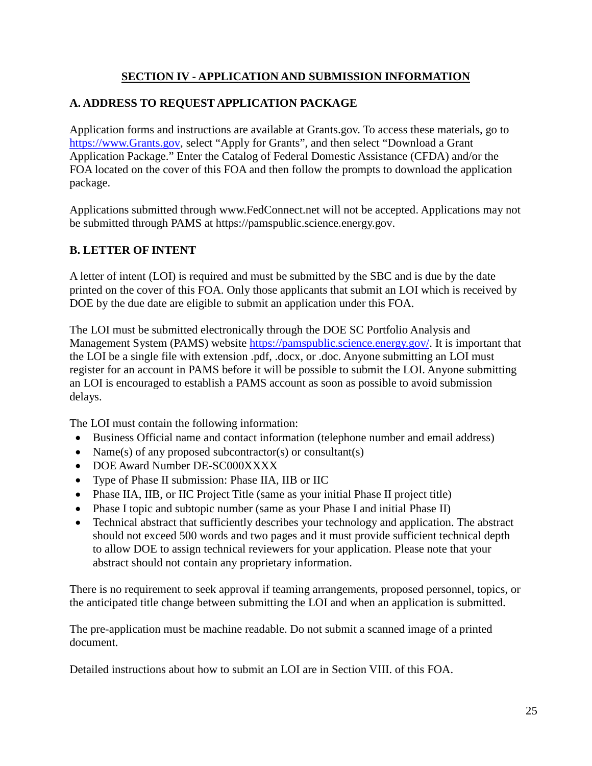## **SECTION IV - APPLICATION AND SUBMISSION INFORMATION**

## <span id="page-24-1"></span><span id="page-24-0"></span>**A. ADDRESS TO REQUEST APPLICATION PACKAGE**

Application forms and instructions are available at Grants.gov. To access these materials, go to [https://www.Grants.gov, s](https://www.grants.gov/)elect "Apply for Grants", and then select "Download a Grant Application Package." Enter the Catalog of Federal Domestic Assistance (CFDA) and/or the FOA located on the cover of this FOA and then follow the prompts to download the application package.

Applications submitted through [www.FedConnect.net](https://www.fedconnect.net/) will not be accepted. Applications may not be submitted through PAMS at [https://pamspublic.science.energy.gov.](https://pamspublic.science.energy.gov/)

## <span id="page-24-2"></span>**B. LETTER OF INTENT**

A letter of intent (LOI) is required and must be submitted by the SBC and is due by the date printed on the cover of this FOA. Only those applicants that submit an LOI which is received by DOE by the due date are eligible to submit an application under this FOA.

The LOI must be submitted electronically through the DOE SC Portfolio Analysis and Management System (PAMS) website [https://pamspublic.science.energy.gov/. I](https://pamspublic.science.energy.gov/)t is important that the LOI be a single file with extension .pdf, .docx, or .doc. Anyone submitting an LOI must register for an account in PAMS before it will be possible to submit the LOI. Anyone submitting an LOI is encouraged to establish a PAMS account as soon as possible to avoid submission delays.

The LOI must contain the following information:

- Business Official name and contact information (telephone number and email address)
- Name(s) of any proposed subcontractor(s) or consultant(s)
- DOE Award Number DE-SC000XXXX
- Type of Phase II submission: Phase IIA, IIB or IIC
- Phase IIA, IIB, or IIC Project Title (same as your initial Phase II project title)
- Phase I topic and subtopic number (same as your Phase I and initial Phase II)
- Technical abstract that sufficiently describes your technology and application. The abstract should not exceed 500 words and two pages and it must provide sufficient technical depth to allow DOE to assign technical reviewers for your application. Please note that your abstract should not contain any proprietary information.

There is no requirement to seek approval if teaming arrangements, proposed personnel, topics, or the anticipated title change between submitting the LOI and when an application is submitted.

The pre-application must be machine readable. Do not submit a scanned image of a printed document.

Detailed instructions about how to submit an LOI are in [Section VIII.](#page-50-0) of this FOA.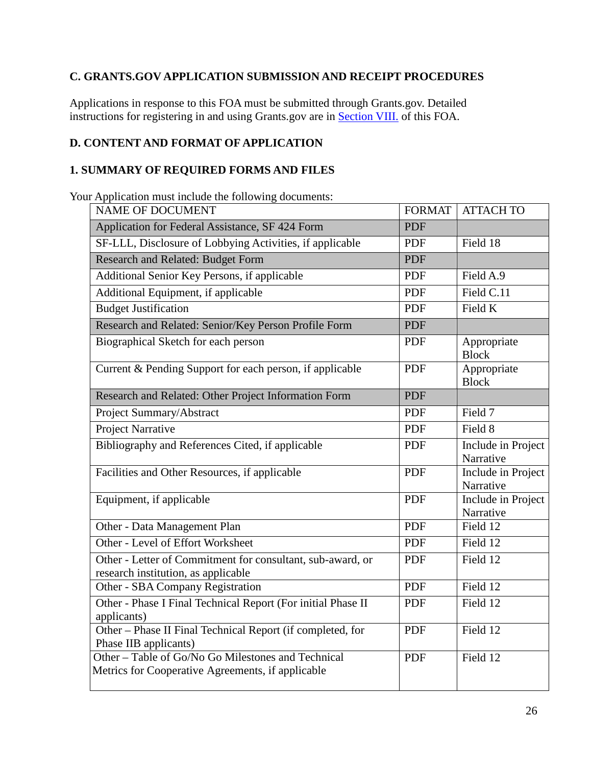## <span id="page-25-1"></span>**C. GRANTS.GOV APPLICATION SUBMISSION AND RECEIPT PROCEDURES**

Applications in response to this FOA must be submitted through Grants.gov. Detailed instructions for registering in and using Grants.gov are in [Section VIII.](#page-52-0) of this FOA.

## <span id="page-25-0"></span>**D. CONTENT AND FORMAT OF APPLICATION**

### **1. SUMMARY OF REQUIRED FORMS AND FILES**

Your Application must include the following documents:

| NAME OF DOCUMENT                                                                                        | <b>FORMAT</b> | <b>ATTACH TO</b>                |
|---------------------------------------------------------------------------------------------------------|---------------|---------------------------------|
| Application for Federal Assistance, SF 424 Form                                                         | <b>PDF</b>    |                                 |
| SF-LLL, Disclosure of Lobbying Activities, if applicable                                                | <b>PDF</b>    | Field 18                        |
| Research and Related: Budget Form                                                                       | <b>PDF</b>    |                                 |
| Additional Senior Key Persons, if applicable                                                            | <b>PDF</b>    | Field A.9                       |
| Additional Equipment, if applicable                                                                     | <b>PDF</b>    | Field C.11                      |
| <b>Budget Justification</b>                                                                             | <b>PDF</b>    | Field K                         |
| Research and Related: Senior/Key Person Profile Form                                                    | <b>PDF</b>    |                                 |
| Biographical Sketch for each person                                                                     | <b>PDF</b>    | Appropriate<br><b>Block</b>     |
| Current & Pending Support for each person, if applicable                                                | <b>PDF</b>    | Appropriate<br><b>Block</b>     |
| Research and Related: Other Project Information Form                                                    | <b>PDF</b>    |                                 |
| Project Summary/Abstract                                                                                | <b>PDF</b>    | Field 7                         |
| Project Narrative                                                                                       | <b>PDF</b>    | Field 8                         |
| Bibliography and References Cited, if applicable                                                        | <b>PDF</b>    | Include in Project<br>Narrative |
| Facilities and Other Resources, if applicable                                                           | <b>PDF</b>    | Include in Project<br>Narrative |
| Equipment, if applicable                                                                                | <b>PDF</b>    | Include in Project<br>Narrative |
| Other - Data Management Plan                                                                            | <b>PDF</b>    | Field 12                        |
| Other - Level of Effort Worksheet                                                                       | <b>PDF</b>    | Field 12                        |
| Other - Letter of Commitment for consultant, sub-award, or<br>research institution, as applicable       | <b>PDF</b>    | Field 12                        |
| Other - SBA Company Registration                                                                        | <b>PDF</b>    | Field 12                        |
| Other - Phase I Final Technical Report (For initial Phase II<br>applicants)                             | <b>PDF</b>    | Field 12                        |
| Other - Phase II Final Technical Report (if completed, for<br>Phase IIB applicants)                     | <b>PDF</b>    | Field 12                        |
| Other – Table of Go/No Go Milestones and Technical<br>Metrics for Cooperative Agreements, if applicable | <b>PDF</b>    | Field 12                        |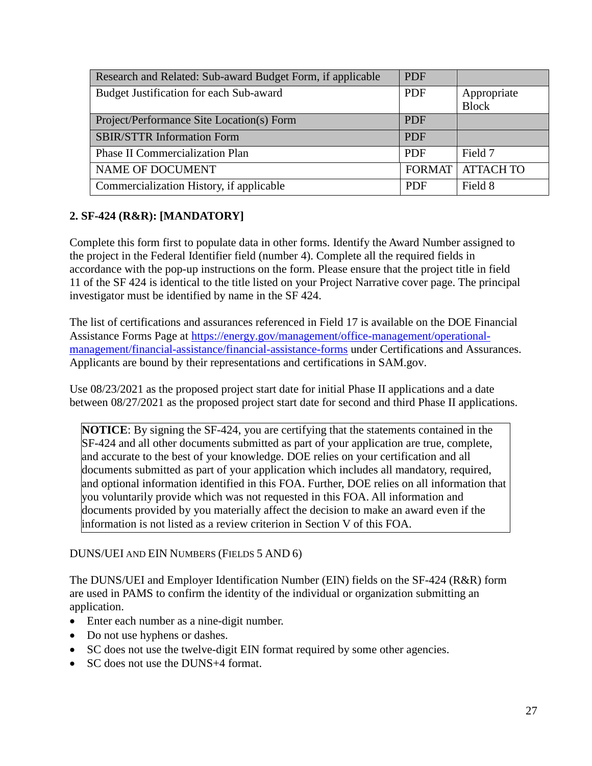| Research and Related: Sub-award Budget Form, if applicable | <b>PDF</b> |                           |
|------------------------------------------------------------|------------|---------------------------|
| Budget Justification for each Sub-award                    | <b>PDF</b> | Appropriate               |
|                                                            |            | <b>Block</b>              |
| Project/Performance Site Location(s) Form                  | <b>PDF</b> |                           |
| <b>SBIR/STTR Information Form</b>                          | <b>PDF</b> |                           |
| <b>Phase II Commercialization Plan</b>                     | <b>PDF</b> | Field 7                   |
| <b>NAME OF DOCUMENT</b>                                    |            | <b>FORMAT   ATTACH TO</b> |
| Commercialization History, if applicable                   | <b>PDF</b> | Field 8                   |

## **2. SF-424 (R&R): [MANDATORY]**

Complete this form first to populate data in other forms. Identify the Award Number assigned to the project in the Federal Identifier field (number 4). Complete all the required fields in accordance with the pop-up instructions on the form. Please ensure that the project title in field 11 of the SF 424 is identical to the title listed on your Project Narrative cover page. The principal investigator must be identified by name in the SF 424.

The list of certifications and assurances referenced in Field 17 is available on the DOE Financial Assistance Forms Page at [https://energy.gov/management/office-management/operational](https://energy.gov/management/office-management/operational-management/financial-assistance/financial-assistance-forms)[management/financial-assistance/financial-assistance-forms](https://energy.gov/management/office-management/operational-management/financial-assistance/financial-assistance-forms) under Certifications and Assurances. Applicants are bound by their representations and certifications in SAM.gov.

Use 08/23/2021 as the proposed project start date for initial Phase II applications and a date between 08/27/2021 as the proposed project start date for second and third Phase II applications.

**NOTICE**: By signing the SF-424, you are certifying that the statements contained in the SF-424 and all other documents submitted as part of your application are true, complete, and accurate to the best of your knowledge. DOE relies on your certification and all documents submitted as part of your application which includes all mandatory, required, and optional information identified in this FOA. Further, DOE relies on all information that you voluntarily provide which was not requested in this FOA. All information and documents provided by you materially affect the decision to make an award even if the information is not listed as a review criterion in Section V of this FOA.

DUNS/UEI AND EIN NUMBERS (FIELDS 5 AND 6)

The DUNS/UEI and Employer Identification Number (EIN) fields on the SF-424 (R&R) form are used in PAMS to confirm the identity of the individual or organization submitting an application.

- Enter each number as a nine-digit number.
- Do not use hyphens or dashes.
- SC does not use the twelve-digit EIN format required by some other agencies.
- SC does not use the DUNS+4 format.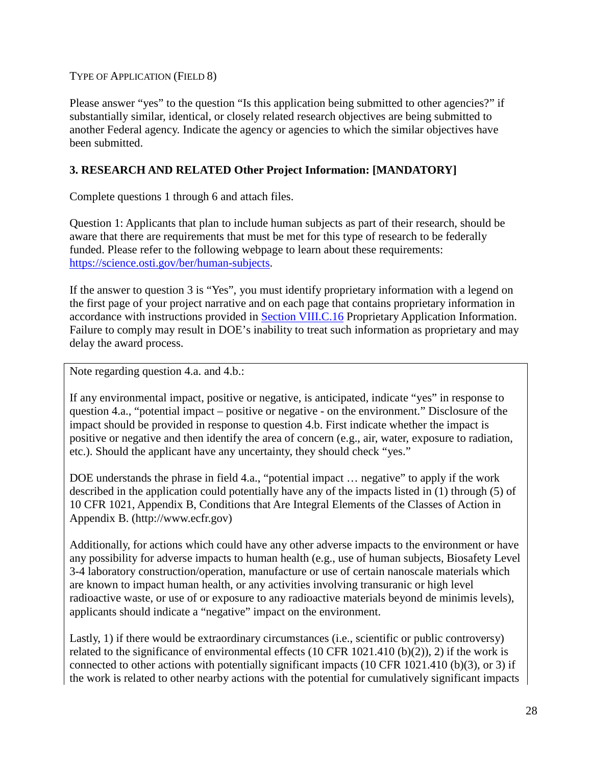TYPE OF APPLICATION (FIELD 8)

Please answer "yes" to the question "Is this application being submitted to other agencies?" if substantially similar, identical, or closely related research objectives are being submitted to another Federal agency. Indicate the agency or agencies to which the similar objectives have been submitted.

### **3. RESEARCH AND RELATED Other Project Information: [MANDATORY]**

Complete questions 1 through 6 and attach files.

Question 1: Applicants that plan to include human subjects as part of their research, should be aware that there are requirements that must be met for this type of research to be federally funded. Please refer to the following webpage to learn about these requirements: [https://science.osti.gov/ber/human-subjects.](https://science.osti.gov/ber/human-subjects)

If the answer to question 3 is "Yes", you must identify proprietary information with a legend on the first page of your project narrative and on each page that contains proprietary information in accordance with instructions provided in [Section VIII.C.16](#page-84-0) Proprietary Application Information. Failure to comply may result in DOE's inability to treat such information as proprietary and may delay the award process.

Note regarding question 4.a. and 4.b.:

If any environmental impact, positive or negative, is anticipated, indicate "yes" in response to question 4.a., "potential impact – positive or negative - on the environment." Disclosure of the impact should be provided in response to question 4.b. First indicate whether the impact is positive or negative and then identify the area of concern (e.g., air, water, exposure to radiation, etc.). Should the applicant have any uncertainty, they should check "yes."

DOE understands the phrase in field 4.a., "potential impact ... negative" to apply if the work described in the application could potentially have any of the impacts listed in (1) through (5) of 10 CFR 1021, Appendix B, Conditions that Are Integral Elements of the Classes of Action in Appendix B. (http://www.ecfr.gov)

Additionally, for actions which could have any other adverse impacts to the environment or have any possibility for adverse impacts to human health (e.g., use of human subjects, Biosafety Level 3-4 laboratory construction/operation, manufacture or use of certain nanoscale materials which are known to impact human health, or any activities involving transuranic or high level radioactive waste, or use of or exposure to any radioactive materials beyond de minimis levels), applicants should indicate a "negative" impact on the environment.

Lastly, 1) if there would be extraordinary circumstances (i.e., scientific or public controversy) related to the significance of environmental effects (10 CFR 1021.410 (b)(2)), 2) if the work is connected to other actions with potentially significant impacts (10 CFR 1021.410 (b)(3), or 3) if the work is related to other nearby actions with the potential for cumulatively significant impacts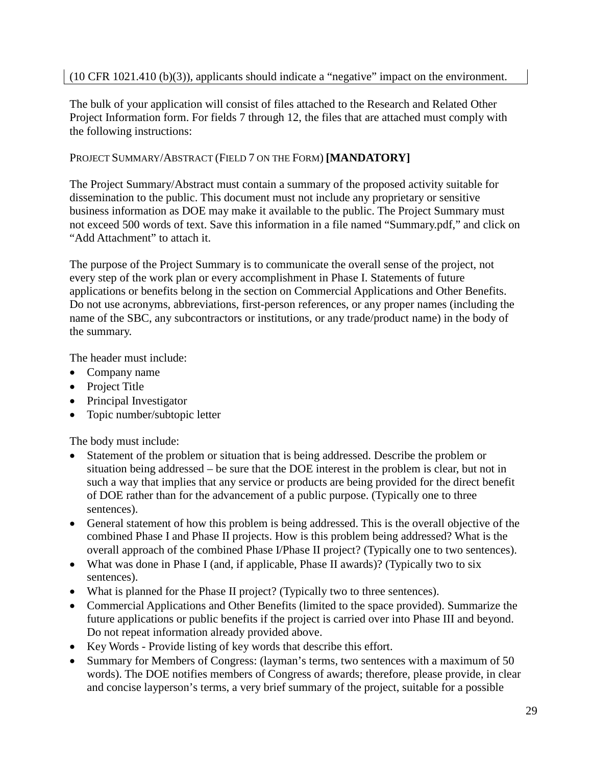## (10 CFR 1021.410 (b)(3)), applicants should indicate a "negative" impact on the environment.

The bulk of your application will consist of files attached to the Research and Related Other Project Information form. For fields 7 through 12, the files that are attached must comply with the following instructions:

## PROJECT SUMMARY/ABSTRACT (FIELD 7 ON THE FORM) **[MANDATORY]**

The Project Summary/Abstract must contain a summary of the proposed activity suitable for dissemination to the public. This document must not include any proprietary or sensitive business information as DOE may make it available to the public. The Project Summary must not exceed 500 words of text. Save this information in a file named "Summary.pdf," and click on "Add Attachment" to attach it.

The purpose of the Project Summary is to communicate the overall sense of the project, not every step of the work plan or every accomplishment in Phase I. Statements of future applications or benefits belong in the section on Commercial Applications and Other Benefits. Do not use acronyms, abbreviations, first-person references, or any proper names (including the name of the SBC, any subcontractors or institutions, or any trade/product name) in the body of the summary.

The header must include:

- Company name
- Project Title
- Principal Investigator
- Topic number/subtopic letter

The body must include:

- Statement of the problem or situation that is being addressed. Describe the problem or situation being addressed – be sure that the DOE interest in the problem is clear, but not in such a way that implies that any service or products are being provided for the direct benefit of DOE rather than for the advancement of a public purpose. (Typically one to three sentences).
- General statement of how this problem is being addressed. This is the overall objective of the combined Phase I and Phase II projects. How is this problem being addressed? What is the overall approach of the combined Phase I/Phase II project? (Typically one to two sentences).
- What was done in Phase I (and, if applicable, Phase II awards)? (Typically two to six sentences).
- What is planned for the Phase II project? (Typically two to three sentences).
- Commercial Applications and Other Benefits (limited to the space provided). Summarize the future applications or public benefits if the project is carried over into Phase III and beyond. Do not repeat information already provided above.
- Key Words Provide listing of key words that describe this effort.
- Summary for Members of Congress: (layman's terms, two sentences with a maximum of 50 words). The DOE notifies members of Congress of awards; therefore, please provide, in clear and concise layperson's terms, a very brief summary of the project, suitable for a possible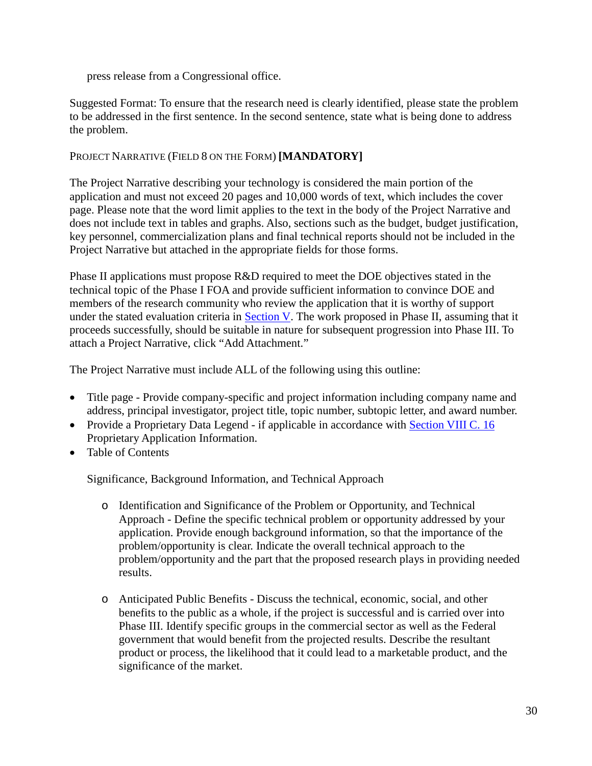press release from a Congressional office.

Suggested Format: To ensure that the research need is clearly identified, please state the problem to be addressed in the first sentence. In the second sentence, state what is being done to address the problem.

### PROJECT NARRATIVE (FIELD 8 ON THE FORM) **[MANDATORY]**

The Project Narrative describing your technology is considered the main portion of the application and must not exceed 20 pages and 10,000 words of text, which includes the cover page. Please note that the word limit applies to the text in the body of the Project Narrative and does not include text in tables and graphs. Also, sections such as the budget, budget justification, key personnel, commercialization plans and final technical reports should not be included in the Project Narrative but attached in the appropriate fields for those forms.

Phase II applications must propose R&D required to meet the DOE objectives stated in the technical topic of the Phase I FOA and provide sufficient information to convince DOE and members of the research community who review the application that it is worthy of support under the stated evaluation criteria in [Section V.](#page-40-1) The work proposed in Phase II, assuming that it proceeds successfully, should be suitable in nature for subsequent progression into Phase III. To attach a Project Narrative, click "Add Attachment."

The Project Narrative must include ALL of the following using this outline:

- Title page Provide company-specific and project information including company name and address, principal investigator, project title, topic number, subtopic letter, and award number.
- Provide a Proprietary Data Legend if applicable in accordance with [Section VIII C.](#page-84-0) 16 Proprietary Application Information.
- Table of Contents

Significance, Background Information, and Technical Approach

- o Identification and Significance of the Problem or Opportunity, and Technical Approach - Define the specific technical problem or opportunity addressed by your application. Provide enough background information, so that the importance of the problem/opportunity is clear. Indicate the overall technical approach to the problem/opportunity and the part that the proposed research plays in providing needed results.
- o Anticipated Public Benefits Discuss the technical, economic, social, and other benefits to the public as a whole, if the project is successful and is carried over into Phase III. Identify specific groups in the commercial sector as well as the Federal government that would benefit from the projected results. Describe the resultant product or process, the likelihood that it could lead to a marketable product, and the significance of the market.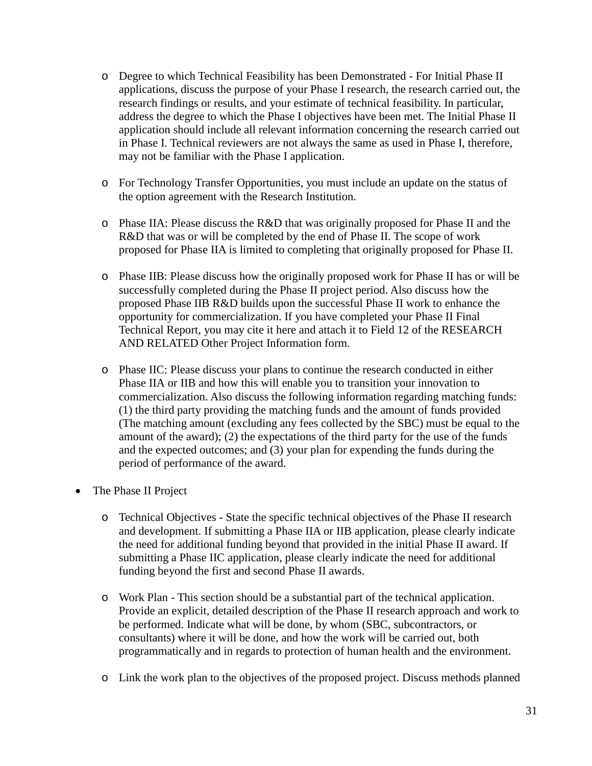- o Degree to which Technical Feasibility has been Demonstrated For Initial Phase II applications, discuss the purpose of your Phase I research, the research carried out, the research findings or results, and your estimate of technical feasibility. In particular, address the degree to which the Phase I objectives have been met. The Initial Phase II application should include all relevant information concerning the research carried out in Phase I. Technical reviewers are not always the same as used in Phase I, therefore, may not be familiar with the Phase I application.
- o For Technology Transfer Opportunities, you must include an update on the status of the option agreement with the Research Institution.
- o Phase IIA: Please discuss the R&D that was originally proposed for Phase II and the R&D that was or will be completed by the end of Phase II. The scope of work proposed for Phase IIA is limited to completing that originally proposed for Phase II.
- o Phase IIB: Please discuss how the originally proposed work for Phase II has or will be successfully completed during the Phase II project period. Also discuss how the proposed Phase IIB R&D builds upon the successful Phase II work to enhance the opportunity for commercialization. If you have completed your Phase II Final Technical Report, you may cite it here and attach it to Field 12 of the RESEARCH AND RELATED Other Project Information form.
- o Phase IIC: Please discuss your plans to continue the research conducted in either Phase IIA or IIB and how this will enable you to transition your innovation to commercialization. Also discuss the following information regarding matching funds: (1) the third party providing the matching funds and the amount of funds provided (The matching amount (excluding any fees collected by the SBC) must be equal to the amount of the award); (2) the expectations of the third party for the use of the funds and the expected outcomes; and (3) your plan for expending the funds during the period of performance of the award.
- The Phase II Project
	- o Technical Objectives State the specific technical objectives of the Phase II research and development. If submitting a Phase IIA or IIB application, please clearly indicate the need for additional funding beyond that provided in the initial Phase II award. If submitting a Phase IIC application, please clearly indicate the need for additional funding beyond the first and second Phase II awards.
	- o Work Plan This section should be a substantial part of the technical application. Provide an explicit, detailed description of the Phase II research approach and work to be performed. Indicate what will be done, by whom (SBC, subcontractors, or consultants) where it will be done, and how the work will be carried out, both programmatically and in regards to protection of human health and the environment.
	- o Link the work plan to the objectives of the proposed project. Discuss methods planned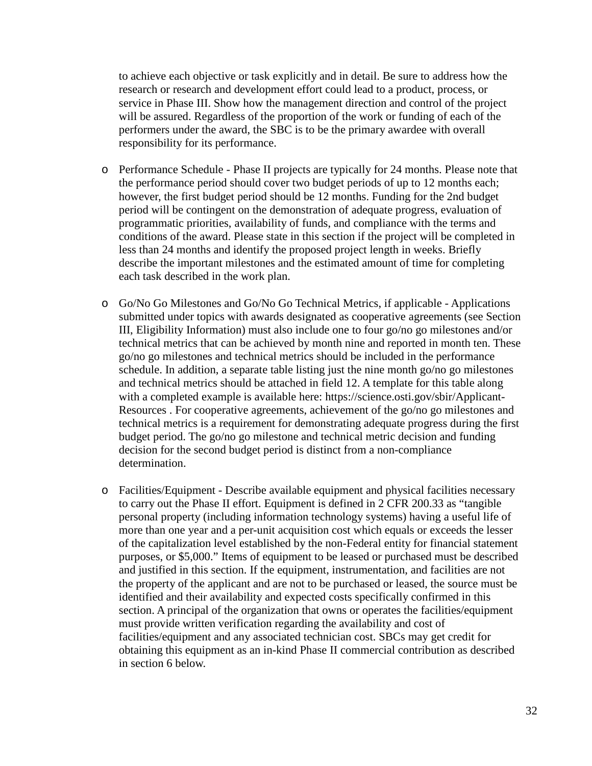to achieve each objective or task explicitly and in detail. Be sure to address how the research or research and development effort could lead to a product, process, or service in Phase III. Show how the management direction and control of the project will be assured. Regardless of the proportion of the work or funding of each of the performers under the award, the SBC is to be the primary awardee with overall responsibility for its performance.

- o Performance Schedule Phase II projects are typically for 24 months. Please note that the performance period should cover two budget periods of up to 12 months each; however, the first budget period should be 12 months. Funding for the 2nd budget period will be contingent on the demonstration of adequate progress, evaluation of programmatic priorities, availability of funds, and compliance with the terms and conditions of the award. Please state in this section if the project will be completed in less than 24 months and identify the proposed project length in weeks. Briefly describe the important milestones and the estimated amount of time for completing each task described in the work plan.
- o Go/No Go Milestones and Go/No Go Technical Metrics, if applicable Applications submitted under topics with awards designated as cooperative agreements (see Section III, Eligibility Information) must also include one to four go/no go milestones and/or technical metrics that can be achieved by month nine and reported in month ten. These go/no go milestones and technical metrics should be included in the performance schedule. In addition, a separate table listing just the nine month go/no go milestones and technical metrics should be attached in field 12. A template for this table along with a completed example is available here: https://science.osti.gov/sbir/Applicant-Resources . For cooperative agreements, achievement of the go/no go milestones and technical metrics is a requirement for demonstrating adequate progress during the first budget period. The go/no go milestone and technical metric decision and funding decision for the second budget period is distinct from a non-compliance determination.
- o Facilities/Equipment Describe available equipment and physical facilities necessary to carry out the Phase II effort. Equipment is defined in 2 CFR 200.33 as "tangible personal property (including information technology systems) having a useful life of more than one year and a per-unit acquisition cost which equals or exceeds the lesser of the capitalization level established by the non-Federal entity for financial statement purposes, or \$5,000." Items of equipment to be leased or purchased must be described and justified in this section. If the equipment, instrumentation, and facilities are not the property of the applicant and are not to be purchased or leased, the source must be identified and their availability and expected costs specifically confirmed in this section. A principal of the organization that owns or operates the facilities/equipment must provide written verification regarding the availability and cost of facilities/equipment and any associated technician cost. SBCs may get credit for obtaining this equipment as an in-kind Phase II commercial contribution as described in section 6 below.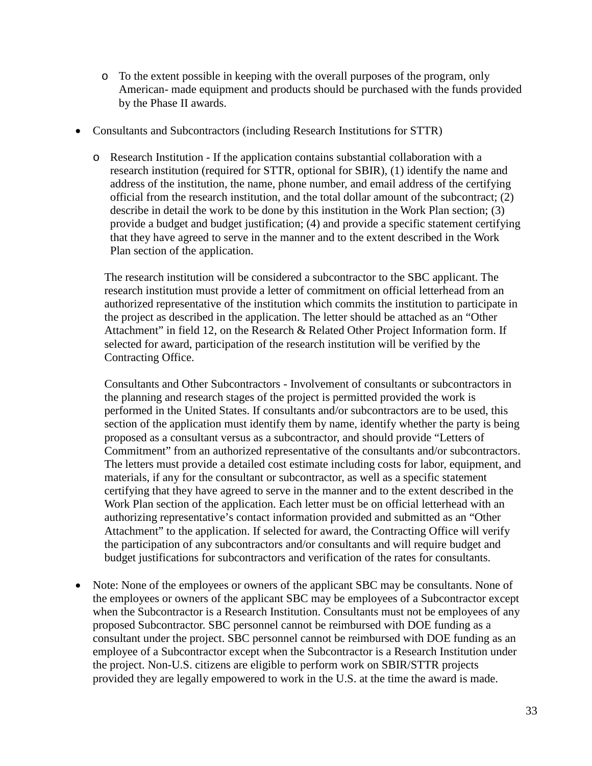- o To the extent possible in keeping with the overall purposes of the program, only American- made equipment and products should be purchased with the funds provided by the Phase II awards.
- Consultants and Subcontractors (including Research Institutions for STTR)
	- o Research Institution If the application contains substantial collaboration with a research institution (required for STTR, optional for SBIR), (1) identify the name and address of the institution, the name, phone number, and email address of the certifying official from the research institution, and the total dollar amount of the subcontract; (2) describe in detail the work to be done by this institution in the Work Plan section; (3) provide a budget and budget justification; (4) and provide a specific statement certifying that they have agreed to serve in the manner and to the extent described in the Work Plan section of the application.

The research institution will be considered a subcontractor to the SBC applicant. The research institution must provide a letter of commitment on official letterhead from an authorized representative of the institution which commits the institution to participate in the project as described in the application. The letter should be attached as an "Other Attachment" in field 12, on the Research & Related Other Project Information form. If selected for award, participation of the research institution will be verified by the Contracting Office.

Consultants and Other Subcontractors - Involvement of consultants or subcontractors in the planning and research stages of the project is permitted provided the work is performed in the United States. If consultants and/or subcontractors are to be used, this section of the application must identify them by name, identify whether the party is being proposed as a consultant versus as a subcontractor, and should provide "Letters of Commitment" from an authorized representative of the consultants and/or subcontractors. The letters must provide a detailed cost estimate including costs for labor, equipment, and materials, if any for the consultant or subcontractor, as well as a specific statement certifying that they have agreed to serve in the manner and to the extent described in the Work Plan section of the application. Each letter must be on official letterhead with an authorizing representative's contact information provided and submitted as an "Other Attachment" to the application. If selected for award, the Contracting Office will verify the participation of any subcontractors and/or consultants and will require budget and budget justifications for subcontractors and verification of the rates for consultants.

• Note: None of the employees or owners of the applicant SBC may be consultants. None of the employees or owners of the applicant SBC may be employees of a Subcontractor except when the Subcontractor is a Research Institution. Consultants must not be employees of any proposed Subcontractor. SBC personnel cannot be reimbursed with DOE funding as a consultant under the project. SBC personnel cannot be reimbursed with DOE funding as an employee of a Subcontractor except when the Subcontractor is a Research Institution under the project. Non-U.S. citizens are eligible to perform work on SBIR/STTR projects provided they are legally empowered to work in the U.S. at the time the award is made.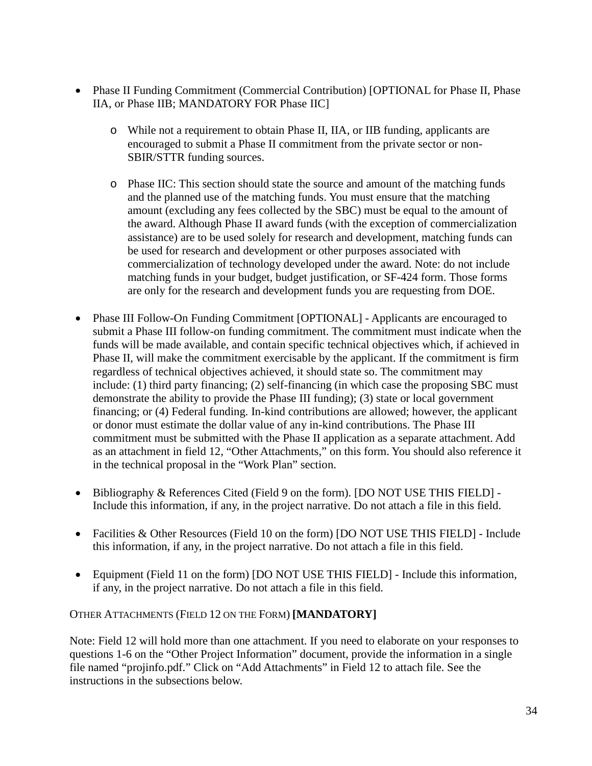- Phase II Funding Commitment (Commercial Contribution) [OPTIONAL for Phase II, Phase IIA, or Phase IIB; MANDATORY FOR Phase IIC]
	- o While not a requirement to obtain Phase II, IIA, or IIB funding, applicants are encouraged to submit a Phase II commitment from the private sector or non-SBIR/STTR funding sources.
	- o Phase IIC: This section should state the source and amount of the matching funds and the planned use of the matching funds. You must ensure that the matching amount (excluding any fees collected by the SBC) must be equal to the amount of the award. Although Phase II award funds (with the exception of commercialization assistance) are to be used solely for research and development, matching funds can be used for research and development or other purposes associated with commercialization of technology developed under the award. Note: do not include matching funds in your budget, budget justification, or SF-424 form. Those forms are only for the research and development funds you are requesting from DOE.
- Phase III Follow-On Funding Commitment [OPTIONAL] Applicants are encouraged to submit a Phase III follow-on funding commitment. The commitment must indicate when the funds will be made available, and contain specific technical objectives which, if achieved in Phase II, will make the commitment exercisable by the applicant. If the commitment is firm regardless of technical objectives achieved, it should state so. The commitment may include: (1) third party financing; (2) self-financing (in which case the proposing SBC must demonstrate the ability to provide the Phase III funding); (3) state or local government financing; or (4) Federal funding. In-kind contributions are allowed; however, the applicant or donor must estimate the dollar value of any in-kind contributions. The Phase III commitment must be submitted with the Phase II application as a separate attachment. Add as an attachment in field 12, "Other Attachments," on this form. You should also reference it in the technical proposal in the "Work Plan" section.
- Bibliography & References Cited (Field 9 on the form). [DO NOT USE THIS FIELD] Include this information, if any, in the project narrative. Do not attach a file in this field.
- Facilities & Other Resources (Field 10 on the form) [DO NOT USE THIS FIELD] Include this information, if any, in the project narrative. Do not attach a file in this field.
- Equipment (Field 11 on the form) [DO NOT USE THIS FIELD] Include this information, if any, in the project narrative. Do not attach a file in this field.

#### OTHER ATTACHMENTS (FIELD 12 ON THE FORM) **[MANDATORY]**

Note: Field 12 will hold more than one attachment. If you need to elaborate on your responses to questions 1-6 on the "Other Project Information" document, provide the information in a single file named "projinfo.pdf." Click on "Add Attachments" in Field 12 to attach file. See the instructions in the subsections below.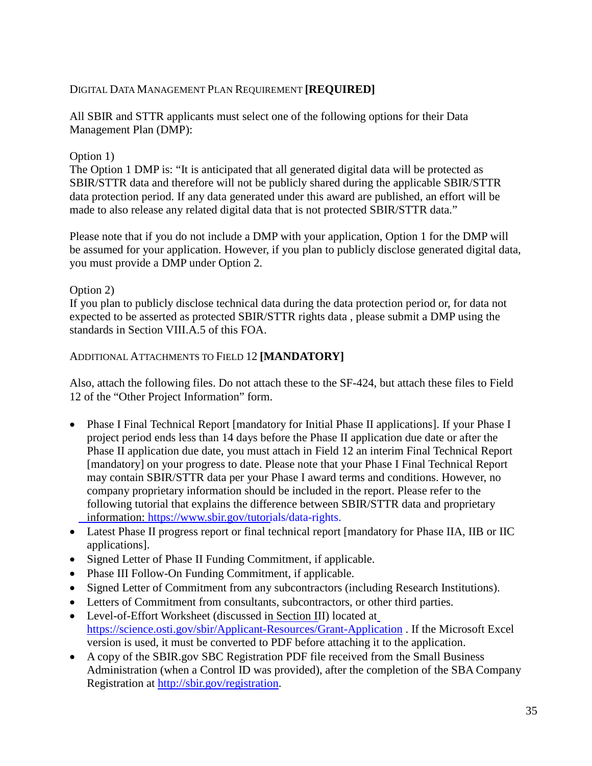### DIGITAL DATA MANAGEMENT PLAN REQUIREMENT **[REQUIRED]**

All SBIR and STTR applicants must select one of the following options for their Data Management Plan (DMP):

#### Option 1)

The Option 1 DMP is: "It is anticipated that all generated digital data will be protected as SBIR/STTR data and therefore will not be publicly shared during the applicable SBIR/STTR data protection period. If any data generated under this award are published, an effort will be made to also release any related digital data that is not protected SBIR/STTR data."

Please note that if you do not include a DMP with your application, Option 1 for the DMP will be assumed for your application. However, if you plan to publicly disclose generated digital data, you must provide a DMP under Option 2.

#### Option 2)

If you plan to publicly disclose technical data during the data protection period or, for data not expected to be asserted as protected SBIR/STTR rights data , please submit a DMP using the standards in Section VIII.A.5 of this FOA.

#### ADDITIONAL ATTACHMENTS TO FIELD 12 **[MANDATORY]**

Also, attach the following files. Do not attach these to the SF-424, but attach these files to Field 12 of the "Other Project Information" form.

- Phase I Final Technical Report [mandatory for Initial Phase II applications]. If your Phase I project period ends less than 14 days before the Phase II application due date or after the Phase II application due date, you must attach in Field 12 an interim Final Technical Report [mandatory] on your progress to date. Please note that your Phase I Final Technical Report may contain SBIR/STTR data per your Phase I award terms and conditions. However, no company proprietary information should be included in the report. Please refer to the following tutorial that explains the difference between SBIR/STTR data and proprietary information: <https://www.sbir.gov/tutorials/data-rights.>
- Latest Phase II progress report or final technical report [mandatory for Phase IIA, IIB or IIC applications].
- Signed Letter of Phase II Funding Commitment, if applicable.
- Phase III Follow-On Funding Commitment, if applicable.
- Signed Letter of Commitment from any subcontractors (including Research Institutions).
- Letters of Commitment from consultants, subcontractors, or other third parties.
- Level-of-Effort Worksheet (discussed in [Section III\)](#page-9-2) located a[t](https://science.osti.gov/sbir/Applicant-Resources/Grant-Application) <https://science.osti.gov/sbir/Applicant-Resources/Grant-Application> . If the Microsoft Excel version is used, it must be converted to PDF before attaching it to the application.
- A copy of the SBIR.gov SBC Registration PDF file received from the Small Business Administration (when a Control ID was provided), after the completion of the SBA Company Registration at [http://sbir.gov/registration.](http://sbir.gov/registration)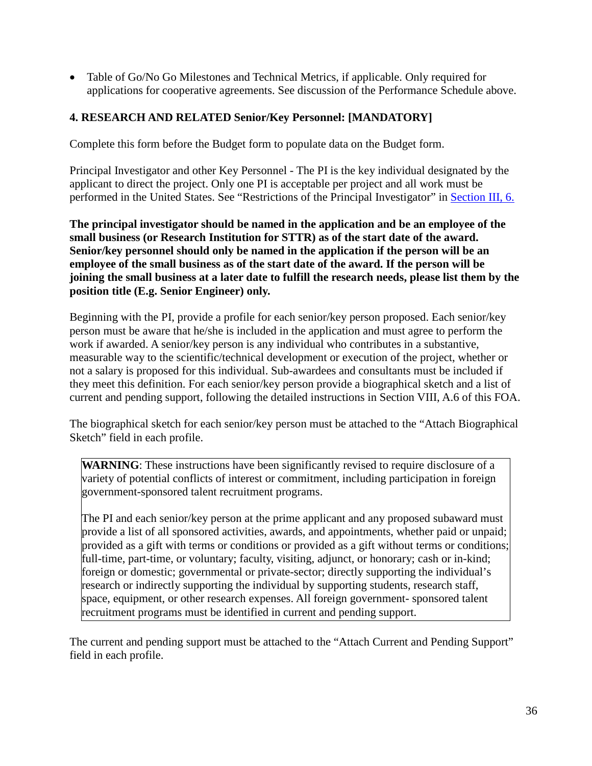• Table of Go/No Go Milestones and Technical Metrics, if applicable. Only required for applications for cooperative agreements. See discussion of the Performance Schedule above.

## **4. RESEARCH AND RELATED Senior/Key Personnel: [MANDATORY]**

Complete this form before the Budget form to populate data on the Budget form.

Principal Investigator and other Key Personnel - The PI is the key individual designated by the applicant to direct the project. Only one PI is acceptable per project and all work must be performed in the United States. See "Restrictions of the Principal Investigator" in [Section III, 6.](#page-20-0)

**The principal investigator should be named in the application and be an employee of the small business (or Research Institution for STTR) as of the start date of the award. Senior/key personnel should only be named in the application if the person will be an employee of the small business as of the start date of the award. If the person will be joining the small business at a later date to fulfill the research needs, please list them by the position title (E.g. Senior Engineer) only.**

Beginning with the PI, provide a profile for each senior/key person proposed. Each senior/key person must be aware that he/she is included in the application and must agree to perform the work if awarded. A senior/key person is any individual who contributes in a substantive, measurable way to the scientific/technical development or execution of the project, whether or not a salary is proposed for this individual. Sub-awardees and consultants must be included if they meet this definition. For each senior/key person provide a biographical sketch and a list of current and pending support, following the detailed instructions in Section VIII, A.6 of this FOA.

The biographical sketch for each senior/key person must be attached to the "Attach Biographical Sketch" field in each profile.

WARNING: These instructions have been significantly revised to require disclosure of a variety of potential conflicts of interest or commitment, including participation in foreign government-sponsored talent recruitment programs.

The PI and each senior/key person at the prime applicant and any proposed subaward must provide a list of all sponsored activities, awards, and appointments, whether paid or unpaid; provided as a gift with terms or conditions or provided as a gift without terms or conditions; full-time, part-time, or voluntary; faculty, visiting, adjunct, or honorary; cash or in-kind; foreign or domestic; governmental or private-sector; directly supporting the individual's research or indirectly supporting the individual by supporting students, research staff, space, equipment, or other research expenses. All foreign government- sponsored talent recruitment programs must be identified in current and pending support.

The current and pending support must be attached to the "Attach Current and Pending Support" field in each profile.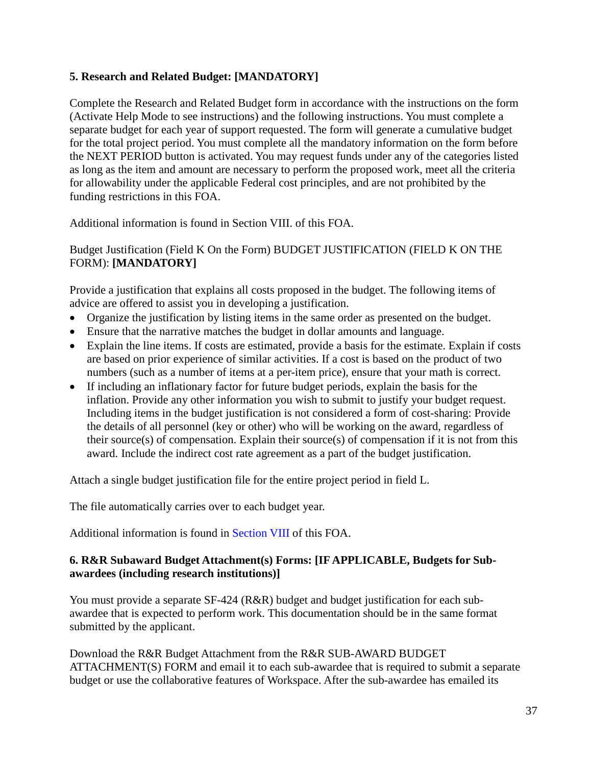## **5. Research and Related Budget: [MANDATORY]**

Complete the Research and Related Budget form in accordance with the instructions on the form (Activate Help Mode to see instructions) and the following instructions. You must complete a separate budget for each year of support requested. The form will generate a cumulative budget for the total project period. You must complete all the mandatory information on the form before the NEXT PERIOD button is activated. You may request funds under any of the categories listed as long as the item and amount are necessary to perform the proposed work, meet all the criteria for allowability under the applicable Federal cost principles, and are not prohibited by the funding restrictions in this FOA.

Additional information is found in [Section VIII.](#page-50-0) of this FOA.

## Budget Justification (Field K On the Form) BUDGET JUSTIFICATION (FIELD K ON THE FORM): **[MANDATORY]**

Provide a justification that explains all costs proposed in the budget. The following items of advice are offered to assist you in developing a justification.

- Organize the justification by listing items in the same order as presented on the budget.
- Ensure that the narrative matches the budget in dollar amounts and language.
- Explain the line items. If costs are estimated, provide a basis for the estimate. Explain if costs are based on prior experience of similar activities. If a cost is based on the product of two numbers (such as a number of items at a per-item price), ensure that your math is correct.
- If including an inflationary factor for future budget periods, explain the basis for the inflation. Provide any other information you wish to submit to justify your budget request. Including items in the budget justification is not considered a form of cost-sharing: Provide the details of all personnel (key or other) who will be working on the award, regardless of their source(s) of compensation. Explain their source(s) of compensation if it is not from this award. Include the indirect cost rate agreement as a part of the budget justification.

Attach a single budget justification file for the entire project period in field L.

The file automatically carries over to each budget year.

Additional information is found in [Section VIII](#page-61-0) of this FOA.

#### **6. R&R Subaward Budget Attachment(s) Forms: [IF APPLICABLE, Budgets for Subawardees (including research institutions)]**

You must provide a separate SF-424 (R&R) budget and budget justification for each subawardee that is expected to perform work. This documentation should be in the same format submitted by the applicant.

Download the R&R Budget Attachment from the R&R SUB-AWARD BUDGET ATTACHMENT(S) FORM and email it to each sub-awardee that is required to submit a separate budget or use the collaborative features of Workspace. After the sub-awardee has emailed its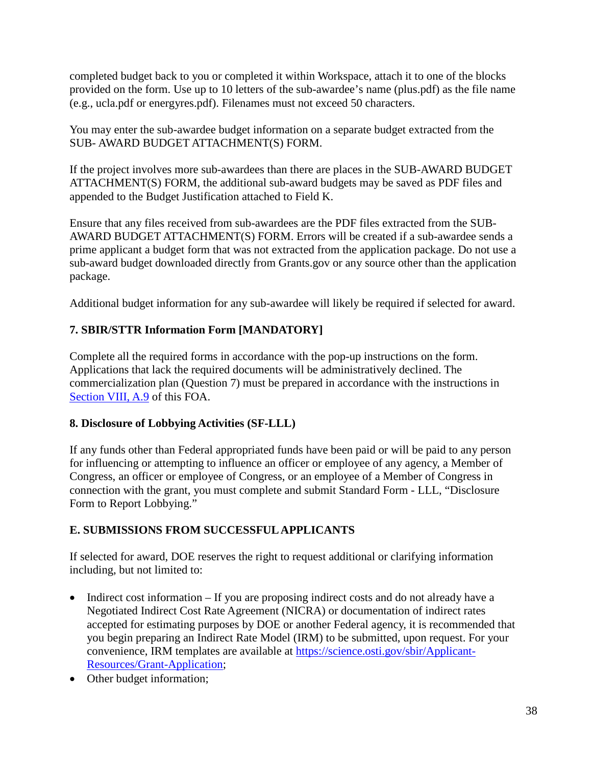completed budget back to you or completed it within Workspace, attach it to one of the blocks provided on the form. Use up to 10 letters of the sub-awardee's name (plus.pdf) as the file name (e.g., ucla.pdf or energyres.pdf). Filenames must not exceed 50 characters.

You may enter the sub-awardee budget information on a separate budget extracted from the SUB- AWARD BUDGET ATTACHMENT(S) FORM.

If the project involves more sub-awardees than there are places in the SUB-AWARD BUDGET ATTACHMENT(S) FORM, the additional sub-award budgets may be saved as PDF files and appended to the Budget Justification attached to Field K.

Ensure that any files received from sub-awardees are the PDF files extracted from the SUB-AWARD BUDGET ATTACHMENT(S) FORM. Errors will be created if a sub-awardee sends a prime applicant a budget form that was not extracted from the application package. Do not use a sub-award budget downloaded directly from Grants.gov or any source other than the application package.

Additional budget information for any sub-awardee will likely be required if selected for award.

# **7. SBIR/STTR Information Form [MANDATORY]**

Complete all the required forms in accordance with the pop-up instructions on the form. Applications that lack the required documents will be administratively declined. The commercialization plan (Question 7) must be prepared in accordance with the instructions in [Section VIII, A.9](#page-67-0) of this FOA.

## **8. Disclosure of Lobbying Activities (SF-LLL)**

If any funds other than Federal appropriated funds have been paid or will be paid to any person for influencing or attempting to influence an officer or employee of any agency, a Member of Congress, an officer or employee of Congress, or an employee of a Member of Congress in connection with the grant, you must complete and submit Standard Form - LLL, "Disclosure Form to Report Lobbying."

## **E. SUBMISSIONS FROM SUCCESSFUL APPLICANTS**

If selected for award, DOE reserves the right to request additional or clarifying information including, but not limited to:

- Indirect cost information If you are proposing indirect costs and do not already have a Negotiated Indirect Cost Rate Agreement (NICRA) or documentation of indirect rates accepted for estimating purposes by DOE or another Federal agency, it is recommended that you begin preparing an Indirect Rate Model (IRM) to be submitted, upon request. For your convenience, IRM templates are available at [https://science.osti.gov/sbir/Applicant-](https://science.osti.gov/sbir/Applicant-Resources/Grant-Application)[Resources/Grant-Application;](https://science.osti.gov/sbir/Applicant-Resources/Grant-Application)
- Other budget information;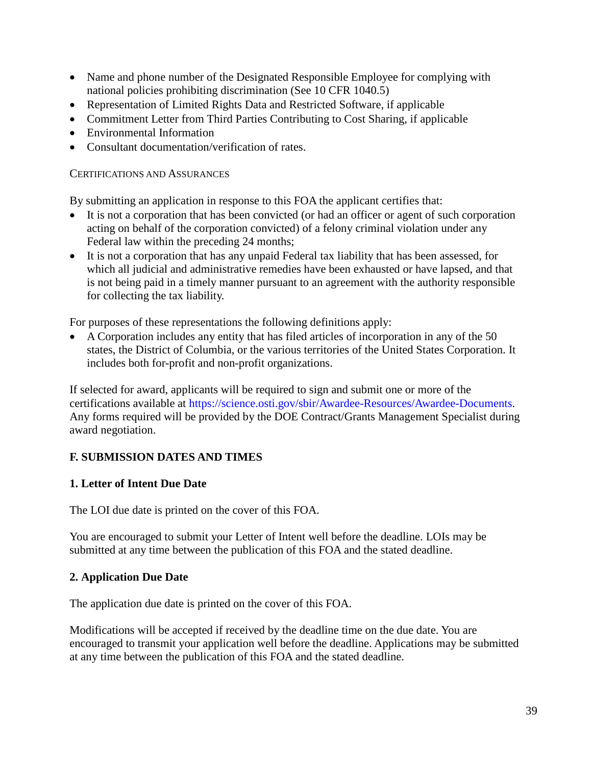- Name and phone number of the Designated Responsible Employee for complying with national policies prohibiting discrimination (See 10 CFR 1040.5)
- Representation of Limited Rights Data and Restricted Software, if applicable
- Commitment Letter from Third Parties Contributing to Cost Sharing, if applicable
- Environmental Information
- Consultant documentation/verification of rates.

#### CERTIFICATIONS AND ASSURANCES

By submitting an application in response to this FOA the applicant certifies that:

- It is not a corporation that has been convicted (or had an officer or agent of such corporation acting on behalf of the corporation convicted) of a felony criminal violation under any Federal law within the preceding 24 months;
- It is not a corporation that has any unpaid Federal tax liability that has been assessed, for which all judicial and administrative remedies have been exhausted or have lapsed, and that is not being paid in a timely manner pursuant to an agreement with the authority responsible for collecting the tax liability.

For purposes of these representations the following definitions apply:

• A Corporation includes any entity that has filed articles of incorporation in any of the 50 states, the District of Columbia, or the various territories of the United States Corporation. It includes both for-profit and non-profit organizations.

If selected for award, applicants will be required to sign and submit one or more of the certifications available at [https://science.osti.gov/sbir/Awardee-Resources/Awardee-Documents.](https://science.osti.gov/sbir/Awardee-Resources/Awardee-Documents) Any forms required will be provided by the DOE Contract/Grants Management Specialist during award negotiation.

## **F. SUBMISSION DATES AND TIMES**

## **1. Letter of Intent Due Date**

The LOI due date is printed on the cover of this FOA.

You are encouraged to submit your Letter of Intent well before the deadline. LOIs may be submitted at any time between the publication of this FOA and the stated deadline.

## **2. Application Due Date**

The application due date is printed on the cover of this FOA.

Modifications will be accepted if received by the deadline time on the due date. You are encouraged to transmit your application well before the deadline. Applications may be submitted at any time between the publication of this FOA and the stated deadline.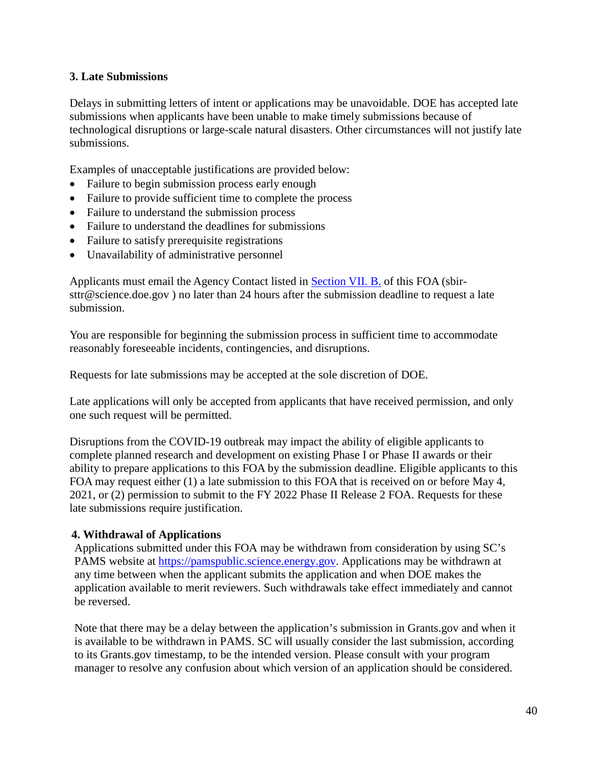## **3. Late Submissions**

Delays in submitting letters of intent or applications may be unavoidable. DOE has accepted late submissions when applicants have been unable to make timely submissions because of technological disruptions or large-scale natural disasters. Other circumstances will not justify late submissions.

Examples of unacceptable justifications are provided below:

- Failure to begin submission process early enough
- Failure to provide sufficient time to complete the process
- Failure to understand the submission process
- Failure to understand the deadlines for submissions
- Failure to satisfy prerequisite registrations
- Unavailability of administrative personnel

Applicants must email the Agency Contact listed in [Section VII. B.](#page-49-0) of this FOA [\(sbir](mailto:sbir-sttr@science.doe.gov)[sttr@science.doe.gov](mailto:sbir-sttr@science.doe.gov) ) no later than 24 hours after the submission deadline to request a late submission.

You are responsible for beginning the submission process in sufficient time to accommodate reasonably foreseeable incidents, contingencies, and disruptions.

Requests for late submissions may be accepted at the sole discretion of DOE.

Late applications will only be accepted from applicants that have received permission, and only one such request will be permitted.

Disruptions from the COVID-19 outbreak may impact the ability of eligible applicants to complete planned research and development on existing Phase I or Phase II awards or their ability to prepare applications to this FOA by the submission deadline. Eligible applicants to this FOA may request either (1) a late submission to this FOA that is received on or before May 4, 2021, or (2) permission to submit to the FY 2022 Phase II Release 2 FOA. Requests for these late submissions require justification.

## **4. Withdrawal of Applications**

Applications submitted under this FOA may be withdrawn from consideration by using SC's PAMS website at [https://pamspublic.science.energy.gov. A](https://pamspublic.science.energy.gov/)pplications may be withdrawn at any time between when the applicant submits the application and when DOE makes the application available to merit reviewers. Such withdrawals take effect immediately and cannot be reversed.

Note that there may be a delay between the application's submission in Grants.gov and when it is available to be withdrawn in PAMS. SC will usually consider the last submission, according to its Grants.gov timestamp, to be the intended version. Please consult with your program manager to resolve any confusion about which version of an application should be considered.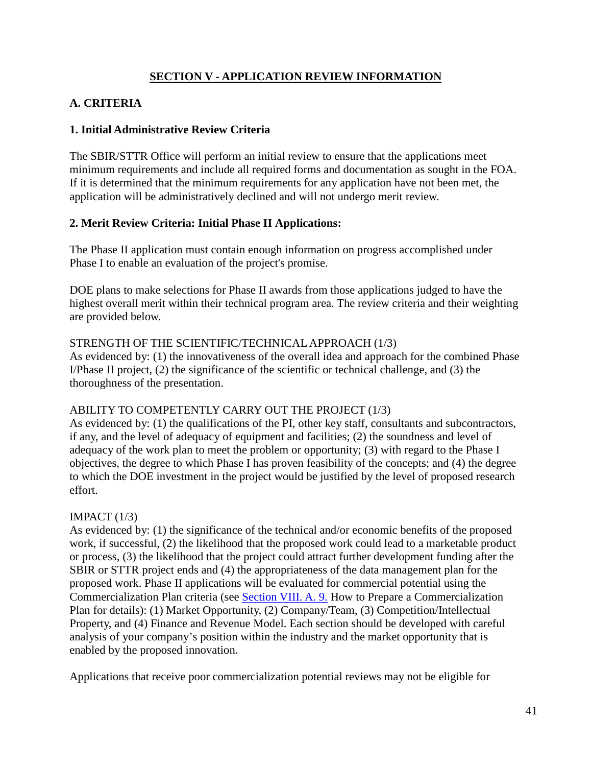## **SECTION V - APPLICATION REVIEW INFORMATION**

## <span id="page-40-0"></span>**A. CRITERIA**

## **1. Initial Administrative Review Criteria**

The SBIR/STTR Office will perform an initial review to ensure that the applications meet minimum requirements and include all required forms and documentation as sought in the FOA. If it is determined that the minimum requirements for any application have not been met, the application will be administratively declined and will not undergo merit review.

## **2. Merit Review Criteria: Initial Phase II Applications:**

The Phase II application must contain enough information on progress accomplished under Phase I to enable an evaluation of the project's promise.

DOE plans to make selections for Phase II awards from those applications judged to have the highest overall merit within their technical program area. The review criteria and their weighting are provided below.

## STRENGTH OF THE SCIENTIFIC/TECHNICAL APPROACH (1/3)

As evidenced by: (1) the innovativeness of the overall idea and approach for the combined Phase I/Phase II project, (2) the significance of the scientific or technical challenge, and (3) the thoroughness of the presentation.

## ABILITY TO COMPETENTLY CARRY OUT THE PROJECT (1/3)

As evidenced by: (1) the qualifications of the PI, other key staff, consultants and subcontractors, if any, and the level of adequacy of equipment and facilities; (2) the soundness and level of adequacy of the work plan to meet the problem or opportunity; (3) with regard to the Phase I objectives, the degree to which Phase I has proven feasibility of the concepts; and (4) the degree to which the DOE investment in the project would be justified by the level of proposed research effort.

## IMPACT  $(1/3)$

As evidenced by: (1) the significance of the technical and/or economic benefits of the proposed work, if successful, (2) the likelihood that the proposed work could lead to a marketable product or process, (3) the likelihood that the project could attract further development funding after the SBIR or STTR project ends and (4) the appropriateness of the data management plan for the proposed work. Phase II applications will be evaluated for commercial potential using the Commercialization Plan criteria (see [Section VIII. A. 9.](#page-67-0) How to Prepare a Commercialization Plan for details): (1) Market Opportunity, (2) Company/Team, (3) Competition/Intellectual Property, and (4) Finance and Revenue Model. Each section should be developed with careful analysis of your company's position within the industry and the market opportunity that is enabled by the proposed innovation.

Applications that receive poor commercialization potential reviews may not be eligible for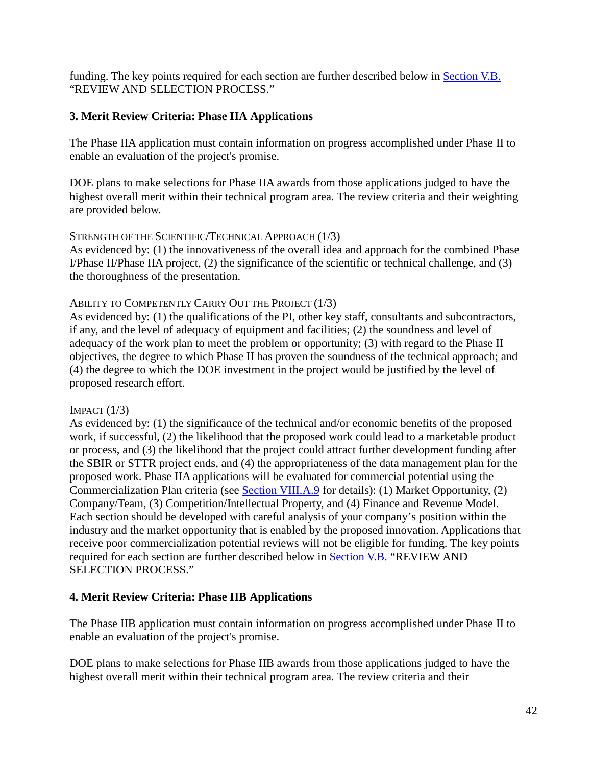funding. The key points required for each section are further described below in [Section V.B.](#page-43-0) "REVIEW AND SELECTION PROCESS."

## **3. Merit Review Criteria: Phase IIA Applications**

The Phase IIA application must contain information on progress accomplished under Phase II to enable an evaluation of the project's promise.

DOE plans to make selections for Phase IIA awards from those applications judged to have the highest overall merit within their technical program area. The review criteria and their weighting are provided below.

## STRENGTH OF THE SCIENTIFIC/TECHNICAL APPROACH (1/3)

As evidenced by: (1) the innovativeness of the overall idea and approach for the combined Phase I/Phase II/Phase IIA project, (2) the significance of the scientific or technical challenge, and (3) the thoroughness of the presentation.

#### ABILITY TO COMPETENTLY CARRY OUT THE PROJECT (1/3)

As evidenced by: (1) the qualifications of the PI, other key staff, consultants and subcontractors, if any, and the level of adequacy of equipment and facilities; (2) the soundness and level of adequacy of the work plan to meet the problem or opportunity; (3) with regard to the Phase II objectives, the degree to which Phase II has proven the soundness of the technical approach; and (4) the degree to which the DOE investment in the project would be justified by the level of proposed research effort.

## $IMFACT (1/3)$

As evidenced by: (1) the significance of the technical and/or economic benefits of the proposed work, if successful, (2) the likelihood that the proposed work could lead to a marketable product or process, and (3) the likelihood that the project could attract further development funding after the SBIR or STTR project ends, and (4) the appropriateness of the data management plan for the proposed work. Phase IIA applications will be evaluated for commercial potential using the Commercialization Plan criteria (see [Section VIII.A.9](#page-67-0) for details): (1) Market Opportunity, (2) Company/Team, (3) Competition/Intellectual Property, and (4) Finance and Revenue Model. Each section should be developed with careful analysis of your company's position within the industry and the market opportunity that is enabled by the proposed innovation. Applications that receive poor commercialization potential reviews will not be eligible for funding. The key points required for each section are further described below in [Section V.B.](#page-43-0) "REVIEW AND SELECTION PROCESS."

## **4. Merit Review Criteria: Phase IIB Applications**

The Phase IIB application must contain information on progress accomplished under Phase II to enable an evaluation of the project's promise.

DOE plans to make selections for Phase IIB awards from those applications judged to have the highest overall merit within their technical program area. The review criteria and their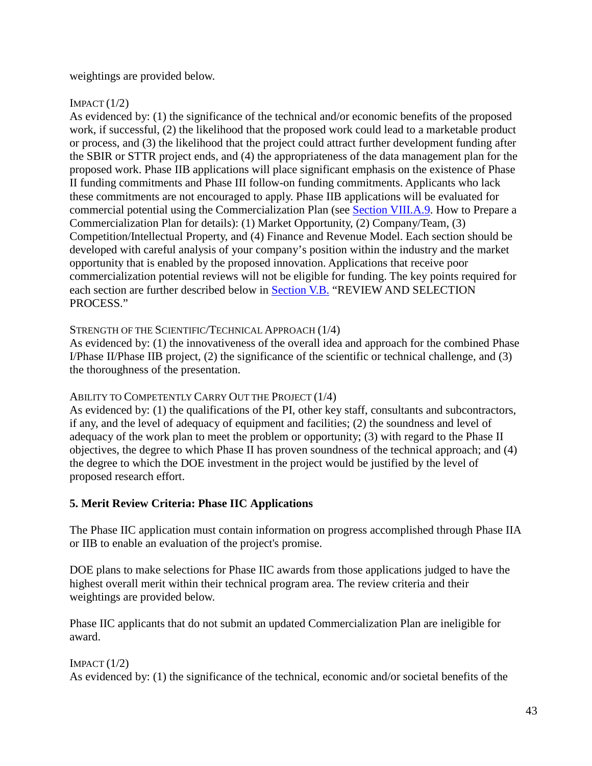weightings are provided below.

## $IMFACT (1/2)$

As evidenced by: (1) the significance of the technical and/or economic benefits of the proposed work, if successful, (2) the likelihood that the proposed work could lead to a marketable product or process, and (3) the likelihood that the project could attract further development funding after the SBIR or STTR project ends, and (4) the appropriateness of the data management plan for the proposed work. Phase IIB applications will place significant emphasis on the existence of Phase II funding commitments and Phase III follow-on funding commitments. Applicants who lack these commitments are not encouraged to apply. Phase IIB applications will be evaluated for commercial potential using the Commercialization Plan (see [Section VIII.A.9. H](#page-67-0)ow to Prepare a Commercialization Plan for details): (1) Market Opportunity, (2) Company/Team, (3) Competition/Intellectual Property, and (4) Finance and Revenue Model. Each section should be developed with careful analysis of your company's position within the industry and the market opportunity that is enabled by the proposed innovation. Applications that receive poor commercialization potential reviews will not be eligible for funding. The key points required for each section are further described below in [Section V.B.](#page-43-0) "REVIEW AND SELECTION PROCESS."

## STRENGTH OF THE SCIENTIFIC/TECHNICAL APPROACH (1/4)

As evidenced by: (1) the innovativeness of the overall idea and approach for the combined Phase I/Phase II/Phase IIB project, (2) the significance of the scientific or technical challenge, and (3) the thoroughness of the presentation.

## ABILITY TO COMPETENTLY CARRY OUT THE PROJECT (1/4)

As evidenced by: (1) the qualifications of the PI, other key staff, consultants and subcontractors, if any, and the level of adequacy of equipment and facilities; (2) the soundness and level of adequacy of the work plan to meet the problem or opportunity; (3) with regard to the Phase II objectives, the degree to which Phase II has proven soundness of the technical approach; and (4) the degree to which the DOE investment in the project would be justified by the level of proposed research effort.

# **5. Merit Review Criteria: Phase IIC Applications**

The Phase IIC application must contain information on progress accomplished through Phase IIA or IIB to enable an evaluation of the project's promise.

DOE plans to make selections for Phase IIC awards from those applications judged to have the highest overall merit within their technical program area. The review criteria and their weightings are provided below.

Phase IIC applicants that do not submit an updated Commercialization Plan are ineligible for award.

 $IMFACT (1/2)$ As evidenced by: (1) the significance of the technical, economic and/or societal benefits of the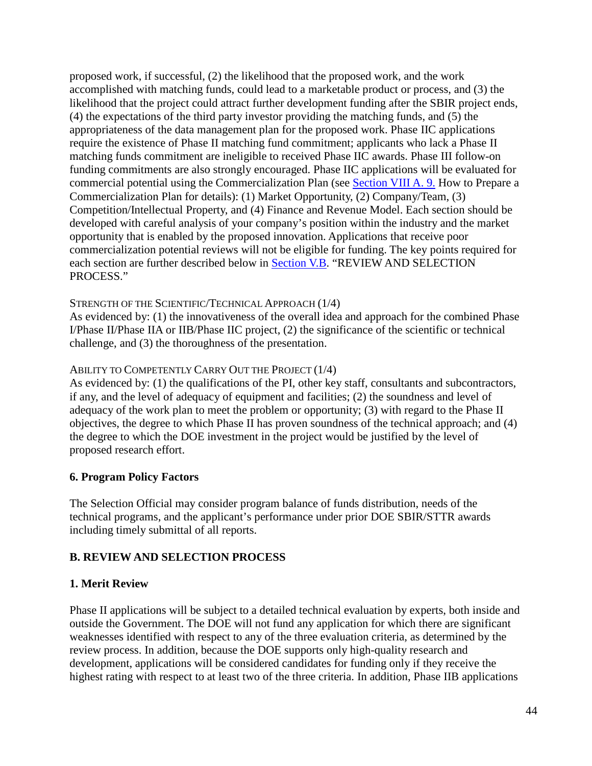proposed work, if successful, (2) the likelihood that the proposed work, and the work accomplished with matching funds, could lead to a marketable product or process, and (3) the likelihood that the project could attract further development funding after the SBIR project ends, (4) the expectations of the third party investor providing the matching funds, and (5) the appropriateness of the data management plan for the proposed work. Phase IIC applications require the existence of Phase II matching fund commitment; applicants who lack a Phase II matching funds commitment are ineligible to received Phase IIC awards. Phase III follow-on funding commitments are also strongly encouraged. Phase IIC applications will be evaluated for commercial potential using the Commercialization Plan (see [Section VIII A. 9.](#page-67-0) How to Prepare a Commercialization Plan for details): (1) Market Opportunity, (2) Company/Team, (3) Competition/Intellectual Property, and (4) Finance and Revenue Model. Each section should be developed with careful analysis of your company's position within the industry and the market opportunity that is enabled by the proposed innovation. Applications that receive poor commercialization potential reviews will not be eligible for funding. The key points required for each section are further described below in [Section V.B.](#page-43-0) "REVIEW AND SELECTION PROCESS."

## STRENGTH OF THE SCIENTIFIC/TECHNICAL APPROACH (1/4)

As evidenced by: (1) the innovativeness of the overall idea and approach for the combined Phase I/Phase II/Phase IIA or IIB/Phase IIC project, (2) the significance of the scientific or technical challenge, and (3) the thoroughness of the presentation.

#### ABILITY TO COMPETENTLY CARRY OUT THE PROJECT (1/4)

As evidenced by: (1) the qualifications of the PI, other key staff, consultants and subcontractors, if any, and the level of adequacy of equipment and facilities; (2) the soundness and level of adequacy of the work plan to meet the problem or opportunity; (3) with regard to the Phase II objectives, the degree to which Phase II has proven soundness of the technical approach; and (4) the degree to which the DOE investment in the project would be justified by the level of proposed research effort.

## **6. Program Policy Factors**

The Selection Official may consider program balance of funds distribution, needs of the technical programs, and the applicant's performance under prior DOE SBIR/STTR awards including timely submittal of all reports.

## <span id="page-43-0"></span>**B. REVIEW AND SELECTION PROCESS**

#### **1. Merit Review**

Phase II applications will be subject to a detailed technical evaluation by experts, both inside and outside the Government. The DOE will not fund any application for which there are significant weaknesses identified with respect to any of the three evaluation criteria, as determined by the review process. In addition, because the DOE supports only high-quality research and development, applications will be considered candidates for funding only if they receive the highest rating with respect to at least two of the three criteria. In addition, Phase IIB applications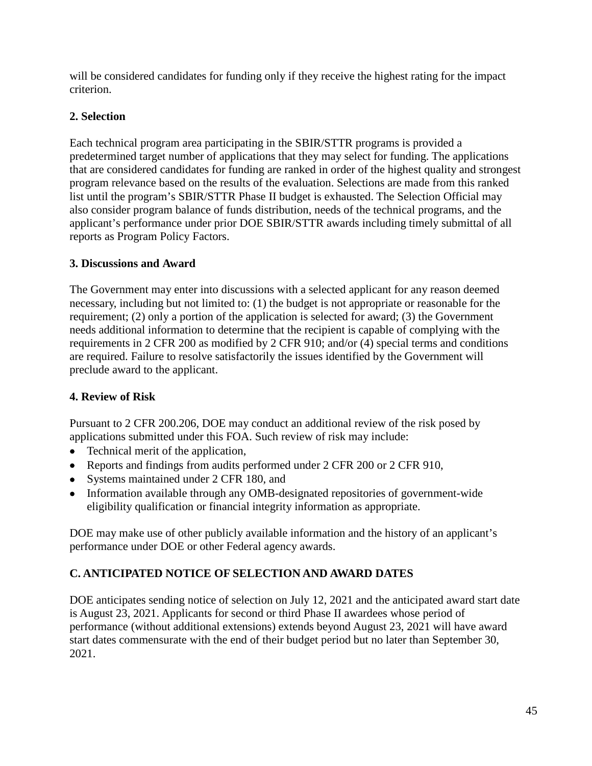will be considered candidates for funding only if they receive the highest rating for the impact criterion.

# **2. Selection**

Each technical program area participating in the SBIR/STTR programs is provided a predetermined target number of applications that they may select for funding. The applications that are considered candidates for funding are ranked in order of the highest quality and strongest program relevance based on the results of the evaluation. Selections are made from this ranked list until the program's SBIR/STTR Phase II budget is exhausted. The Selection Official may also consider program balance of funds distribution, needs of the technical programs, and the applicant's performance under prior DOE SBIR/STTR awards including timely submittal of all reports as Program Policy Factors.

# **3. Discussions and Award**

The Government may enter into discussions with a selected applicant for any reason deemed necessary, including but not limited to: (1) the budget is not appropriate or reasonable for the requirement; (2) only a portion of the application is selected for award; (3) the Government needs additional information to determine that the recipient is capable of complying with the requirements in 2 CFR 200 as modified by 2 CFR 910; and/or (4) special terms and conditions are required. Failure to resolve satisfactorily the issues identified by the Government will preclude award to the applicant.

# **4. Review of Risk**

Pursuant to 2 CFR 200.206, DOE may conduct an additional review of the risk posed by applications submitted under this FOA. Such review of risk may include:

- Technical merit of the application,
- Reports and findings from audits performed under 2 CFR 200 or 2 CFR 910,
- Systems maintained under 2 CFR 180, and
- Information available through any OMB-designated repositories of government-wide eligibility qualification or financial integrity information as appropriate.

DOE may make use of other publicly available information and the history of an applicant's performance under DOE or other Federal agency awards.

# **C. ANTICIPATED NOTICE OF SELECTION AND AWARD DATES**

DOE anticipates sending notice of selection on July 12, 2021 and the anticipated award start date is August 23, 2021. Applicants for second or third Phase II awardees whose period of performance (without additional extensions) extends beyond August 23, 2021 will have award start dates commensurate with the end of their budget period but no later than September 30, 2021.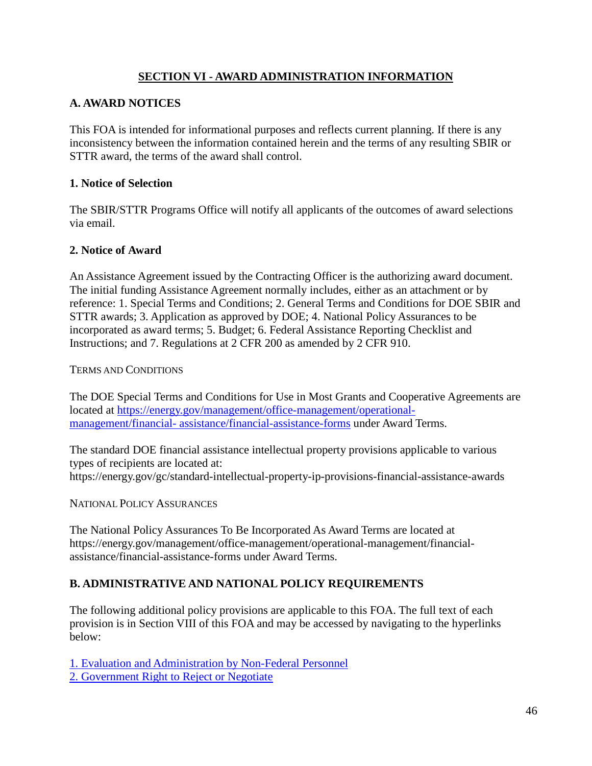## **SECTION VI - AWARD ADMINISTRATION INFORMATION**

## **A. AWARD NOTICES**

This FOA is intended for informational purposes and reflects current planning. If there is any inconsistency between the information contained herein and the terms of any resulting SBIR or STTR award, the terms of the award shall control.

## **1. Notice of Selection**

The SBIR/STTR Programs Office will notify all applicants of the outcomes of award selections via email.

## **2. Notice of Award**

An Assistance Agreement issued by the Contracting Officer is the authorizing award document. The initial funding Assistance Agreement normally includes, either as an attachment or by reference: 1. Special Terms and Conditions; 2. General Terms and Conditions for DOE SBIR and STTR awards; 3. Application as approved by DOE; 4. National Policy Assurances to be incorporated as award terms; 5. Budget; 6. Federal Assistance Reporting Checklist and Instructions; and 7. Regulations at 2 CFR 200 as amended by 2 CFR 910.

## TERMS AND CONDITIONS

The DOE Special Terms and Conditions for Use in Most Grants and Cooperative Agreements are located at [https://energy.gov/management/office-management/operational](https://energy.gov/management/office-management/operational-management/financial-assistance/financial-assistance-forms)[management/financial-](https://energy.gov/management/office-management/operational-management/financial-assistance/financial-assistance-forms) [assistance/financial-assistance-forms](https://energy.gov/management/office-management/operational-management/financial-assistance/financial-assistance-forms) under Award Terms.

The standard DOE financial assistance intellectual property provisions applicable to various types of recipients are located at: <https://energy.gov/gc/standard-intellectual-property-ip-provisions-financial-assistance-awards>

NATIONAL POLICY ASSURANCES

The National Policy Assurances To Be Incorporated As Award Terms are located at [https://energy.gov/management/office-management/operational-management/financial](https://energy.gov/management/office-management/operational-management/financial-assistance/financial-assistance-forms)[assistance/financial-assistance-forms](https://energy.gov/management/office-management/operational-management/financial-assistance/financial-assistance-forms) under Award Terms.

## **B. ADMINISTRATIVE AND NATIONAL POLICY REQUIREMENTS**

The following additional policy provisions are applicable to this FOA. The full text of each provision is in Section VIII of this FOA and may be accessed by navigating to the hyperlinks below:

[1. Evaluation and Administration by Non-Federal Personnel](#page-77-0) [2. Government Right to Reject or Negotiate](#page-78-0)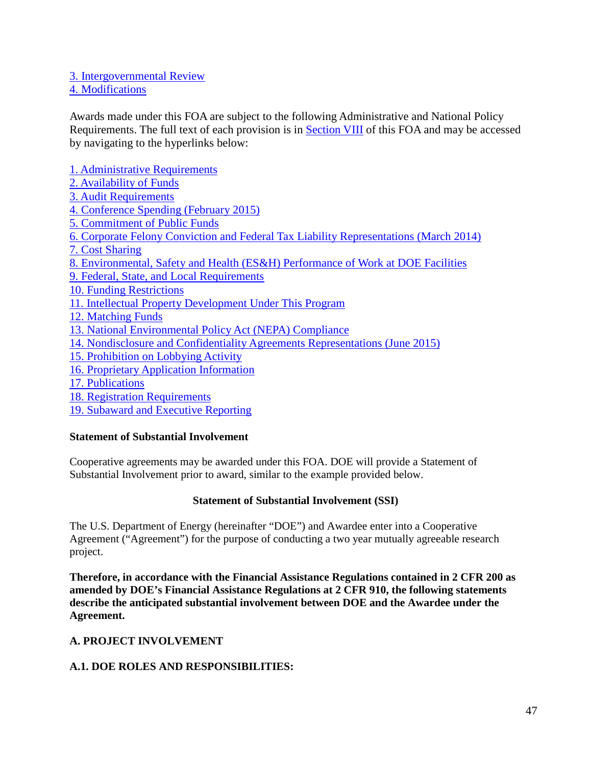#### [3. Intergovernmental Review](#page-78-1)

#### [4. Modifications](#page-78-2)

Awards made under this FOA are subject to the following Administrative and National Policy Requirements. The full text of each provision is in [Section VIII](#page-50-0) of this FOA and may be accessed by navigating to the hyperlinks below:

[1. Administrative Requirements](#page-78-3) [2. Availability of Funds](#page-78-4) [3. Audit Requirements](#page-78-5) [4. Conference Spending \(February 2015\)](#page-78-6) [5. Commitment of Public Funds](#page-79-0) [6. Corporate Felony Conviction and Federal Tax Liability Representations \(March 2014\)](#page-79-1) [7. Cost Sharing](#page-79-2) [8. Environmental, Safety and Health \(ES&H\) Performance of Work at DOE Facilities](#page-79-3) [9. Federal, State, and Local Requirements](#page-80-0) [10. Funding Restrictions](#page-80-1) [11. Intellectual Property Development Under This Program](#page-80-2) [12. Matching Funds](#page-83-0) [13. National Environmental Policy Act \(NEPA\) Compliance](#page-83-1) [14. Nondisclosure and Confidentiality Agreements Representations \(June 2015\)](#page-83-2) [15. Prohibition on Lobbying Activity](#page-84-0) [16. Proprietary Application Information](#page-84-1) [17. Publications](#page-85-0) [18. Registration Requirements](#page-85-1) [19. Subaward and Executive Reporting](#page-86-0)

#### **Statement of Substantial Involvement**

Cooperative agreements may be awarded under this FOA. DOE will provide a Statement of Substantial Involvement prior to award, similar to the example provided below.

#### **Statement of Substantial Involvement (SSI)**

The U.S. Department of Energy (hereinafter "DOE") and Awardee enter into a Cooperative Agreement ("Agreement") for the purpose of conducting a two year mutually agreeable research project.

**Therefore, in accordance with the Financial Assistance Regulations contained in 2 CFR 200 as amended by DOE's Financial Assistance Regulations at 2 CFR 910, the following statements describe the anticipated substantial involvement between DOE and the Awardee under the Agreement.** 

## **A. PROJECT INVOLVEMENT**

#### **A.1. DOE ROLES AND RESPONSIBILITIES:**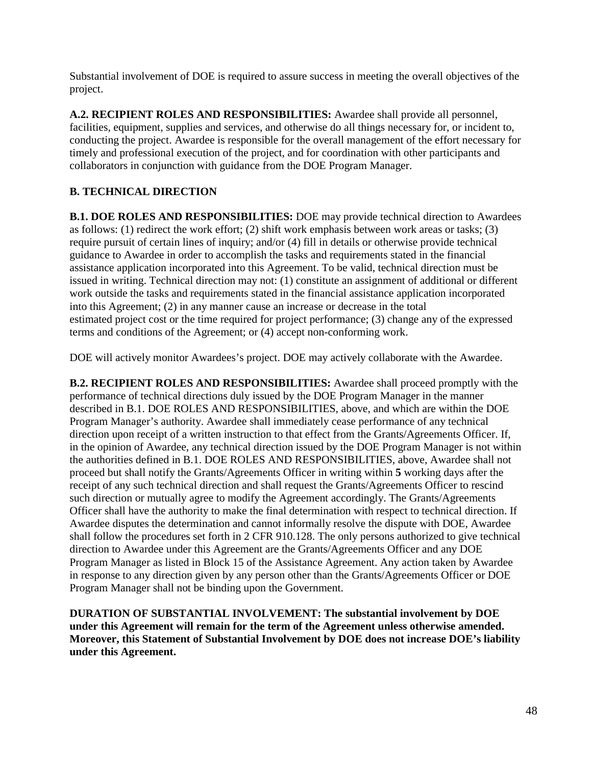Substantial involvement of DOE is required to assure success in meeting the overall objectives of the project.

**A.2. RECIPIENT ROLES AND RESPONSIBILITIES:** Awardee shall provide all personnel, facilities, equipment, supplies and services, and otherwise do all things necessary for, or incident to, conducting the project. Awardee is responsible for the overall management of the effort necessary for timely and professional execution of the project, and for coordination with other participants and collaborators in conjunction with guidance from the DOE Program Manager.

# **B. TECHNICAL DIRECTION**

**B.1. DOE ROLES AND RESPONSIBILITIES:** DOE may provide technical direction to Awardees as follows: (1) redirect the work effort; (2) shift work emphasis between work areas or tasks; (3) require pursuit of certain lines of inquiry; and/or (4) fill in details or otherwise provide technical guidance to Awardee in order to accomplish the tasks and requirements stated in the financial assistance application incorporated into this Agreement. To be valid, technical direction must be issued in writing. Technical direction may not: (1) constitute an assignment of additional or different work outside the tasks and requirements stated in the financial assistance application incorporated into this Agreement; (2) in any manner cause an increase or decrease in the total estimated project cost or the time required for project performance; (3) change any of the expressed terms and conditions of the Agreement; or (4) accept non-conforming work.

DOE will actively monitor Awardees's project. DOE may actively collaborate with the Awardee.

**B.2. RECIPIENT ROLES AND RESPONSIBILITIES:** Awardee shall proceed promptly with the performance of technical directions duly issued by the DOE Program Manager in the manner described in B.1. DOE ROLES AND RESPONSIBILITIES, above, and which are within the DOE Program Manager's authority. Awardee shall immediately cease performance of any technical direction upon receipt of a written instruction to that effect from the Grants/Agreements Officer. If, in the opinion of Awardee, any technical direction issued by the DOE Program Manager is not within the authorities defined in B.1. DOE ROLES AND RESPONSIBILITIES, above, Awardee shall not proceed but shall notify the Grants/Agreements Officer in writing within **5** working days after the receipt of any such technical direction and shall request the Grants/Agreements Officer to rescind such direction or mutually agree to modify the Agreement accordingly. The Grants/Agreements Officer shall have the authority to make the final determination with respect to technical direction. If Awardee disputes the determination and cannot informally resolve the dispute with DOE, Awardee shall follow the procedures set forth in 2 CFR 910.128. The only persons authorized to give technical direction to Awardee under this Agreement are the Grants/Agreements Officer and any DOE Program Manager as listed in Block 15 of the Assistance Agreement. Any action taken by Awardee in response to any direction given by any person other than the Grants/Agreements Officer or DOE Program Manager shall not be binding upon the Government.

**DURATION OF SUBSTANTIAL INVOLVEMENT: The substantial involvement by DOE under this Agreement will remain for the term of the Agreement unless otherwise amended. Moreover, this Statement of Substantial Involvement by DOE does not increase DOE's liability under this Agreement.**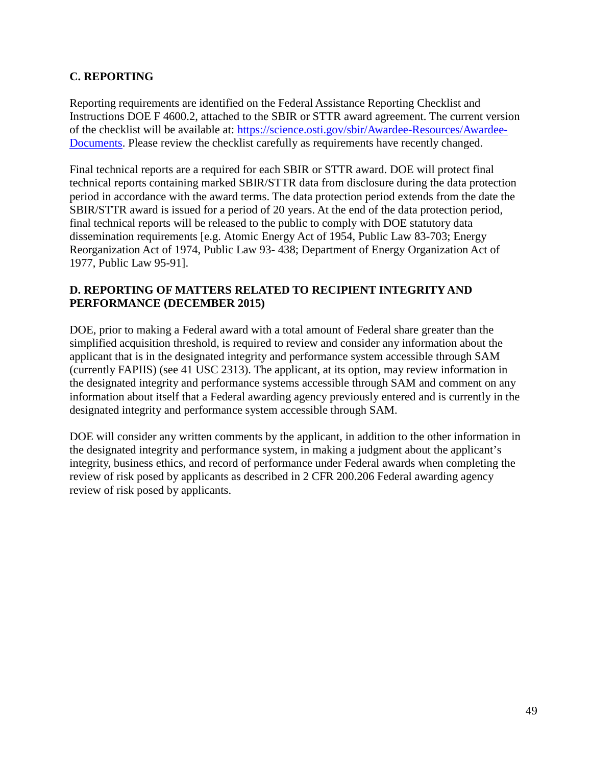## **C. REPORTING**

Reporting requirements are identified on the Federal Assistance Reporting Checklist and Instructions DOE F 4600.2, attached to the SBIR or STTR award agreement. The current version of the checklist will be available at: [https://science.osti.gov/sbir/Awardee-Resources/Awardee-](https://science.osti.gov/sbir/Awardee-Resources/Awardee-Documents)[Documents.](https://science.osti.gov/sbir/Awardee-Resources/Awardee-Documents) Please review the checklist carefully as requirements have recently changed.

Final technical reports are a required for each SBIR or STTR award. DOE will protect final technical reports containing marked SBIR/STTR data from disclosure during the data protection period in accordance with the award terms. The data protection period extends from the date the SBIR/STTR award is issued for a period of 20 years. At the end of the data protection period, final technical reports will be released to the public to comply with DOE statutory data dissemination requirements [e.g. Atomic Energy Act of 1954, Public Law 83-703; Energy Reorganization Act of 1974, Public Law 93- 438; Department of Energy Organization Act of 1977, Public Law 95-91].

## **D. REPORTING OF MATTERS RELATED TO RECIPIENT INTEGRITY AND PERFORMANCE (DECEMBER 2015)**

DOE, prior to making a Federal award with a total amount of Federal share greater than the simplified acquisition threshold, is required to review and consider any information about the applicant that is in the designated integrity and performance system accessible through SAM (currently FAPIIS) (see 41 USC 2313). The applicant, at its option, may review information in the designated integrity and performance systems accessible through SAM and comment on any information about itself that a Federal awarding agency previously entered and is currently in the designated integrity and performance system accessible through SAM.

DOE will consider any written comments by the applicant, in addition to the other information in the designated integrity and performance system, in making a judgment about the applicant's integrity, business ethics, and record of performance under Federal awards when completing the review of risk posed by applicants as described in 2 CFR 200.206 Federal awarding agency review of risk posed by applicants.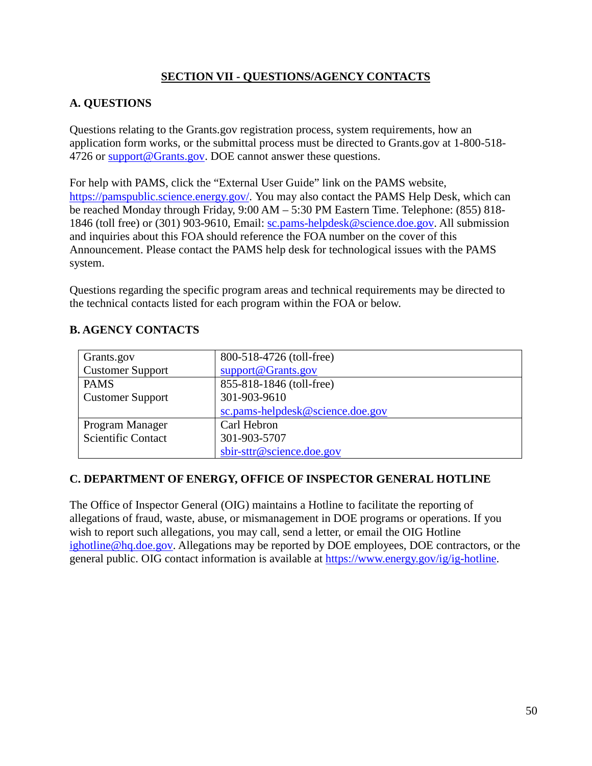## **SECTION VII - QUESTIONS/AGENCY CONTACTS**

## **A. QUESTIONS**

Questions relating to the Grants.gov registration process, system requirements, how an application form works, or the submittal process must be directed to Grants.gov at 1-800-518- 4726 or [support@Grants.gov.](mailto:support@Grants.gov) DOE cannot answer these questions.

For help with PAMS, click the "External User Guide" link on the PAMS website, [https://pamspublic.science.energy.gov/. Y](https://pamspublic.science.energy.gov/)ou may also contact the PAMS Help Desk, which can be reached Monday through Friday, 9:00 AM – 5:30 PM Eastern Time. Telephone: (855) 818 1846 (toll free) or (301) 903-9610, Email: [sc.pams-helpdesk@science.doe.gov.](mailto:sc.pams-helpdesk@science.doe.gov) All submission and inquiries about this FOA should reference the FOA number on the cover of this Announcement. Please contact the PAMS help desk for technological issues with the PAMS system.

Questions regarding the specific program areas and technical requirements may be directed to the technical contacts listed for each program within the FOA or below.

<span id="page-49-0"></span>

| Grants.gov                | 800-518-4726 (toll-free)         |
|---------------------------|----------------------------------|
| <b>Customer Support</b>   | support@Grants.gov               |
| <b>PAMS</b>               | 855-818-1846 (toll-free)         |
| <b>Customer Support</b>   | 301-903-9610                     |
|                           | sc.pams-helpdesk@science.doe.gov |
| Program Manager           | Carl Hebron                      |
| <b>Scientific Contact</b> | 301-903-5707                     |
|                           | sbir-sttr@science.doe.gov        |

## **C. DEPARTMENT OF ENERGY, OFFICE OF INSPECTOR GENERAL HOTLINE**

The Office of Inspector General (OIG) maintains a Hotline to facilitate the reporting of allegations of fraud, waste, abuse, or mismanagement in DOE programs or operations. If you wish to report such allegations, you may call, send a letter, or email the OIG Hotline [ighotline@hq.doe.gov.](mailto:ighotline@hq.doe.gov) Allegations may be reported by DOE employees, DOE contractors, or the general public. OIG contact information is available at [https://www.energy.gov/ig/ig-hotline.](https://www.energy.gov/ig/ig-hotline)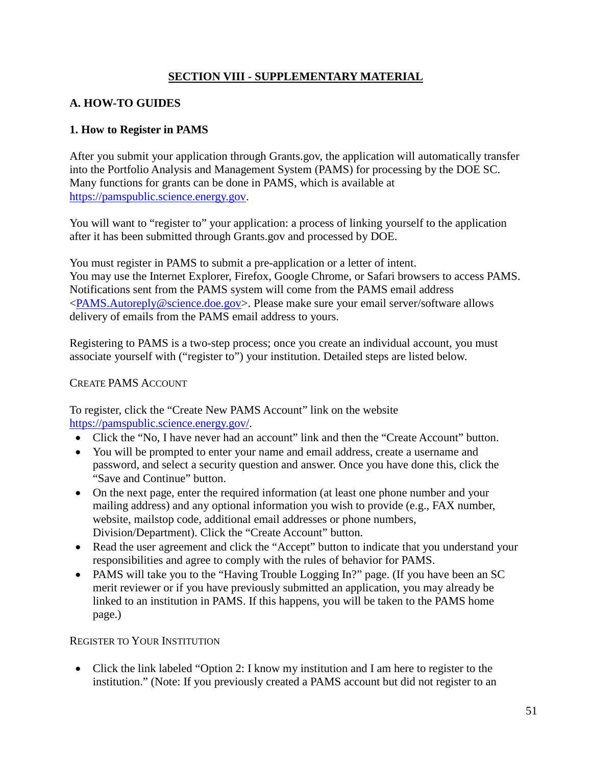## **SECTION VIII - SUPPLEMENTARY MATERIAL**

# <span id="page-50-0"></span>**A. HOW-TO GUIDES**

## **1. How to Register in PAMS**

After you submit your application through Grants.gov, the application will automatically transfer into the Portfolio Analysis and Management System (PAMS) for processing by the DOE SC. Many functions for grants can be done in PAMS, which is available at [https://pamspublic.science.energy.gov.](https://pamspublic.science.energy.gov/)

You will want to "register to" your application: a process of linking yourself to the application after it has been submitted through Grants.gov and processed by DOE.

You must register in PAMS to submit a pre-application or a letter of intent. You may use the Internet Explorer, Firefox, Google Chrome, or Safari browsers to access PAMS. Notifications sent from the PAMS system will come from the PAMS email address [<PAMS.Autoreply@science.doe.gov>](mailto:PAMS.Autoreply@science.doe.gov). Please make sure your email server/software allows delivery of emails from the PAMS email address to yours.

Registering to PAMS is a two-step process; once you create an individual account, you must associate yourself with ("register to") your institution. Detailed steps are listed below.

## CREATE PAMS ACCOUNT

To register, click the "Create New PAMS Account" link on the website [https://pamspublic.science.energy.gov/.](https://pamspublic.science.energy.gov/)

- Click the "No, I have never had an account" link and then the "Create Account" button.
- You will be prompted to enter your name and email address, create a username and password, and select a security question and answer. Once you have done this, click the "Save and Continue" button.
- On the next page, enter the required information (at least one phone number and your mailing address) and any optional information you wish to provide (e.g., FAX number, website, mailstop code, additional email addresses or phone numbers, Division/Department). Click the "Create Account" button.
- Read the user agreement and click the "Accept" button to indicate that you understand your responsibilities and agree to comply with the rules of behavior for PAMS.
- PAMS will take you to the "Having Trouble Logging In?" page. (If you have been an SC merit reviewer or if you have previously submitted an application, you may already be linked to an institution in PAMS. If this happens, you will be taken to the PAMS home page.)

## REGISTER TO YOUR INSTITUTION

• Click the link labeled "Option 2: I know my institution and I am here to register to the institution." (Note: If you previously created a PAMS account but did not register to an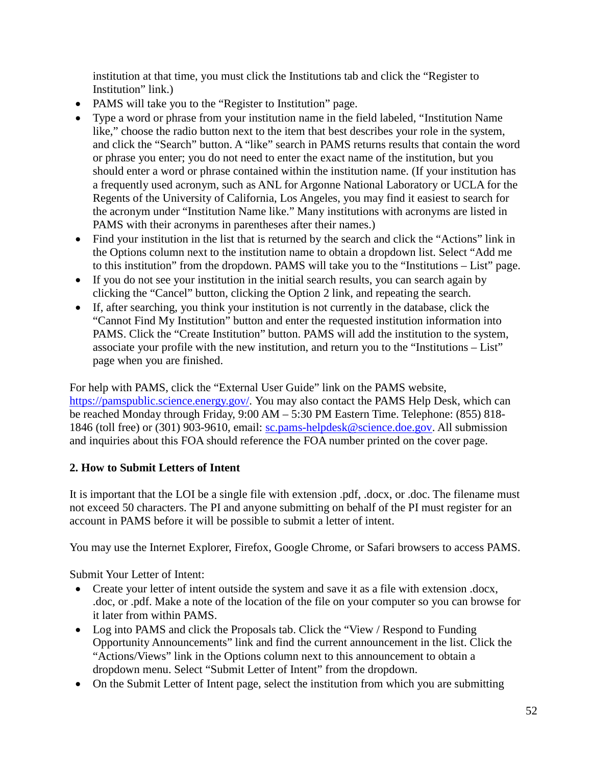institution at that time, you must click the Institutions tab and click the "Register to Institution" link.)

- PAMS will take you to the "Register to Institution" page.
- Type a word or phrase from your institution name in the field labeled, "Institution Name like," choose the radio button next to the item that best describes your role in the system, and click the "Search" button. A "like" search in PAMS returns results that contain the word or phrase you enter; you do not need to enter the exact name of the institution, but you should enter a word or phrase contained within the institution name. (If your institution has a frequently used acronym, such as ANL for Argonne National Laboratory or UCLA for the Regents of the University of California, Los Angeles, you may find it easiest to search for the acronym under "Institution Name like." Many institutions with acronyms are listed in PAMS with their acronyms in parentheses after their names.)
- Find your institution in the list that is returned by the search and click the "Actions" link in the Options column next to the institution name to obtain a dropdown list. Select "Add me to this institution" from the dropdown. PAMS will take you to the "Institutions – List" page.
- If you do not see your institution in the initial search results, you can search again by clicking the "Cancel" button, clicking the Option 2 link, and repeating the search.
- If, after searching, you think your institution is not currently in the database, click the "Cannot Find My Institution" button and enter the requested institution information into PAMS. Click the "Create Institution" button. PAMS will add the institution to the system, associate your profile with the new institution, and return you to the "Institutions – List" page when you are finished.

For help with PAMS, click the "External User Guide" link on the PAMS website, [https://pamspublic.science.energy.gov/. Y](https://pamspublic.science.energy.gov/)ou may also contact the PAMS Help Desk, which can be reached Monday through Friday, 9:00 AM – 5:30 PM Eastern Time. Telephone: (855) 818- 1846 (toll free) or (301) 903-9610, email: [sc.pams-helpdesk@science.doe.gov.](mailto:sc.pams-helpdesk@science.doe.gov) All submission and inquiries about this FOA should reference the FOA number printed on the cover page.

# **2. How to Submit Letters of Intent**

It is important that the LOI be a single file with extension .pdf, .docx, or .doc. The filename must not exceed 50 characters. The PI and anyone submitting on behalf of the PI must register for an account in PAMS before it will be possible to submit a letter of intent.

You may use the Internet Explorer, Firefox, Google Chrome, or Safari browsers to access PAMS.

Submit Your Letter of Intent:

- Create your letter of intent outside the system and save it as a file with extension .docx, .doc, or .pdf. Make a note of the location of the file on your computer so you can browse for it later from within PAMS.
- Log into PAMS and click the Proposals tab. Click the "View / Respond to Funding" Opportunity Announcements" link and find the current announcement in the list. Click the "Actions/Views" link in the Options column next to this announcement to obtain a dropdown menu. Select "Submit Letter of Intent" from the dropdown.
- On the Submit Letter of Intent page, select the institution from which you are submitting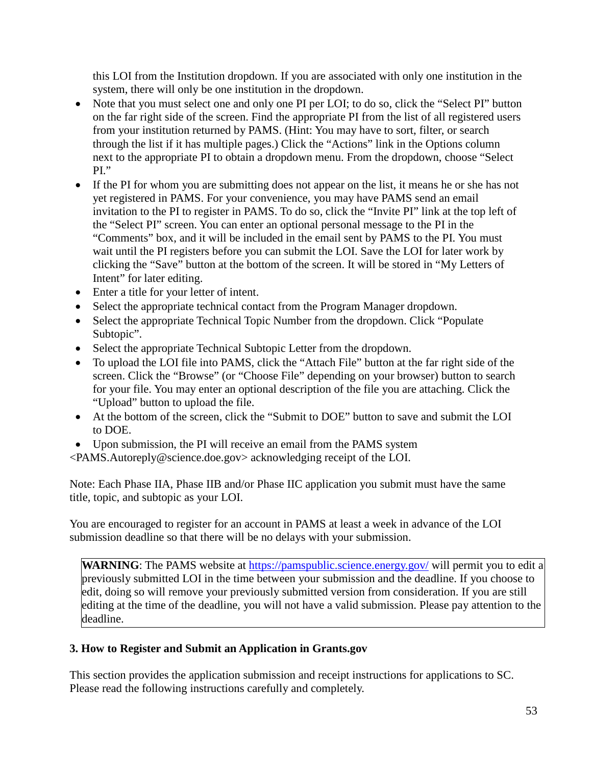this LOI from the Institution dropdown. If you are associated with only one institution in the system, there will only be one institution in the dropdown.

- Note that you must select one and only one PI per LOI; to do so, click the "Select PI" button on the far right side of the screen. Find the appropriate PI from the list of all registered users from your institution returned by PAMS. (Hint: You may have to sort, filter, or search through the list if it has multiple pages.) Click the "Actions" link in the Options column next to the appropriate PI to obtain a dropdown menu. From the dropdown, choose "Select PI."
- If the PI for whom you are submitting does not appear on the list, it means he or she has not yet registered in PAMS. For your convenience, you may have PAMS send an email invitation to the PI to register in PAMS. To do so, click the "Invite PI" link at the top left of the "Select PI" screen. You can enter an optional personal message to the PI in the "Comments" box, and it will be included in the email sent by PAMS to the PI. You must wait until the PI registers before you can submit the LOI. Save the LOI for later work by clicking the "Save" button at the bottom of the screen. It will be stored in "My Letters of Intent" for later editing.
- Enter a title for your letter of intent.
- Select the appropriate technical contact from the Program Manager dropdown.
- Select the appropriate Technical Topic Number from the dropdown. Click "Populate" Subtopic".
- Select the appropriate Technical Subtopic Letter from the dropdown.
- To upload the LOI file into PAMS, click the "Attach File" button at the far right side of the screen. Click the "Browse" (or "Choose File" depending on your browser) button to search for your file. You may enter an optional description of the file you are attaching. Click the "Upload" button to upload the file.
- At the bottom of the screen, click the "Submit to DOE" button to save and submit the LOI to DOE.
- Upon submission, the PI will receive an email from the PAMS system
- [<PAMS.Autoreply@science.doe.gov>](mailto:PAMS.Autoreply@science.doe.gov) acknowledging receipt of the LOI.

Note: Each Phase IIA, Phase IIB and/or Phase IIC application you submit must have the same title, topic, and subtopic as your LOI.

You are encouraged to register for an account in PAMS at least a week in advance of the LOI submission deadline so that there will be no delays with your submission.

**WARNING**: The PAMS website at<https://pamspublic.science.energy.gov/> will permit you to edit a previously submitted LOI in the time between your submission and the deadline. If you choose to edit, doing so will remove your previously submitted version from consideration. If you are still editing at the time of the deadline, you will not have a valid submission. Please pay attention to the deadline.

## **3. How to Register and Submit an Application in Grants.gov**

This section provides the application submission and receipt instructions for applications to SC. Please read the following instructions carefully and completely.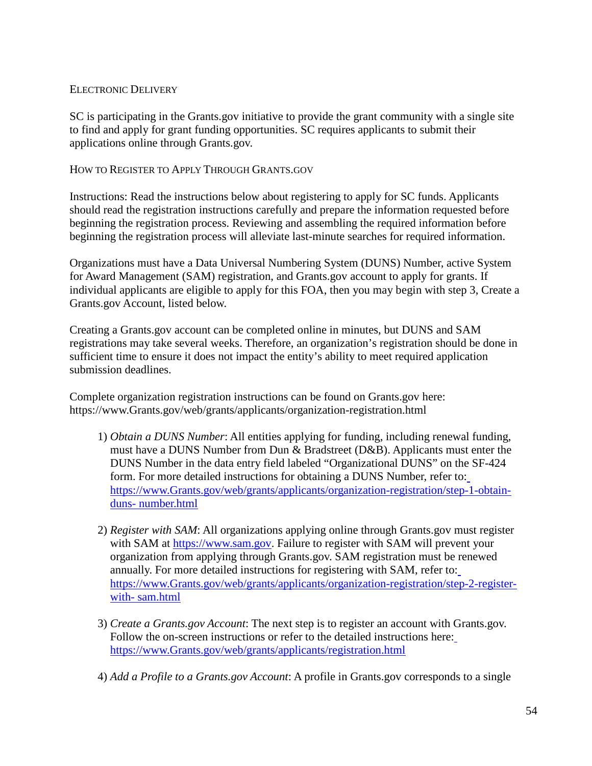#### ELECTRONIC DELIVERY

SC is participating in the Grants.gov initiative to provide the grant community with a single site to find and apply for grant funding opportunities. SC requires applicants to submit their applications online through Grants.gov.

#### HOW TO REGISTER TO APPLY THROUGH GRANTS.GOV

Instructions: Read the instructions below about registering to apply for SC funds. Applicants should read the registration instructions carefully and prepare the information requested before beginning the registration process. Reviewing and assembling the required information before beginning the registration process will alleviate last-minute searches for required information.

Organizations must have a Data Universal Numbering System (DUNS) Number, active System for Award Management (SAM) registration, and Grants.gov account to apply for grants. If individual applicants are eligible to apply for this FOA, then you may begin with step 3, Create a Grants.gov Account, listed below.

Creating a Grants.gov account can be completed online in minutes, but DUNS and SAM registrations may take several weeks. Therefore, an organization's registration should be done in sufficient time to ensure it does not impact the entity's ability to meet required application submission deadlines.

Complete organization registration instructions can be found on Grants.gov here: [https://www.Grants.gov/web/grants/applicants/organization-registration.html](https://www.grants.gov/web/grants/applicants/organization-registration.html)

- 1) *Obtain a DUNS Number*: All entities applying for funding, including renewal funding, must have a DUNS Number from Dun & Bradstreet (D&B). Applicants must enter the DUNS Number in the data entry field labeled "Organizational DUNS" on the SF-424 form. For more detailed instructions for obtaining a DUNS Number, refer to[:](https://www.grants.gov/web/grants/applicants/organization-registration/step-1-obtain-duns-number.html) [https://www.Grants.gov/web/grants/applicants/organization-registration/step-1-obtain](https://www.grants.gov/web/grants/applicants/organization-registration/step-1-obtain-duns-number.html)[duns-](https://www.grants.gov/web/grants/applicants/organization-registration/step-1-obtain-duns-number.html) [number.html](https://www.grants.gov/web/grants/applicants/organization-registration/step-1-obtain-duns-number.html)
- 2) *Register with SAM*: All organizations applying online through Grants.gov must register with SAM at [https://www.sam.gov. F](https://www.sam.gov/)ailure to register with SAM will prevent your organization from applying through Grants.gov. SAM registration must be renewed annually. For more detailed instructions for registering with SAM, refer to[:](https://www.grants.gov/web/grants/applicants/organization-registration/step-2-register-with-sam.html) [https://www.Grants.gov/web/grants/applicants/organization-registration/step-2-register](https://www.grants.gov/web/grants/applicants/organization-registration/step-2-register-with-sam.html)[with-](https://www.grants.gov/web/grants/applicants/organization-registration/step-2-register-with-sam.html) [sam.html](https://www.grants.gov/web/grants/applicants/organization-registration/step-2-register-with-sam.html)
- 3) *Create a Grants.gov Account*: The next step is to register an account with Grants.gov. Follow the on-screen instructions or refer to the detailed instructions here[:](https://www.grants.gov/web/grants/applicants/registration.html) [https://www.Grants.gov/web/grants/applicants/registration.html](https://www.grants.gov/web/grants/applicants/registration.html)
- 4) *Add a Profile to a Grants.gov Account*: A profile in Grants.gov corresponds to a single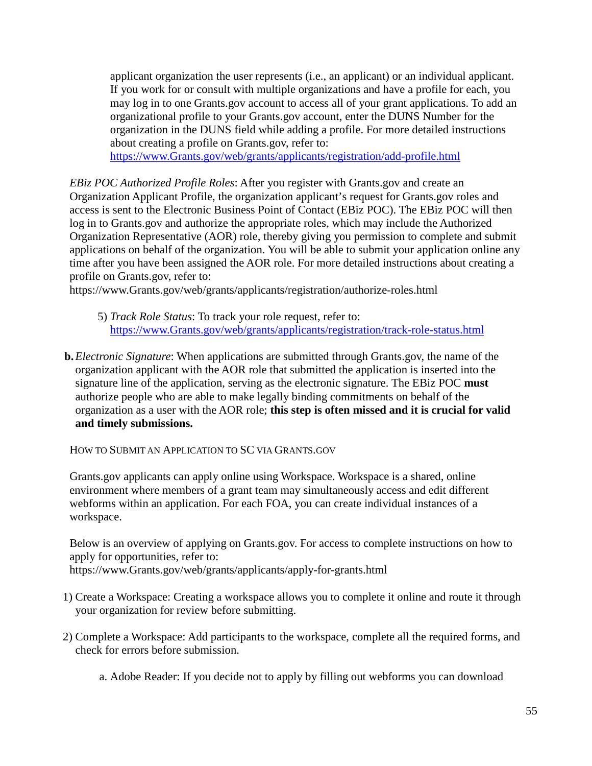applicant organization the user represents (i.e., an applicant) or an individual applicant. If you work for or consult with multiple organizations and have a profile for each, you may log in to one Grants.gov account to access all of your grant applications. To add an organizational profile to your Grants.gov account, enter the DUNS Number for the organization in the DUNS field while adding a profile. For more detailed instructions about creating a profile on Grants.gov, refer to:

[https://www.Grants.gov/web/grants/applicants/registration/add-profile.html](https://www.grants.gov/web/grants/applicants/registration/add-profile.html)

*EBiz POC Authorized Profile Roles*: After you register with Grants.gov and create an Organization Applicant Profile, the organization applicant's request for Grants.gov roles and access is sent to the Electronic Business Point of Contact (EBiz POC). The EBiz POC will then log in to Grants.gov and authorize the appropriate roles, which may include the Authorized Organization Representative (AOR) role, thereby giving you permission to complete and submit applications on behalf of the organization. You will be able to submit your application online any time after you have been assigned the AOR role. For more detailed instructions about creating a profile on Grants.gov, refer to:

[https://www.Grants.gov/web/grants/applicants/registration/authorize-roles.html](https://www.grants.gov/web/grants/applicants/registration/authorize-roles.html)

- 5) *Track Role Status*: To track your role request, refer to[:](https://www.grants.gov/web/grants/applicants/registration/track-role-status.html) [https://www.Grants.gov/web/grants/applicants/registration/track-role-status.html](https://www.grants.gov/web/grants/applicants/registration/track-role-status.html)
- **b.***Electronic Signature*: When applications are submitted through Grants.gov, the name of the organization applicant with the AOR role that submitted the application is inserted into the signature line of the application, serving as the electronic signature. The EBiz POC **must**  authorize people who are able to make legally binding commitments on behalf of the organization as a user with the AOR role; **this step is often missed and it is crucial for valid and timely submissions.**

HOW TO SUBMIT AN APPLICATION TO SC VIA GRANTS.GOV

Grants.gov applicants can apply online using Workspace. Workspace is a shared, online environment where members of a grant team may simultaneously access and edit different webforms within an application. For each FOA, you can create individual instances of a workspace.

Below is an overview of applying on Grants.gov. For access to complete instructions on how to apply for opportunities, refer to:

[https://www.Grants.gov/web/grants/applicants/apply-for-grants.html](https://www.grants.gov/web/grants/applicants/apply-for-grants.html)

- 1) Create a Workspace: Creating a workspace allows you to complete it online and route it through your organization for review before submitting.
- 2) Complete a Workspace: Add participants to the workspace, complete all the required forms, and check for errors before submission.
	- a. Adobe Reader: If you decide not to apply by filling out webforms you can download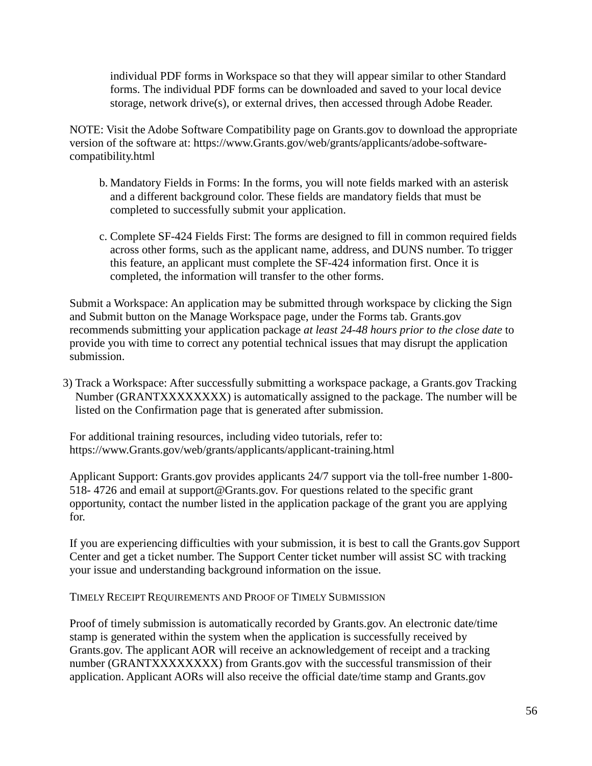individual PDF forms in Workspace so that they will appear similar to other Standard forms. The individual PDF forms can be downloaded and saved to your local device storage, network drive(s), or external drives, then accessed through Adobe Reader.

NOTE: Visit the Adobe Software Compatibility page on Grants.gov to download the appropriate version of the software at: [https://www.Grants.gov/web/grants/applicants/adobe-software](https://www.grants.gov/web/grants/applicants/adobe-software-compatibility.html)[compatibility.html](https://www.grants.gov/web/grants/applicants/adobe-software-compatibility.html)

- b. Mandatory Fields in Forms: In the forms, you will note fields marked with an asterisk and a different background color. These fields are mandatory fields that must be completed to successfully submit your application.
- c. Complete SF-424 Fields First: The forms are designed to fill in common required fields across other forms, such as the applicant name, address, and DUNS number. To trigger this feature, an applicant must complete the SF-424 information first. Once it is completed, the information will transfer to the other forms.

Submit a Workspace: An application may be submitted through workspace by clicking the Sign and Submit button on the Manage Workspace page, under the Forms tab. Grants.gov recommends submitting your application package *at least 24-48 hours prior to the close date* to provide you with time to correct any potential technical issues that may disrupt the application submission.

3) Track a Workspace: After successfully submitting a workspace package, a Grants.gov Tracking Number (GRANTXXXXXXXX) is automatically assigned to the package. The number will be listed on the Confirmation page that is generated after submission.

For additional training resources, including video tutorials, refer to: [https://www.Grants.gov/web/grants/applicants/applicant-training.html](https://www.grants.gov/web/grants/applicants/applicant-training.html)

Applicant Support: Grants.gov provides applicants 24/7 support via the toll-free number 1-800- 518- 4726 and email at [support@Grants.gov.](mailto:support@Grants.gov) For questions related to the specific grant opportunity, contact the number listed in the application package of the grant you are applying for.

If you are experiencing difficulties with your submission, it is best to call the Grants.gov Support Center and get a ticket number. The Support Center ticket number will assist SC with tracking your issue and understanding background information on the issue.

TIMELY RECEIPT REQUIREMENTS AND PROOF OF TIMELY SUBMISSION

Proof of timely submission is automatically recorded by Grants.gov. An electronic date/time stamp is generated within the system when the application is successfully received by Grants.gov. The applicant AOR will receive an acknowledgement of receipt and a tracking number (GRANTXXXXXXXX) from Grants.gov with the successful transmission of their application. Applicant AORs will also receive the official date/time stamp and Grants.gov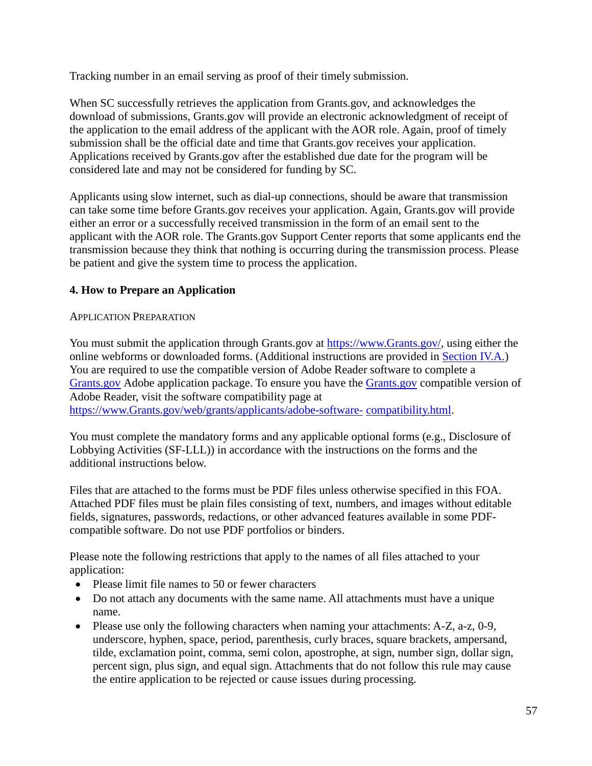Tracking number in an email serving as proof of their timely submission.

When SC successfully retrieves the application from Grants.gov, and acknowledges the download of submissions, Grants.gov will provide an electronic acknowledgment of receipt of the application to the email address of the applicant with the AOR role. Again, proof of timely submission shall be the official date and time that Grants.gov receives your application. Applications received by Grants.gov after the established due date for the program will be considered late and may not be considered for funding by SC.

Applicants using slow internet, such as dial-up connections, should be aware that transmission can take some time before Grants.gov receives your application. Again, Grants.gov will provide either an error or a successfully received transmission in the form of an email sent to the applicant with the AOR role. The Grants.gov Support Center reports that some applicants end the transmission because they think that nothing is occurring during the transmission process. Please be patient and give the system time to process the application.

## **4. How to Prepare an Application**

#### APPLICATION PREPARATION

You must submit the application through Grants.gov at [https://www.Grants.gov/,](https://www.grants.gov/) using either the online webforms or downloaded forms. (Additional instructions are provided in [Section IV.A.\)](#page-24-0) You are required to use the compatible version of Adobe Reader software to complete a [Grants.gov](https://www.grants.gov/) Adobe application package. To ensure you have the [Grants.gov](https://www.grants.gov/) compatible version of Adobe Reader, visit the software compatibility page at [https://www.Grants.gov/web/grants/applicants/adobe-software-](http://www.grants.gov/web/grants/applicants/adobe-software-compatibility.html) [compatibility.html.](http://www.grants.gov/web/grants/applicants/adobe-software-compatibility.html)

You must complete the mandatory forms and any applicable optional forms (e.g., Disclosure of Lobbying Activities (SF-LLL)) in accordance with the instructions on the forms and the additional instructions below.

Files that are attached to the forms must be PDF files unless otherwise specified in this FOA. Attached PDF files must be plain files consisting of text, numbers, and images without editable fields, signatures, passwords, redactions, or other advanced features available in some PDFcompatible software. Do not use PDF portfolios or binders.

Please note the following restrictions that apply to the names of all files attached to your application:

- Please limit file names to 50 or fewer characters
- Do not attach any documents with the same name. All attachments must have a unique name.
- Please use only the following characters when naming your attachments: A-Z, a-z, 0-9, underscore, hyphen, space, period, parenthesis, curly braces, square brackets, ampersand, tilde, exclamation point, comma, semi colon, apostrophe, at sign, number sign, dollar sign, percent sign, plus sign, and equal sign. Attachments that do not follow this rule may cause the entire application to be rejected or cause issues during processing.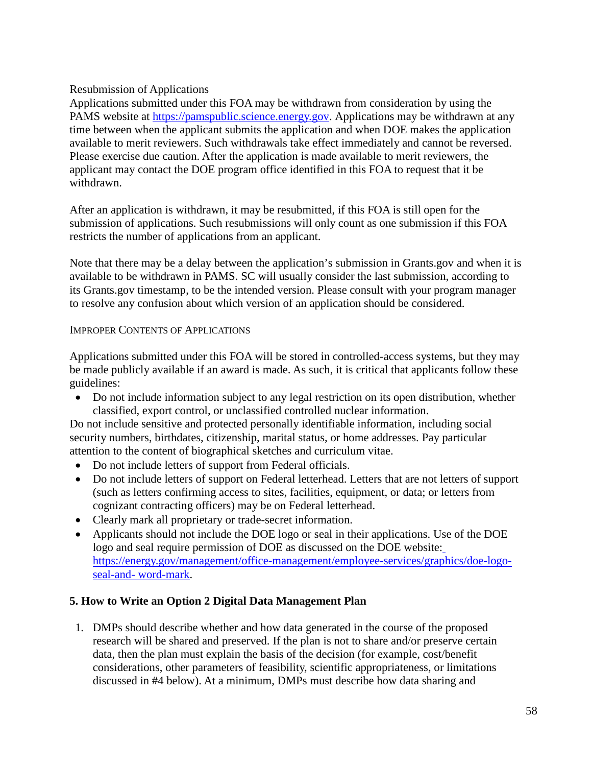## Resubmission of Applications

Applications submitted under this FOA may be withdrawn from consideration by using the PAMS website at [https://pamspublic.science.energy.gov. A](https://pamspublic.science.energy.gov/)pplications may be withdrawn at any time between when the applicant submits the application and when DOE makes the application available to merit reviewers. Such withdrawals take effect immediately and cannot be reversed. Please exercise due caution. After the application is made available to merit reviewers, the applicant may contact the DOE program office identified in this FOA to request that it be withdrawn.

After an application is withdrawn, it may be resubmitted, if this FOA is still open for the submission of applications. Such resubmissions will only count as one submission if this FOA restricts the number of applications from an applicant.

Note that there may be a delay between the application's submission in Grants.gov and when it is available to be withdrawn in PAMS. SC will usually consider the last submission, according to its Grants.gov timestamp, to be the intended version. Please consult with your program manager to resolve any confusion about which version of an application should be considered.

## IMPROPER CONTENTS OF APPLICATIONS

Applications submitted under this FOA will be stored in controlled-access systems, but they may be made publicly available if an award is made. As such, it is critical that applicants follow these guidelines:

• Do not include information subject to any legal restriction on its open distribution, whether classified, export control, or unclassified controlled nuclear information.

Do not include sensitive and protected personally identifiable information, including social security numbers, birthdates, citizenship, marital status, or home addresses. Pay particular attention to the content of biographical sketches and curriculum vitae.

- Do not include letters of support from Federal officials.
- Do not include letters of support on Federal letterhead. Letters that are not letters of support (such as letters confirming access to sites, facilities, equipment, or data; or letters from cognizant contracting officers) may be on Federal letterhead.
- Clearly mark all proprietary or trade-secret information.
- Applicants should not include the DOE logo or seal in their applications. Use of the DOE logo and seal require permission of DOE as discussed on the DOE website[:](https://energy.gov/management/office-management/employee-services/graphics/doe-logo-seal-and-word-mark) [https://energy.gov/management/office-management/employee-services/graphics/doe-logo](https://energy.gov/management/office-management/employee-services/graphics/doe-logo-seal-and-word-mark)[seal-and-](https://energy.gov/management/office-management/employee-services/graphics/doe-logo-seal-and-word-mark) [word-mark.](https://energy.gov/management/office-management/employee-services/graphics/doe-logo-seal-and-word-mark)

## **5. How to Write an Option 2 Digital Data Management Plan**

1. DMPs should describe whether and how data generated in the course of the proposed research will be shared and preserved. If the plan is not to share and/or preserve certain data, then the plan must explain the basis of the decision (for example, cost/benefit considerations, other parameters of feasibility, scientific appropriateness, or limitations discussed in #4 below). At a minimum, DMPs must describe how data sharing and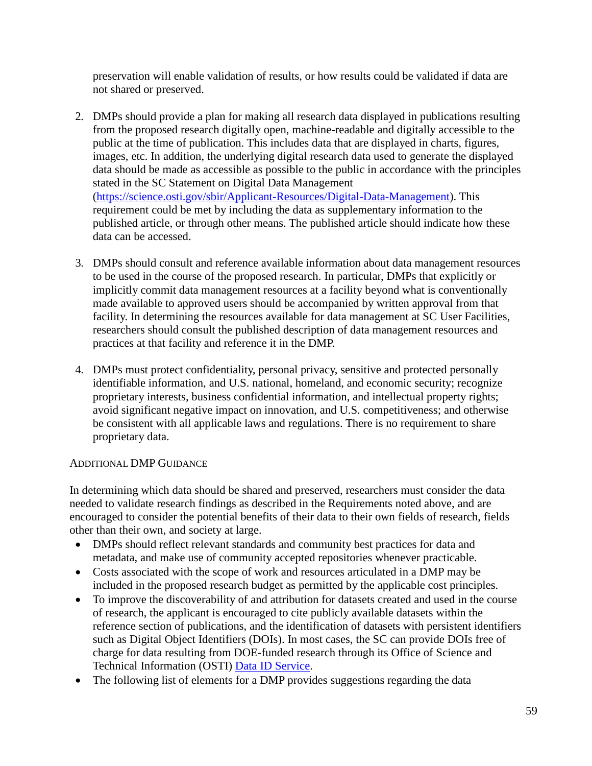preservation will enable validation of results, or how results could be validated if data are not shared or preserved.

- 2. DMPs should provide a plan for making all research data displayed in publications resulting from the proposed research digitally open, machine-readable and digitally accessible to the public at the time of publication. This includes data that are displayed in charts, figures, images, etc. In addition, the underlying digital research data used to generate the displayed data should be made as accessible as possible to the public in accordance with the principles stated in the SC Statement on Digital Data Management [\(https://science.osti.gov/sbir/Applicant-Resources/Digital-Data-Management\)](https://science.osti.gov/sbir/Applicant-Resources/Digital-Data-Management). This requirement could be met by including the data as supplementary information to the published article, or through other means. The published article should indicate how these data can be accessed.
- 3. DMPs should consult and reference available information about data management resources to be used in the course of the proposed research. In particular, DMPs that explicitly or implicitly commit data management resources at a facility beyond what is conventionally made available to approved users should be accompanied by written approval from that facility. In determining the resources available for data management at SC User Facilities, researchers should consult the published description of data management resources and practices at that facility and reference it in the DMP.
- 4. DMPs must protect confidentiality, personal privacy, sensitive and protected personally identifiable information, and U.S. national, homeland, and economic security; recognize proprietary interests, business confidential information, and intellectual property rights; avoid significant negative impact on innovation, and U.S. competitiveness; and otherwise be consistent with all applicable laws and regulations. There is no requirement to share proprietary data.

## ADDITIONAL DMP GUIDANCE

In determining which data should be shared and preserved, researchers must consider the data needed to validate research findings as described in the Requirements noted above, and are encouraged to consider the potential benefits of their data to their own fields of research, fields other than their own, and society at large.

- DMPs should reflect relevant standards and community best practices for data and metadata, and make use of community accepted repositories whenever practicable.
- Costs associated with the scope of work and resources articulated in a DMP may be included in the proposed research budget as permitted by the applicable cost principles.
- To improve the discoverability of and attribution for datasets created and used in the course of research, the applicant is encouraged to cite publicly available datasets within the reference section of publications, and the identification of datasets with persistent identifiers such as Digital Object Identifiers (DOIs). In most cases, the SC can provide DOIs free of charge for data resulting from DOE-funded research through its Office of Science and Technical Information (OSTI) [Data ID](https://www.osti.gov/elink/aboutDataIDService.jsp) [Service.](https://www.osti.gov/elink/aboutDataIDService.jsp)
- The following list of elements for a DMP provides suggestions regarding the data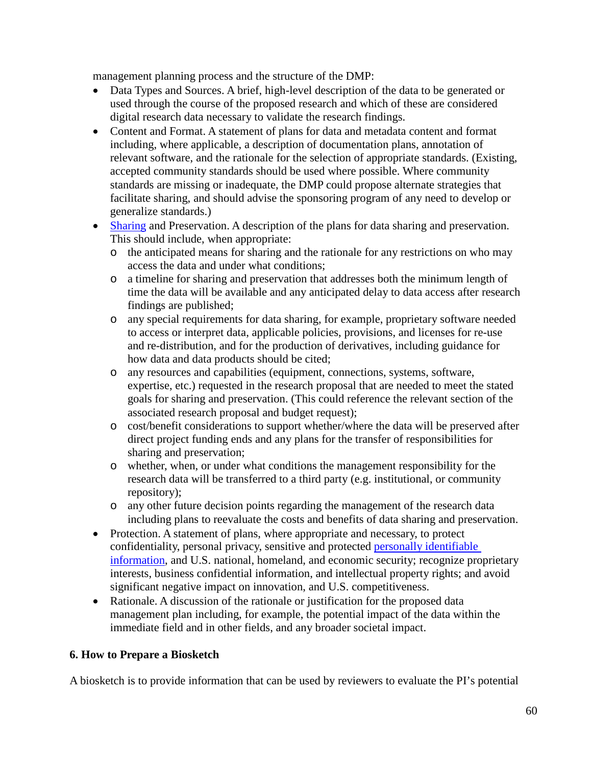management planning process and the structure of the DMP:

- Data Types and Sources. A brief, high-level description of the data to be generated or used through the course of the proposed research and which of these are considered digital research data necessary to validate the research findings.
- Content and Format. A statement of plans for data and metadata content and format including, where applicable, a description of documentation plans, annotation of relevant software, and the rationale for the selection of appropriate standards. (Existing, accepted community standards should be used where possible. Where community standards are missing or inadequate, the DMP could propose alternate strategies that facilitate sharing, and should advise the sponsoring program of any need to develop or generalize standards.)
- [Sharing](https://science.osti.gov/Funding-Opportunities/Digital-Data-Management/FAQs#HSRFAQ) and Preservation. A description of the plans for data sharing and preservation. This should include, when appropriate:
	- o the anticipated means for sharing and the rationale for any restrictions on who may access the data and under what conditions;
	- o a timeline for sharing and preservation that addresses both the minimum length of time the data will be available and any anticipated delay to data access after research findings are published;
	- o any special requirements for data sharing, for example, proprietary software needed to access or interpret data, applicable policies, provisions, and licenses for re-use and re-distribution, and for the production of derivatives, including guidance for how data and data products should be cited;
	- o any resources and capabilities (equipment, connections, systems, software, expertise, etc.) requested in the research proposal that are needed to meet the stated goals for sharing and preservation. (This could reference the relevant section of the associated research proposal and budget request);
	- o cost/benefit considerations to support whether/where the data will be preserved after direct project funding ends and any plans for the transfer of responsibilities for sharing and preservation;
	- o whether, when, or under what conditions the management responsibility for the research data will be transferred to a third party (e.g. institutional, or community repository);
	- o any other future decision points regarding the management of the research data including plans to reevaluate the costs and benefits of data sharing and preservation.
- Protection. A statement of plans, where appropriate and necessary, to protect confidentiality, personal privacy, sensitive and protected [personally identifiable](https://science.osti.gov/Funding-Opportunities/Digital-Data-Management/FAQs#HSRFAQ)  [information,](https://science.osti.gov/Funding-Opportunities/Digital-Data-Management/FAQs#HSRFAQ) and U.S. national, homeland, and economic security; recognize proprietary interests, business confidential information, and intellectual property rights; and avoid significant negative impact on innovation, and U.S. competitiveness.
- Rationale. A discussion of the rationale or justification for the proposed data management plan including, for example, the potential impact of the data within the immediate field and in other fields, and any broader societal impact.

## **6. How to Prepare a Biosketch**

A biosketch is to provide information that can be used by reviewers to evaluate the PI's potential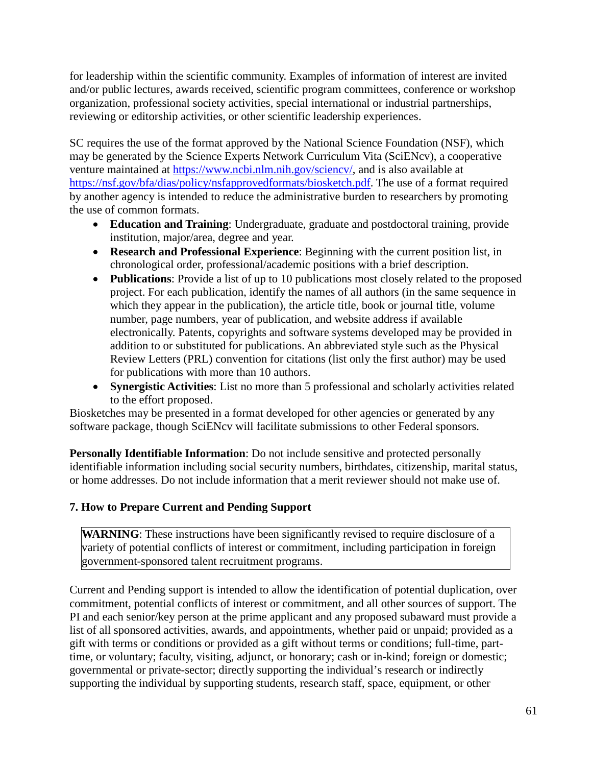for leadership within the scientific community. Examples of information of interest are invited and/or public lectures, awards received, scientific program committees, conference or workshop organization, professional society activities, special international or industrial partnerships, reviewing or editorship activities, or other scientific leadership experiences.

SC requires the use of the format approved by the National Science Foundation (NSF), which may be generated by the Science Experts Network Curriculum Vita (SciENcv), a cooperative venture maintained at [https://www.ncbi.nlm.nih.gov/sciencv/,](https://www.ncbi.nlm.nih.gov/sciencv/) and is also available at [https://nsf.gov/bfa/dias/policy/nsfapprovedformats/biosketch.pdf.](https://nsf.gov/bfa/dias/policy/nsfapprovedformats/biosketch.pdf) The use of a format required by another agency is intended to reduce the administrative burden to researchers by promoting the use of common formats.

- **Education and Training**: Undergraduate, graduate and postdoctoral training, provide institution, major/area, degree and year.
- **Research and Professional Experience**: Beginning with the current position list, in chronological order, professional/academic positions with a brief description.
- **Publications**: Provide a list of up to 10 publications most closely related to the proposed project. For each publication, identify the names of all authors (in the same sequence in which they appear in the publication), the article title, book or journal title, volume number, page numbers, year of publication, and website address if available electronically. Patents, copyrights and software systems developed may be provided in addition to or substituted for publications. An abbreviated style such as the Physical Review Letters (PRL) convention for citations (list only the first author) may be used for publications with more than 10 authors.
- **Synergistic Activities**: List no more than 5 professional and scholarly activities related to the effort proposed.

Biosketches may be presented in a format developed for other agencies or generated by any software package, though SciENcv will facilitate submissions to other Federal sponsors.

**Personally Identifiable Information**: Do not include sensitive and protected personally identifiable information including social security numbers, birthdates, citizenship, marital status, or home addresses. Do not include information that a merit reviewer should not make use of.

## **7. How to Prepare Current and Pending Support**

WARNING: These instructions have been significantly revised to require disclosure of a variety of potential conflicts of interest or commitment, including participation in foreign government-sponsored talent recruitment programs.

Current and Pending support is intended to allow the identification of potential duplication, over commitment, potential conflicts of interest or commitment, and all other sources of support. The PI and each senior/key person at the prime applicant and any proposed subaward must provide a list of all sponsored activities, awards, and appointments, whether paid or unpaid; provided as a gift with terms or conditions or provided as a gift without terms or conditions; full-time, parttime, or voluntary; faculty, visiting, adjunct, or honorary; cash or in-kind; foreign or domestic; governmental or private-sector; directly supporting the individual's research or indirectly supporting the individual by supporting students, research staff, space, equipment, or other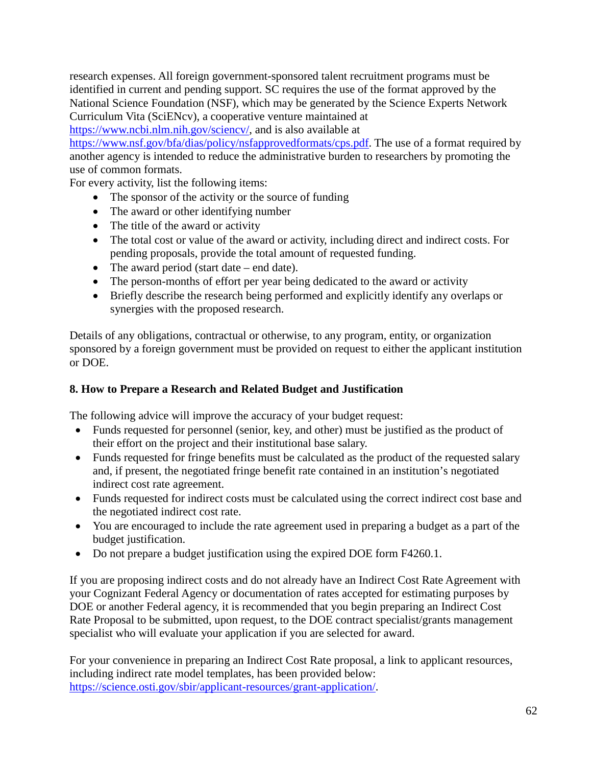research expenses. All foreign government-sponsored talent recruitment programs must be identified in current and pending support. SC requires the use of the format approved by the National Science Foundation (NSF), which may be generated by the Science Experts Network Curriculum Vita (SciENcv), a cooperative venture maintained at

[https://www.ncbi.nlm.nih.gov/sciencv/,](https://www.ncbi.nlm.nih.gov/sciencv/) and is also available at

[https://www.nsf.gov/bfa/dias/policy/nsfapprovedformats/cps.pdf.](https://www.nsf.gov/bfa/dias/policy/nsfapprovedformats/cps.pdf) The use of a format required by another agency is intended to reduce the administrative burden to researchers by promoting the use of common formats.

For every activity, list the following items:

- The sponsor of the activity or the source of funding
- The award or other identifying number
- The title of the award or activity
- The total cost or value of the award or activity, including direct and indirect costs. For pending proposals, provide the total amount of requested funding.
- The award period (start date end date).
- The person-months of effort per year being dedicated to the award or activity
- Briefly describe the research being performed and explicitly identify any overlaps or synergies with the proposed research.

Details of any obligations, contractual or otherwise, to any program, entity, or organization sponsored by a foreign government must be provided on request to either the applicant institution or DOE.

## <span id="page-61-0"></span>**8. How to Prepare a Research and Related Budget and Justification**

The following advice will improve the accuracy of your budget request:

- Funds requested for personnel (senior, key, and other) must be justified as the product of their effort on the project and their institutional base salary.
- Funds requested for fringe benefits must be calculated as the product of the requested salary and, if present, the negotiated fringe benefit rate contained in an institution's negotiated indirect cost rate agreement.
- Funds requested for indirect costs must be calculated using the correct indirect cost base and the negotiated indirect cost rate.
- You are encouraged to include the rate agreement used in preparing a budget as a part of the budget justification.
- Do not prepare a budget justification using the expired DOE form F4260.1.

If you are proposing indirect costs and do not already have an Indirect Cost Rate Agreement with your Cognizant Federal Agency or documentation of rates accepted for estimating purposes by DOE or another Federal agency, it is recommended that you begin preparing an Indirect Cost Rate Proposal to be submitted, upon request, to the DOE contract specialist/grants management specialist who will evaluate your application if you are selected for award.

For your convenience in preparing an Indirect Cost Rate proposal, a link to applicant resources, including indirect rate model templates, has been provided below: [https://science.osti.gov/sbir/applicant-resources/grant-application/.](https://science.osti.gov/sbir/applicant-resources/grant-application/)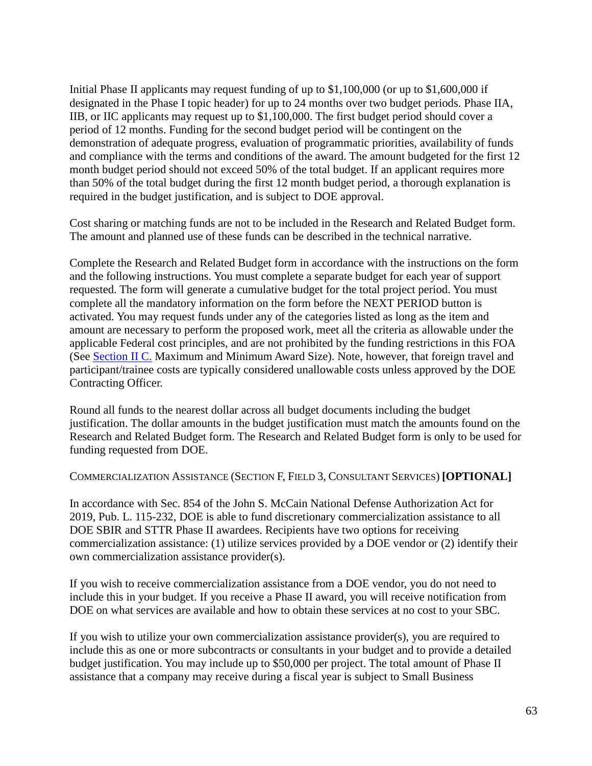Initial Phase II applicants may request funding of up to \$1,100,000 (or up to \$1,600,000 if designated in the Phase I topic header) for up to 24 months over two budget periods. Phase IIA, IIB, or IIC applicants may request up to \$1,100,000. The first budget period should cover a period of 12 months. Funding for the second budget period will be contingent on the demonstration of adequate progress, evaluation of programmatic priorities, availability of funds and compliance with the terms and conditions of the award. The amount budgeted for the first 12 month budget period should not exceed 50% of the total budget. If an applicant requires more than 50% of the total budget during the first 12 month budget period, a thorough explanation is required in the budget justification, and is subject to DOE approval.

Cost sharing or matching funds are not to be included in the Research and Related Budget form. The amount and planned use of these funds can be described in the technical narrative.

Complete the Research and Related Budget form in accordance with the instructions on the form and the following instructions. You must complete a separate budget for each year of support requested. The form will generate a cumulative budget for the total project period. You must complete all the mandatory information on the form before the NEXT PERIOD button is activated. You may request funds under any of the categories listed as long as the item and amount are necessary to perform the proposed work, meet all the criteria as allowable under the applicable Federal cost principles, and are not prohibited by the funding restrictions in this FOA (See [Section II C.](#page-8-0) Maximum and Minimum Award Size). Note, however, that foreign travel and participant/trainee costs are typically considered unallowable costs unless approved by the DOE Contracting Officer.

Round all funds to the nearest dollar across all budget documents including the budget justification. The dollar amounts in the budget justification must match the amounts found on the Research and Related Budget form. The Research and Related Budget form is only to be used for funding requested from DOE.

COMMERCIALIZATION ASSISTANCE (SECTION F, FIELD 3, CONSULTANT SERVICES) **[OPTIONAL]**

In accordance with Sec. 854 of the John S. McCain National Defense Authorization Act for 2019, Pub. L. 115-232, DOE is able to fund discretionary commercialization assistance to all DOE SBIR and STTR Phase II awardees. Recipients have two options for receiving commercialization assistance: (1) utilize services provided by a DOE vendor or (2) identify their own commercialization assistance provider(s).

If you wish to receive commercialization assistance from a DOE vendor, you do not need to include this in your budget. If you receive a Phase II award, you will receive notification from DOE on what services are available and how to obtain these services at no cost to your SBC.

If you wish to utilize your own commercialization assistance provider(s), you are required to include this as one or more subcontracts or consultants in your budget and to provide a detailed budget justification. You may include up to \$50,000 per project. The total amount of Phase II assistance that a company may receive during a fiscal year is subject to Small Business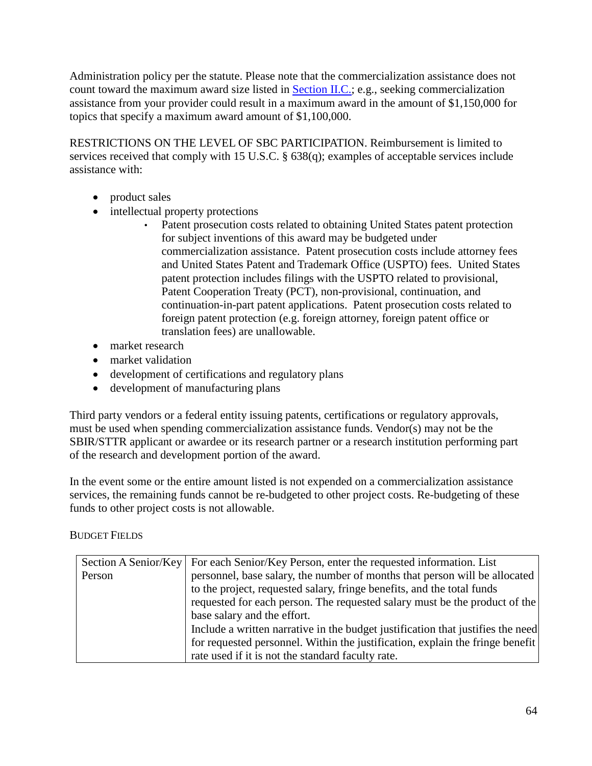Administration policy per the statute. Please note that the commercialization assistance does not count toward the maximum award size listed in [Section II.C.;](#page-8-0) e.g., seeking commercialization assistance from your provider could result in a maximum award in the amount of \$1,150,000 for topics that specify a maximum award amount of \$1,100,000.

RESTRICTIONS ON THE LEVEL OF SBC PARTICIPATION. Reimbursement is limited to services received that comply with 15 U.S.C. § 638(q); examples of acceptable services include assistance with:

- product sales
- intellectual property protections
	- Patent prosecution costs related to obtaining United States patent protection for subject inventions of this award may be budgeted under commercialization assistance. Patent prosecution costs include attorney fees and United States Patent and Trademark Office (USPTO) fees. United States patent protection includes filings with the USPTO related to provisional, Patent Cooperation Treaty (PCT), non-provisional, continuation, and continuation-in-part patent applications. Patent prosecution costs related to foreign patent protection (e.g. foreign attorney, foreign patent office or translation fees) are unallowable.
- market research
- market validation
- development of certifications and regulatory plans
- development of manufacturing plans

Third party vendors or a federal entity issuing patents, certifications or regulatory approvals, must be used when spending commercialization assistance funds. Vendor(s) may not be the SBIR/STTR applicant or awardee or its research partner or a research institution performing part of the research and development portion of the award.

In the event some or the entire amount listed is not expended on a commercialization assistance services, the remaining funds cannot be re-budgeted to other project costs. Re-budgeting of these funds to other project costs is not allowable.

## BUDGET FIELDS

|        | Section A Senior/Key For each Senior/Key Person, enter the requested information. List |
|--------|----------------------------------------------------------------------------------------|
| Person | personnel, base salary, the number of months that person will be allocated             |
|        | to the project, requested salary, fringe benefits, and the total funds                 |
|        | requested for each person. The requested salary must be the product of the             |
|        | base salary and the effort.                                                            |
|        | Include a written narrative in the budget justification that justifies the need        |
|        | for requested personnel. Within the justification, explain the fringe benefit          |
|        | rate used if it is not the standard faculty rate.                                      |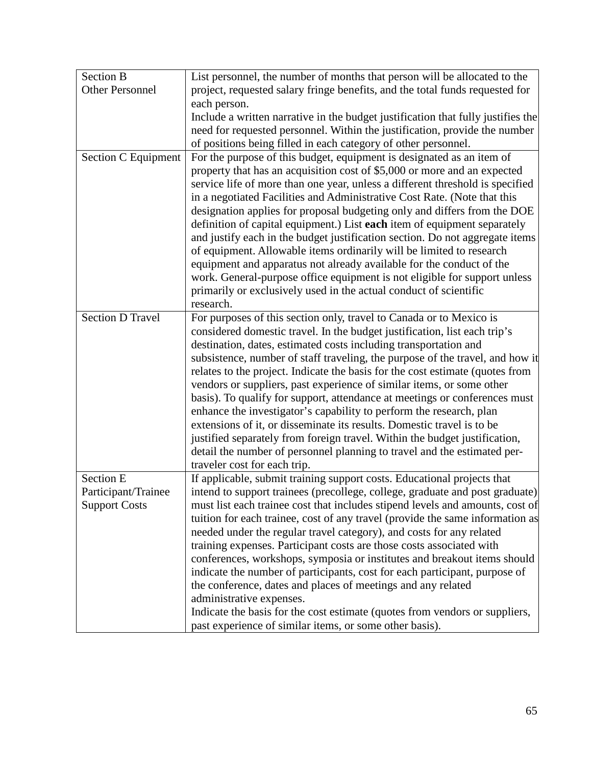| <b>Section B</b>        | List personnel, the number of months that person will be allocated to the        |
|-------------------------|----------------------------------------------------------------------------------|
| <b>Other Personnel</b>  | project, requested salary fringe benefits, and the total funds requested for     |
|                         | each person.                                                                     |
|                         | Include a written narrative in the budget justification that fully justifies the |
|                         | need for requested personnel. Within the justification, provide the number       |
|                         | of positions being filled in each category of other personnel.                   |
| Section C Equipment     | For the purpose of this budget, equipment is designated as an item of            |
|                         | property that has an acquisition cost of \$5,000 or more and an expected         |
|                         | service life of more than one year, unless a different threshold is specified    |
|                         | in a negotiated Facilities and Administrative Cost Rate. (Note that this         |
|                         | designation applies for proposal budgeting only and differs from the DOE         |
|                         | definition of capital equipment.) List each item of equipment separately         |
|                         | and justify each in the budget justification section. Do not aggregate items     |
|                         | of equipment. Allowable items ordinarily will be limited to research             |
|                         | equipment and apparatus not already available for the conduct of the             |
|                         | work. General-purpose office equipment is not eligible for support unless        |
|                         | primarily or exclusively used in the actual conduct of scientific                |
|                         | research.                                                                        |
| <b>Section D Travel</b> | For purposes of this section only, travel to Canada or to Mexico is              |
|                         | considered domestic travel. In the budget justification, list each trip's        |
|                         | destination, dates, estimated costs including transportation and                 |
|                         | subsistence, number of staff traveling, the purpose of the travel, and how it    |
|                         | relates to the project. Indicate the basis for the cost estimate (quotes from    |
|                         | vendors or suppliers, past experience of similar items, or some other            |
|                         | basis). To qualify for support, attendance at meetings or conferences must       |
|                         | enhance the investigator's capability to perform the research, plan              |
|                         | extensions of it, or disseminate its results. Domestic travel is to be           |
|                         | justified separately from foreign travel. Within the budget justification,       |
|                         | detail the number of personnel planning to travel and the estimated per-         |
|                         | traveler cost for each trip.                                                     |
| <b>Section E</b>        | If applicable, submit training support costs. Educational projects that          |
| Participant/Trainee     | intend to support trainees (precollege, college, graduate and post graduate)     |
| <b>Support Costs</b>    | must list each trainee cost that includes stipend levels and amounts, cost of    |
|                         | tuition for each trainee, cost of any travel (provide the same information as    |
|                         | needed under the regular travel category), and costs for any related             |
|                         | training expenses. Participant costs are those costs associated with             |
|                         | conferences, workshops, symposia or institutes and breakout items should         |
|                         | indicate the number of participants, cost for each participant, purpose of       |
|                         | the conference, dates and places of meetings and any related                     |
|                         | administrative expenses.                                                         |
|                         | Indicate the basis for the cost estimate (quotes from vendors or suppliers,      |
|                         | past experience of similar items, or some other basis).                          |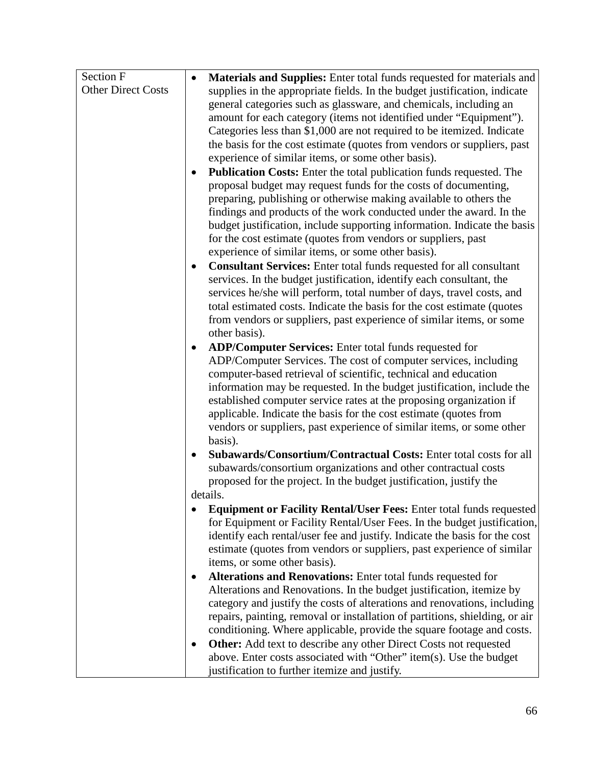| Section F                 | Materials and Supplies: Enter total funds requested for materials and<br>$\bullet$                                                               |
|---------------------------|--------------------------------------------------------------------------------------------------------------------------------------------------|
| <b>Other Direct Costs</b> | supplies in the appropriate fields. In the budget justification, indicate                                                                        |
|                           | general categories such as glassware, and chemicals, including an                                                                                |
|                           | amount for each category (items not identified under "Equipment").                                                                               |
|                           | Categories less than \$1,000 are not required to be itemized. Indicate                                                                           |
|                           | the basis for the cost estimate (quotes from vendors or suppliers, past                                                                          |
|                           | experience of similar items, or some other basis).                                                                                               |
|                           | <b>Publication Costs:</b> Enter the total publication funds requested. The<br>$\bullet$                                                          |
|                           | proposal budget may request funds for the costs of documenting,                                                                                  |
|                           | preparing, publishing or otherwise making available to others the                                                                                |
|                           | findings and products of the work conducted under the award. In the                                                                              |
|                           | budget justification, include supporting information. Indicate the basis                                                                         |
|                           | for the cost estimate (quotes from vendors or suppliers, past                                                                                    |
|                           | experience of similar items, or some other basis).                                                                                               |
|                           | <b>Consultant Services:</b> Enter total funds requested for all consultant<br>$\bullet$                                                          |
|                           | services. In the budget justification, identify each consultant, the                                                                             |
|                           | services he/she will perform, total number of days, travel costs, and<br>total estimated costs. Indicate the basis for the cost estimate (quotes |
|                           | from vendors or suppliers, past experience of similar items, or some                                                                             |
|                           | other basis).                                                                                                                                    |
|                           | ADP/Computer Services: Enter total funds requested for<br>$\bullet$                                                                              |
|                           | ADP/Computer Services. The cost of computer services, including                                                                                  |
|                           | computer-based retrieval of scientific, technical and education                                                                                  |
|                           | information may be requested. In the budget justification, include the                                                                           |
|                           | established computer service rates at the proposing organization if                                                                              |
|                           | applicable. Indicate the basis for the cost estimate (quotes from                                                                                |
|                           | vendors or suppliers, past experience of similar items, or some other                                                                            |
|                           | basis).                                                                                                                                          |
|                           | Subawards/Consortium/Contractual Costs: Enter total costs for all<br>٠                                                                           |
|                           | subawards/consortium organizations and other contractual costs                                                                                   |
|                           | proposed for the project. In the budget justification, justify the                                                                               |
|                           | details.                                                                                                                                         |
|                           | Equipment or Facility Rental/User Fees: Enter total funds requested                                                                              |
|                           | for Equipment or Facility Rental/User Fees. In the budget justification,                                                                         |
|                           | identify each rental/user fee and justify. Indicate the basis for the cost                                                                       |
|                           | estimate (quotes from vendors or suppliers, past experience of similar<br>items, or some other basis).                                           |
|                           | Alterations and Renovations: Enter total funds requested for<br>٠                                                                                |
|                           | Alterations and Renovations. In the budget justification, itemize by                                                                             |
|                           | category and justify the costs of alterations and renovations, including                                                                         |
|                           | repairs, painting, removal or installation of partitions, shielding, or air                                                                      |
|                           | conditioning. Where applicable, provide the square footage and costs.                                                                            |
|                           | <b>Other:</b> Add text to describe any other Direct Costs not requested                                                                          |
|                           | above. Enter costs associated with "Other" item(s). Use the budget                                                                               |
|                           | justification to further itemize and justify.                                                                                                    |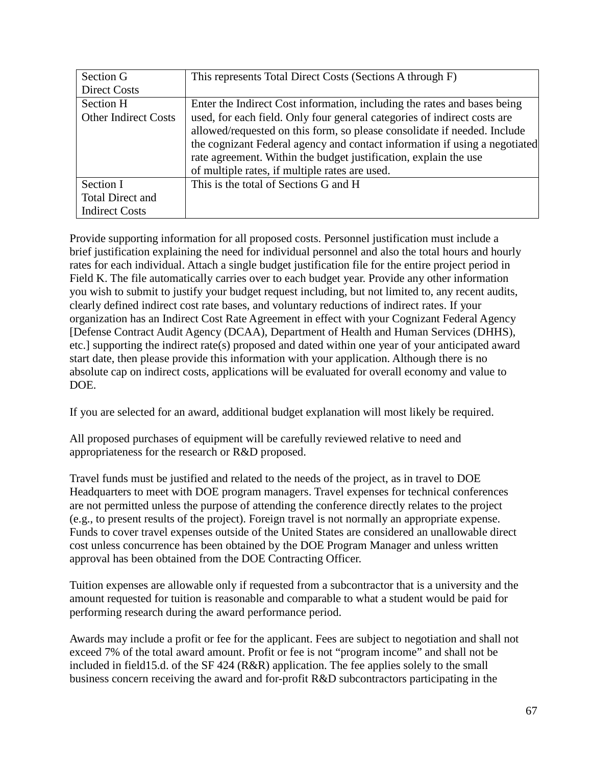| Section G                   | This represents Total Direct Costs (Sections A through F)                  |
|-----------------------------|----------------------------------------------------------------------------|
| <b>Direct Costs</b>         |                                                                            |
| Section H                   | Enter the Indirect Cost information, including the rates and bases being   |
| <b>Other Indirect Costs</b> | used, for each field. Only four general categories of indirect costs are   |
|                             | allowed/requested on this form, so please consolidate if needed. Include   |
|                             | the cognizant Federal agency and contact information if using a negotiated |
|                             | rate agreement. Within the budget justification, explain the use           |
|                             | of multiple rates, if multiple rates are used.                             |
| Section I                   | This is the total of Sections G and H                                      |
| Total Direct and            |                                                                            |
| <b>Indirect Costs</b>       |                                                                            |

Provide supporting information for all proposed costs. Personnel justification must include a brief justification explaining the need for individual personnel and also the total hours and hourly rates for each individual. Attach a single budget justification file for the entire project period in Field K. The file automatically carries over to each budget year. Provide any other information you wish to submit to justify your budget request including, but not limited to, any recent audits, clearly defined indirect cost rate bases, and voluntary reductions of indirect rates. If your organization has an Indirect Cost Rate Agreement in effect with your Cognizant Federal Agency [Defense Contract Audit Agency (DCAA), Department of Health and Human Services (DHHS), etc.] supporting the indirect rate(s) proposed and dated within one year of your anticipated award start date, then please provide this information with your application. Although there is no absolute cap on indirect costs, applications will be evaluated for overall economy and value to DOE.

If you are selected for an award, additional budget explanation will most likely be required.

All proposed purchases of equipment will be carefully reviewed relative to need and appropriateness for the research or R&D proposed.

Travel funds must be justified and related to the needs of the project, as in travel to DOE Headquarters to meet with DOE program managers. Travel expenses for technical conferences are not permitted unless the purpose of attending the conference directly relates to the project (e.g., to present results of the project). Foreign travel is not normally an appropriate expense. Funds to cover travel expenses outside of the United States are considered an unallowable direct cost unless concurrence has been obtained by the DOE Program Manager and unless written approval has been obtained from the DOE Contracting Officer.

Tuition expenses are allowable only if requested from a subcontractor that is a university and the amount requested for tuition is reasonable and comparable to what a student would be paid for performing research during the award performance period.

Awards may include a profit or fee for the applicant. Fees are subject to negotiation and shall not exceed 7% of the total award amount. Profit or fee is not "program income" and shall not be included in field15.d. of the SF 424 (R&R) application. The fee applies solely to the small business concern receiving the award and for-profit R&D subcontractors participating in the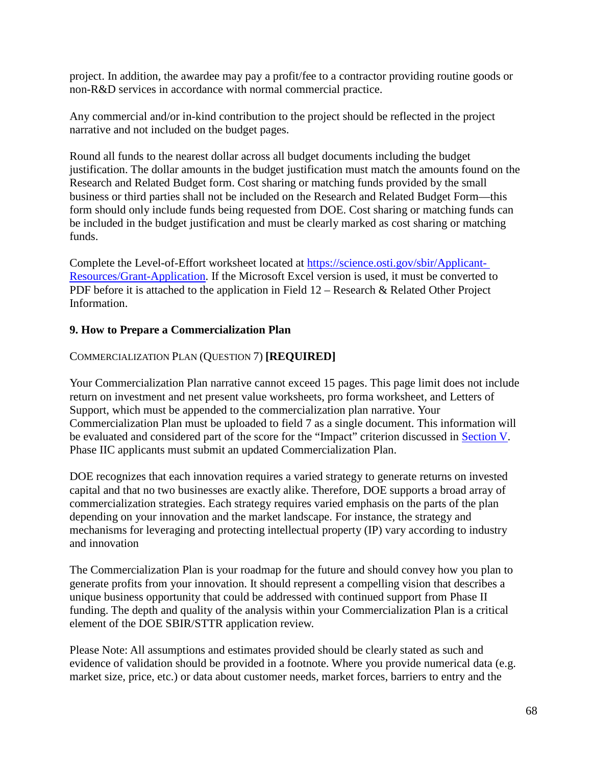project. In addition, the awardee may pay a profit/fee to a contractor providing routine goods or non-R&D services in accordance with normal commercial practice.

Any commercial and/or in-kind contribution to the project should be reflected in the project narrative and not included on the budget pages.

Round all funds to the nearest dollar across all budget documents including the budget justification. The dollar amounts in the budget justification must match the amounts found on the Research and Related Budget form. Cost sharing or matching funds provided by the small business or third parties shall not be included on the Research and Related Budget Form—this form should only include funds being requested from DOE. Cost sharing or matching funds can be included in the budget justification and must be clearly marked as cost sharing or matching funds.

Complete the Level-of-Effort worksheet located at [https://science.osti.gov/sbir/Applicant-](https://science.osti.gov/sbir/Applicant-Resources/Grant-Application)[Resources/Grant-Application.](https://science.osti.gov/sbir/Applicant-Resources/Grant-Application) If the Microsoft Excel version is used, it must be converted to PDF before it is attached to the application in Field 12 – Research & Related Other Project Information.

## <span id="page-67-0"></span>**9. How to Prepare a Commercialization Plan**

## COMMERCIALIZATION PLAN (QUESTION 7) **[REQUIRED]**

Your Commercialization Plan narrative cannot exceed 15 pages. This page limit does not include return on investment and net present value worksheets, pro forma worksheet, and Letters of Support, which must be appended to the commercialization plan narrative. Your Commercialization Plan must be uploaded to field 7 as a single document. This information will be evaluated and considered part of the score for the "Impact" criterion discussed in [Section V.](#page-40-0) Phase IIC applicants must submit an updated Commercialization Plan.

DOE recognizes that each innovation requires a varied strategy to generate returns on invested capital and that no two businesses are exactly alike. Therefore, DOE supports a broad array of commercialization strategies. Each strategy requires varied emphasis on the parts of the plan depending on your innovation and the market landscape. For instance, the strategy and mechanisms for leveraging and protecting intellectual property (IP) vary according to industry and innovation

The Commercialization Plan is your roadmap for the future and should convey how you plan to generate profits from your innovation. It should represent a compelling vision that describes a unique business opportunity that could be addressed with continued support from Phase II funding. The depth and quality of the analysis within your Commercialization Plan is a critical element of the DOE SBIR/STTR application review.

Please Note: All assumptions and estimates provided should be clearly stated as such and evidence of validation should be provided in a footnote. Where you provide numerical data (e.g. market size, price, etc.) or data about customer needs, market forces, barriers to entry and the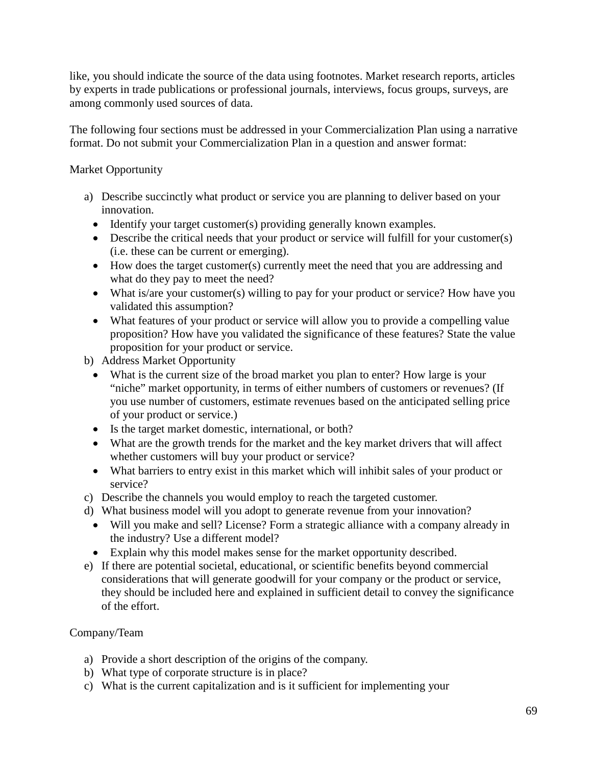like, you should indicate the source of the data using footnotes. Market research reports, articles by experts in trade publications or professional journals, interviews, focus groups, surveys, are among commonly used sources of data.

The following four sections must be addressed in your Commercialization Plan using a narrative format. Do not submit your Commercialization Plan in a question and answer format:

### Market Opportunity

- a) Describe succinctly what product or service you are planning to deliver based on your innovation.
	- Identify your target customer(s) providing generally known examples.
	- Describe the critical needs that your product or service will fulfill for your customer(s) (i.e. these can be current or emerging).
	- How does the target customer(s) currently meet the need that you are addressing and what do they pay to meet the need?
	- What is/are your customer(s) willing to pay for your product or service? How have you validated this assumption?
	- What features of your product or service will allow you to provide a compelling value proposition? How have you validated the significance of these features? State the value proposition for your product or service.
- b) Address Market Opportunity
	- What is the current size of the broad market you plan to enter? How large is your "niche" market opportunity, in terms of either numbers of customers or revenues? (If you use number of customers, estimate revenues based on the anticipated selling price of your product or service.)
	- Is the target market domestic, international, or both?
	- What are the growth trends for the market and the key market drivers that will affect whether customers will buy your product or service?
	- What barriers to entry exist in this market which will inhibit sales of your product or service?
- c) Describe the channels you would employ to reach the targeted customer.
- d) What business model will you adopt to generate revenue from your innovation?
	- Will you make and sell? License? Form a strategic alliance with a company already in the industry? Use a different model?
	- Explain why this model makes sense for the market opportunity described.
- e) If there are potential societal, educational, or scientific benefits beyond commercial considerations that will generate goodwill for your company or the product or service, they should be included here and explained in sufficient detail to convey the significance of the effort.

## Company/Team

- a) Provide a short description of the origins of the company.
- b) What type of corporate structure is in place?
- c) What is the current capitalization and is it sufficient for implementing your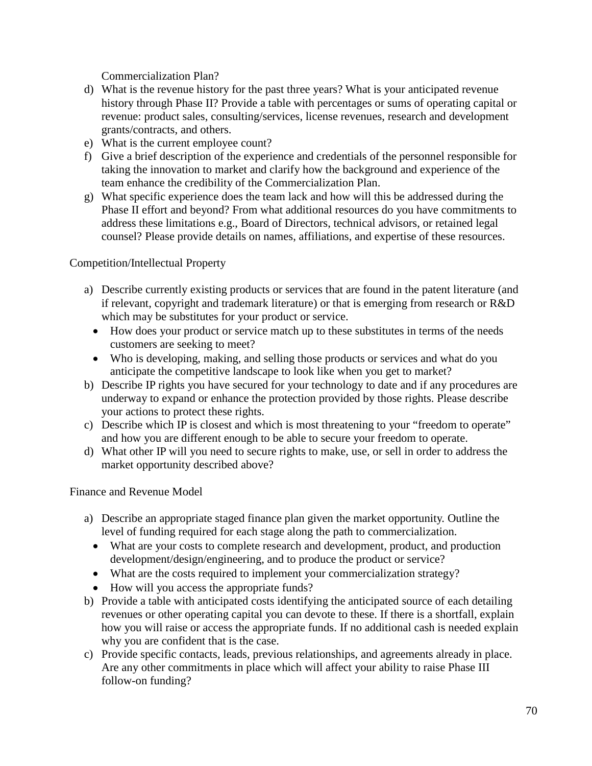Commercialization Plan?

- d) What is the revenue history for the past three years? What is your anticipated revenue history through Phase II? Provide a table with percentages or sums of operating capital or revenue: product sales, consulting/services, license revenues, research and development grants/contracts, and others.
- e) What is the current employee count?
- f) Give a brief description of the experience and credentials of the personnel responsible for taking the innovation to market and clarify how the background and experience of the team enhance the credibility of the Commercialization Plan.
- g) What specific experience does the team lack and how will this be addressed during the Phase II effort and beyond? From what additional resources do you have commitments to address these limitations e.g., Board of Directors, technical advisors, or retained legal counsel? Please provide details on names, affiliations, and expertise of these resources.

Competition/Intellectual Property

- a) Describe currently existing products or services that are found in the patent literature (and if relevant, copyright and trademark literature) or that is emerging from research or R&D which may be substitutes for your product or service.
	- How does your product or service match up to these substitutes in terms of the needs customers are seeking to meet?
	- Who is developing, making, and selling those products or services and what do you anticipate the competitive landscape to look like when you get to market?
- b) Describe IP rights you have secured for your technology to date and if any procedures are underway to expand or enhance the protection provided by those rights. Please describe your actions to protect these rights.
- c) Describe which IP is closest and which is most threatening to your "freedom to operate" and how you are different enough to be able to secure your freedom to operate.
- d) What other IP will you need to secure rights to make, use, or sell in order to address the market opportunity described above?

Finance and Revenue Model

- a) Describe an appropriate staged finance plan given the market opportunity. Outline the level of funding required for each stage along the path to commercialization.
	- What are your costs to complete research and development, product, and production development/design/engineering, and to produce the product or service?
	- What are the costs required to implement your commercialization strategy?
	- How will you access the appropriate funds?
- b) Provide a table with anticipated costs identifying the anticipated source of each detailing revenues or other operating capital you can devote to these. If there is a shortfall, explain how you will raise or access the appropriate funds. If no additional cash is needed explain why you are confident that is the case.
- c) Provide specific contacts, leads, previous relationships, and agreements already in place. Are any other commitments in place which will affect your ability to raise Phase III follow-on funding?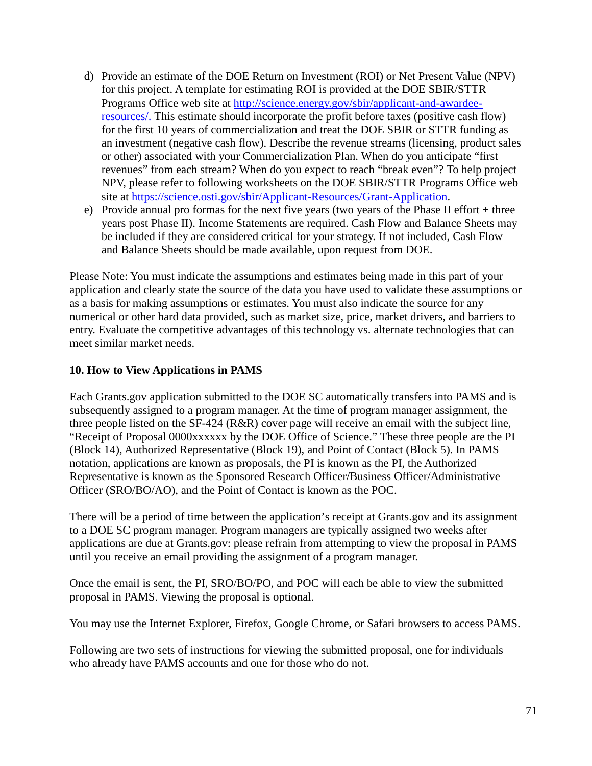- d) Provide an estimate of the DOE Return on Investment (ROI) or Net Present Value (NPV) for this project. A template for estimating ROI is provided at the DOE SBIR/STTR Programs Office web site at [http://science.energy.gov/sbir/applicant-and-awardee](https://science.osti.gov/sbir/Awardee-Resources)[resources/.](https://science.osti.gov/sbir/Awardee-Resources) This estimate should incorporate the profit before taxes (positive cash flow) for the first 10 years of commercialization and treat the DOE SBIR or STTR funding as an investment (negative cash flow). Describe the revenue streams (licensing, product sales or other) associated with your Commercialization Plan. When do you anticipate "first revenues" from each stream? When do you expect to reach "break even"? To help project NPV, please refer to following worksheets on the DOE SBIR/STTR Programs Office web site at [https://science.osti.gov/sbir/Applicant-Resources/Grant-Application.](https://science.osti.gov/sbir/Applicant-Resources/Grant-Application)
- e) Provide annual pro formas for the next five years (two years of the Phase II effort + three years post Phase II). Income Statements are required. Cash Flow and Balance Sheets may be included if they are considered critical for your strategy. If not included, Cash Flow and Balance Sheets should be made available, upon request from DOE.

Please Note: You must indicate the assumptions and estimates being made in this part of your application and clearly state the source of the data you have used to validate these assumptions or as a basis for making assumptions or estimates. You must also indicate the source for any numerical or other hard data provided, such as market size, price, market drivers, and barriers to entry. Evaluate the competitive advantages of this technology vs. alternate technologies that can meet similar market needs.

## **10. How to View Applications in PAMS**

Each Grants.gov application submitted to the DOE SC automatically transfers into PAMS and is subsequently assigned to a program manager. At the time of program manager assignment, the three people listed on the SF-424 (R&R) cover page will receive an email with the subject line, "Receipt of Proposal 0000xxxxxx by the DOE Office of Science." These three people are the PI (Block 14), Authorized Representative (Block 19), and Point of Contact (Block 5). In PAMS notation, applications are known as proposals, the PI is known as the PI, the Authorized Representative is known as the Sponsored Research Officer/Business Officer/Administrative Officer (SRO/BO/AO), and the Point of Contact is known as the POC.

There will be a period of time between the application's receipt at Grants.gov and its assignment to a DOE SC program manager. Program managers are typically assigned two weeks after applications are due at Grants.gov: please refrain from attempting to view the proposal in PAMS until you receive an email providing the assignment of a program manager.

Once the email is sent, the PI, SRO/BO/PO, and POC will each be able to view the submitted proposal in PAMS. Viewing the proposal is optional.

You may use the Internet Explorer, Firefox, Google Chrome, or Safari browsers to access PAMS.

Following are two sets of instructions for viewing the submitted proposal, one for individuals who already have PAMS accounts and one for those who do not.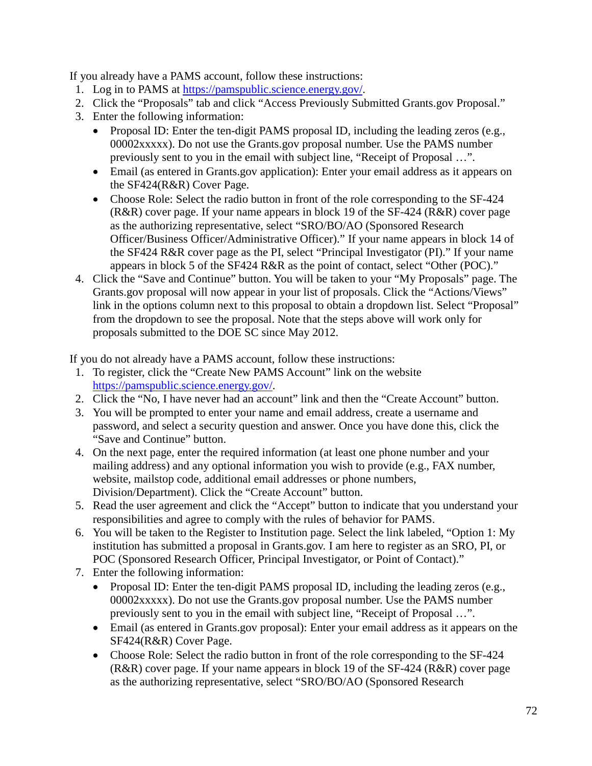If you already have a PAMS account, follow these instructions:

- 1. Log in to PAMS at [https://pamspublic.science.energy.gov/.](https://pamspublic.science.energy.gov/)
- 2. Click the "Proposals" tab and click "Access Previously Submitted Grants.gov Proposal."
- 3. Enter the following information:
	- Proposal ID: Enter the ten-digit PAMS proposal ID, including the leading zeros (e.g., 00002xxxxx). Do not use the Grants.gov proposal number. Use the PAMS number previously sent to you in the email with subject line, "Receipt of Proposal …".
	- Email (as entered in Grants.gov application): Enter your email address as it appears on the SF424(R&R) Cover Page.
	- Choose Role: Select the radio button in front of the role corresponding to the SF-424 (R&R) cover page. If your name appears in block 19 of the SF-424 (R&R) cover page as the authorizing representative, select "SRO/BO/AO (Sponsored Research Officer/Business Officer/Administrative Officer)." If your name appears in block 14 of the SF424 R&R cover page as the PI, select "Principal Investigator (PI)." If your name appears in block 5 of the SF424 R&R as the point of contact, select "Other (POC)."
- 4. Click the "Save and Continue" button. You will be taken to your "My Proposals" page. The Grants.gov proposal will now appear in your list of proposals. Click the "Actions/Views" link in the options column next to this proposal to obtain a dropdown list. Select "Proposal" from the dropdown to see the proposal. Note that the steps above will work only for proposals submitted to the DOE SC since May 2012.

If you do not already have a PAMS account, follow these instructions:

- 1. To register, click the "Create New PAMS Account" link on the website [https://pamspublic.science.energy.gov/.](https://pamspublic.science.energy.gov/)
- 2. Click the "No, I have never had an account" link and then the "Create Account" button.
- 3. You will be prompted to enter your name and email address, create a username and password, and select a security question and answer. Once you have done this, click the "Save and Continue" button.
- 4. On the next page, enter the required information (at least one phone number and your mailing address) and any optional information you wish to provide (e.g., FAX number, website, mailstop code, additional email addresses or phone numbers, Division/Department). Click the "Create Account" button.
- 5. Read the user agreement and click the "Accept" button to indicate that you understand your responsibilities and agree to comply with the rules of behavior for PAMS.
- 6. You will be taken to the Register to Institution page. Select the link labeled, "Option 1: My institution has submitted a proposal in Grants.gov. I am here to register as an SRO, PI, or POC (Sponsored Research Officer, Principal Investigator, or Point of Contact)."
- 7. Enter the following information:
	- Proposal ID: Enter the ten-digit PAMS proposal ID, including the leading zeros (e.g., 00002xxxxx). Do not use the Grants.gov proposal number. Use the PAMS number previously sent to you in the email with subject line, "Receipt of Proposal …".
	- Email (as entered in Grants.gov proposal): Enter your email address as it appears on the SF424(R&R) Cover Page.
	- Choose Role: Select the radio button in front of the role corresponding to the SF-424 (R&R) cover page. If your name appears in block 19 of the SF-424 (R&R) cover page as the authorizing representative, select "SRO/BO/AO (Sponsored Research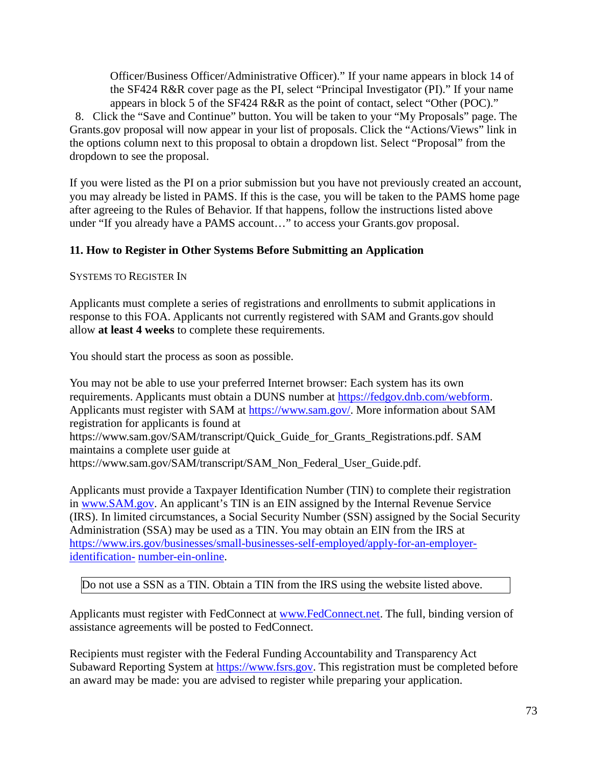Officer/Business Officer/Administrative Officer)." If your name appears in block 14 of the SF424 R&R cover page as the PI, select "Principal Investigator (PI)." If your name appears in block 5 of the SF424 R&R as the point of contact, select "Other (POC)."

8. Click the "Save and Continue" button. You will be taken to your "My Proposals" page. The Grants.gov proposal will now appear in your list of proposals. Click the "Actions/Views" link in the options column next to this proposal to obtain a dropdown list. Select "Proposal" from the dropdown to see the proposal.

If you were listed as the PI on a prior submission but you have not previously created an account, you may already be listed in PAMS. If this is the case, you will be taken to the PAMS home page after agreeing to the Rules of Behavior. If that happens, follow the instructions listed above under "If you already have a PAMS account…" to access your Grants.gov proposal.

# **11. How to Register in Other Systems Before Submitting an Application**

SYSTEMS TO REGISTER IN

Applicants must complete a series of registrations and enrollments to submit applications in response to this FOA. Applicants not currently registered with SAM and Grants.gov should allow **at least 4 weeks** to complete these requirements.

You should start the process as soon as possible.

You may not be able to use your preferred Internet browser: Each system has its own requirements. Applicants must obtain a DUNS number at [https://fedgov.dnb.com/webform.](https://fedgov.dnb.com/webform) Applicants must register with SAM at [https://www.sam.gov/.](https://www.sam.gov/) More information about SAM registration for applicants is found at [https://www.sam.gov/SAM/transcript/Quick\\_Guide\\_for\\_Grants\\_Registrations.pdf.](https://www.sam.gov/SAM/transcript/Quick_Guide_for_Grants_Registrations.pdf) SAM maintains a complete user guide at [https://www.sam.gov/SAM/transcript/SAM\\_Non\\_Federal\\_User\\_Guide.pdf.](https://www.sam.gov/SAM/transcript/SAM_Non_Federal_User_Guide.pdf)

Applicants must provide a Taxpayer Identification Number (TIN) to complete their registration in [www.SAM.gov. A](https://www.sam.gov/)n applicant's TIN is an EIN assigned by the Internal Revenue Service (IRS). In limited circumstances, a Social Security Number (SSN) assigned by the Social Security Administration (SSA) may be used as a TIN. You may obtain an EIN from the IRS at [https://www.irs.gov/businesses/small-businesses-self-employed/apply-for-an-employer](https://www.irs.gov/businesses/small-businesses-self-employed/apply-for-an-employer-identification-number-ein-online)[identification-](https://www.irs.gov/businesses/small-businesses-self-employed/apply-for-an-employer-identification-number-ein-online) [number-ein-online.](https://www.irs.gov/businesses/small-businesses-self-employed/apply-for-an-employer-identification-number-ein-online)

Do not use a SSN as a TIN. Obtain a TIN from the IRS using the website listed above.

Applicants must register with FedConnect at [www.FedConnect.net.](https://www.fedconnect.net/) The full, binding version of assistance agreements will be posted to FedConnect.

Recipients must register with the Federal Funding Accountability and Transparency Act Subaward Reporting System at [https://www.fsrs.gov.](https://www.fsrs.gov/) This registration must be completed before an award may be made: you are advised to register while preparing your application.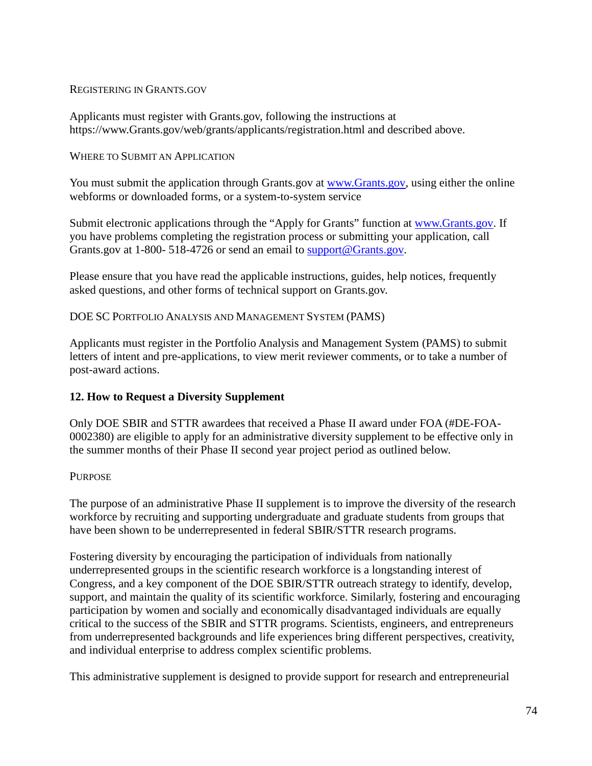#### REGISTERING IN GRANTS.GOV

Applicants must register with Grants.gov, following the instructions at [https://www.Grants.gov/web/grants/applicants/registration.html](https://www.grants.gov/web/grants/applicants/registration.html) and described above.

#### WHERE TO SUBMIT AN APPLICATION

You must submit the application through Grants.gov at [www.Grants.gov,](https://www.grants.gov/) using either the online webforms or downloaded forms, or a system-to-system service

Submit electronic applications through the "Apply for Grants" function at [www.Grants.gov. I](https://www.grants.gov/)f you have problems completing the registration process or submitting your application, call Grants.gov at 1-800- 518-4726 or send an email to [support@Grants.gov.](mailto:support@grants.gov)

Please ensure that you have read the applicable instructions, guides, help notices, frequently asked questions, and other forms of technical support on Grants.gov.

### DOE SC PORTFOLIO ANALYSIS AND MANAGEMENT SYSTEM (PAMS)

Applicants must register in the Portfolio Analysis and Management System (PAMS) to submit letters of intent and pre-applications, to view merit reviewer comments, or to take a number of post-award actions.

## **12. How to Request a Diversity Supplement**

Only DOE SBIR and STTR awardees that received a Phase II award under FOA (#DE-FOA-0002380) are eligible to apply for an administrative diversity supplement to be effective only in the summer months of their Phase II second year project period as outlined below.

## **PURPOSE**

The purpose of an administrative Phase II supplement is to improve the diversity of the research workforce by recruiting and supporting undergraduate and graduate students from groups that have been shown to be underrepresented in federal SBIR/STTR research programs.

Fostering diversity by encouraging the participation of individuals from nationally underrepresented groups in the scientific research workforce is a longstanding interest of Congress, and a key component of the DOE SBIR/STTR outreach strategy to identify, develop, support, and maintain the quality of its scientific workforce. Similarly, fostering and encouraging participation by women and socially and economically disadvantaged individuals are equally critical to the success of the SBIR and STTR programs. Scientists, engineers, and entrepreneurs from underrepresented backgrounds and life experiences bring different perspectives, creativity, and individual enterprise to address complex scientific problems.

This administrative supplement is designed to provide support for research and entrepreneurial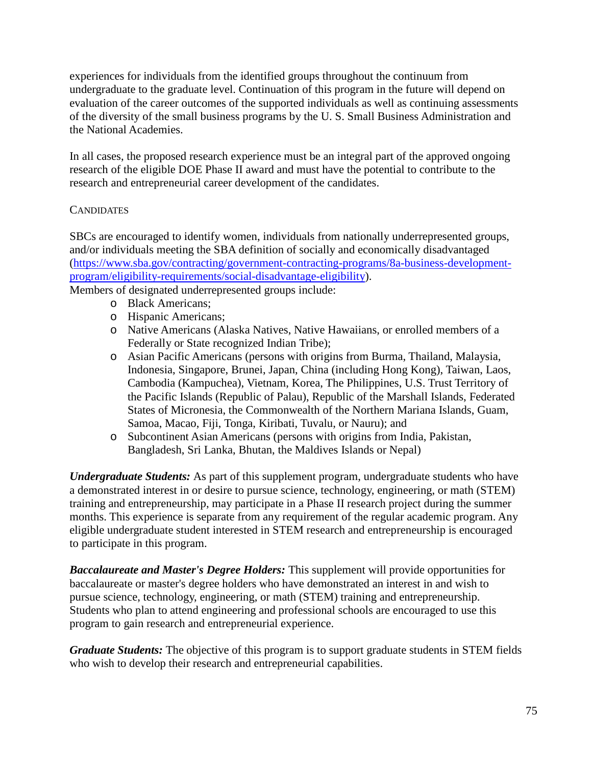experiences for individuals from the identified groups throughout the continuum from undergraduate to the graduate level. Continuation of this program in the future will depend on evaluation of the career outcomes of the supported individuals as well as continuing assessments of the diversity of the small business programs by the U. S. Small Business Administration and the National Academies.

In all cases, the proposed research experience must be an integral part of the approved ongoing research of the eligible DOE Phase II award and must have the potential to contribute to the research and entrepreneurial career development of the candidates.

## **CANDIDATES**

SBCs are encouraged to identify women, individuals from nationally underrepresented groups, and/or individuals meeting the SBA definition of socially and economically disadvantaged [\(https://www.sba.gov/contracting/government-contracting-programs/8a-business-development](https://www.sba.gov/contracting/government-contracting-programs/8a-business-development-program/eligibility-requirements/social-disadvantage-eligibility)[program/eligibility-requirements/social-disadvantage-eligibility\)](https://www.sba.gov/contracting/government-contracting-programs/8a-business-development-program/eligibility-requirements/social-disadvantage-eligibility).

Members of designated underrepresented groups include:

- o Black Americans;
- o Hispanic Americans;
- o Native Americans (Alaska Natives, Native Hawaiians, or enrolled members of a Federally or State recognized Indian Tribe);
- o Asian Pacific Americans (persons with origins from Burma, Thailand, Malaysia, Indonesia, Singapore, Brunei, Japan, China (including Hong Kong), Taiwan, Laos, Cambodia (Kampuchea), Vietnam, Korea, The Philippines, U.S. Trust Territory of the Pacific Islands (Republic of Palau), Republic of the Marshall Islands, Federated States of Micronesia, the Commonwealth of the Northern Mariana Islands, Guam, Samoa, Macao, Fiji, Tonga, Kiribati, Tuvalu, or Nauru); and
- o Subcontinent Asian Americans (persons with origins from India, Pakistan, Bangladesh, Sri Lanka, Bhutan, the Maldives Islands or Nepal)

*Undergraduate Students:* As part of this supplement program, undergraduate students who have a demonstrated interest in or desire to pursue science, technology, engineering, or math (STEM) training and entrepreneurship, may participate in a Phase II research project during the summer months. This experience is separate from any requirement of the regular academic program. Any eligible undergraduate student interested in STEM research and entrepreneurship is encouraged to participate in this program.

*Baccalaureate and Master's Degree Holders:* This supplement will provide opportunities for baccalaureate or master's degree holders who have demonstrated an interest in and wish to pursue science, technology, engineering, or math (STEM) training and entrepreneurship. Students who plan to attend engineering and professional schools are encouraged to use this program to gain research and entrepreneurial experience.

*Graduate Students:* The objective of this program is to support graduate students in STEM fields who wish to develop their research and entrepreneurial capabilities.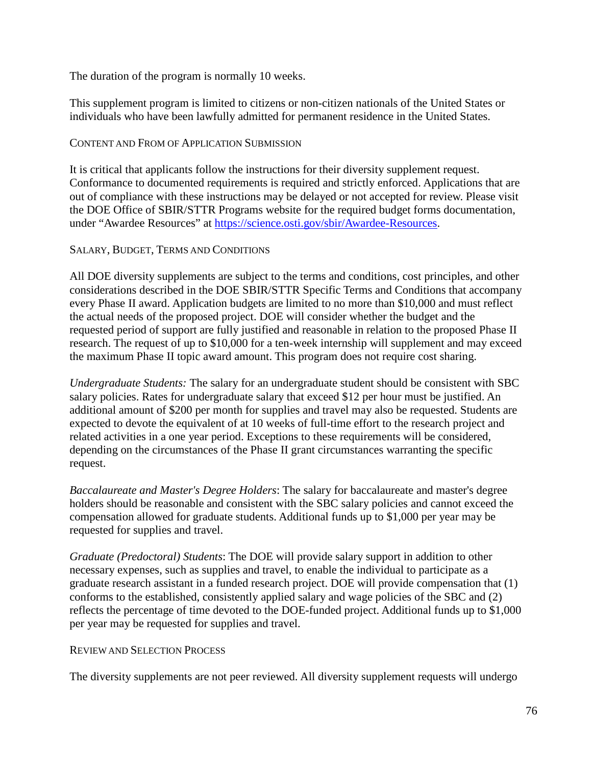The duration of the program is normally 10 weeks.

This supplement program is limited to citizens or non-citizen nationals of the United States or individuals who have been lawfully admitted for permanent residence in the United States.

### CONTENT AND FROM OF APPLICATION SUBMISSION

It is critical that applicants follow the instructions for their diversity supplement request. Conformance to documented requirements is required and strictly enforced. Applications that are out of compliance with these instructions may be delayed or not accepted for review. Please visit the DOE Office of SBIR/STTR Programs website for the required budget forms documentation, under "Awardee Resources" at [https://science.osti.gov/sbir/Awardee-Resources.](https://science.osti.gov/sbir/Awardee-Resources)

### SALARY, BUDGET, TERMS AND CONDITIONS

All DOE diversity supplements are subject to the terms and conditions, cost principles, and other considerations described in the DOE SBIR/STTR Specific Terms and Conditions that accompany every Phase II award. Application budgets are limited to no more than \$10,000 and must reflect the actual needs of the proposed project. DOE will consider whether the budget and the requested period of support are fully justified and reasonable in relation to the proposed Phase II research. The request of up to \$10,000 for a ten-week internship will supplement and may exceed the maximum Phase II topic award amount. This program does not require cost sharing.

*Undergraduate Students:* The salary for an undergraduate student should be consistent with SBC salary policies. Rates for undergraduate salary that exceed \$12 per hour must be justified. An additional amount of \$200 per month for supplies and travel may also be requested. Students are expected to devote the equivalent of at 10 weeks of full-time effort to the research project and related activities in a one year period. Exceptions to these requirements will be considered, depending on the circumstances of the Phase II grant circumstances warranting the specific request.

*Baccalaureate and Master's Degree Holders*: The salary for baccalaureate and master's degree holders should be reasonable and consistent with the SBC salary policies and cannot exceed the compensation allowed for graduate students. Additional funds up to \$1,000 per year may be requested for supplies and travel.

*Graduate (Predoctoral) Students*: The DOE will provide salary support in addition to other necessary expenses, such as supplies and travel, to enable the individual to participate as a graduate research assistant in a funded research project. DOE will provide compensation that (1) conforms to the established, consistently applied salary and wage policies of the SBC and (2) reflects the percentage of time devoted to the DOE-funded project. Additional funds up to \$1,000 per year may be requested for supplies and travel.

#### REVIEW AND SELECTION PROCESS

The diversity supplements are not peer reviewed. All diversity supplement requests will undergo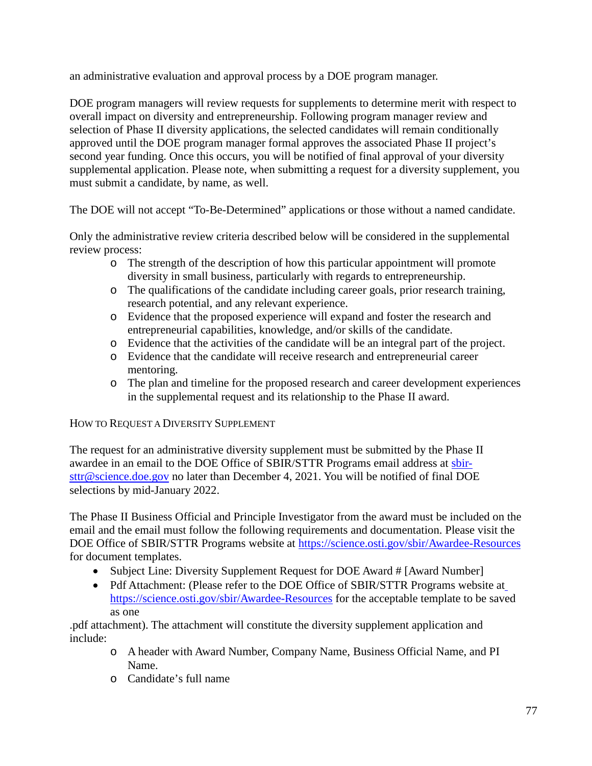an administrative evaluation and approval process by a DOE program manager.

DOE program managers will review requests for supplements to determine merit with respect to overall impact on diversity and entrepreneurship. Following program manager review and selection of Phase II diversity applications, the selected candidates will remain conditionally approved until the DOE program manager formal approves the associated Phase II project's second year funding. Once this occurs, you will be notified of final approval of your diversity supplemental application. Please note, when submitting a request for a diversity supplement, you must submit a candidate, by name, as well.

The DOE will not accept "To-Be-Determined" applications or those without a named candidate.

Only the administrative review criteria described below will be considered in the supplemental review process:

- o The strength of the description of how this particular appointment will promote diversity in small business, particularly with regards to entrepreneurship.
- o The qualifications of the candidate including career goals, prior research training, research potential, and any relevant experience.
- o Evidence that the proposed experience will expand and foster the research and entrepreneurial capabilities, knowledge, and/or skills of the candidate.
- o Evidence that the activities of the candidate will be an integral part of the project.
- o Evidence that the candidate will receive research and entrepreneurial career mentoring.
- o The plan and timeline for the proposed research and career development experiences in the supplemental request and its relationship to the Phase II award.

HOW TO REQUEST A DIVERSITY SUPPLEMENT

The request for an administrative diversity supplement must be submitted by the Phase II awardee in an email to the DOE Office of SBIR/STTR Programs email address at [sbir](mailto:sbir-sttr@science.doe.gov)[sttr@science.doe.gov](mailto:sbir-sttr@science.doe.gov) no later than December 4, 2021. You will be notified of final DOE selections by mid-January 2022.

The Phase II Business Official and Principle Investigator from the award must be included on the email and the email must follow the following requirements and documentation. Please visit the DOE Office of SBIR/STTR Programs website at<https://science.osti.gov/sbir/Awardee-Resources> for document templates.

- Subject Line: Diversity Supplement Request for DOE Award # [Award Number]
- Pdf A[t](https://science.osti.gov/sbir/Awardee-Resources)tachment: (Please refer to the DOE Office of SBIR/STTR Programs website at <https://science.osti.gov/sbir/Awardee-Resources> for the acceptable template to be saved as one

.pdf attachment). The attachment will constitute the diversity supplement application and include:

- o A header with Award Number, Company Name, Business Official Name, and PI Name.
- o Candidate's full name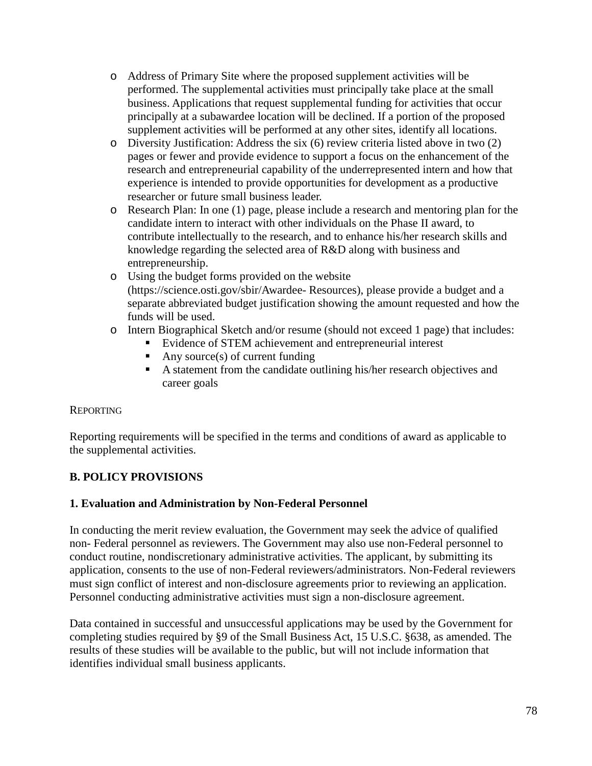- o Address of Primary Site where the proposed supplement activities will be performed. The supplemental activities must principally take place at the small business. Applications that request supplemental funding for activities that occur principally at a subawardee location will be declined. If a portion of the proposed supplement activities will be performed at any other sites, identify all locations.
- o Diversity Justification: Address the six (6) review criteria listed above in two (2) pages or fewer and provide evidence to support a focus on the enhancement of the research and entrepreneurial capability of the underrepresented intern and how that experience is intended to provide opportunities for development as a productive researcher or future small business leader.
- o Research Plan: In one (1) page, please include a research and mentoring plan for the candidate intern to interact with other individuals on the Phase II award, to contribute intellectually to the research, and to enhance his/her research skills and knowledge regarding the selected area of R&D along with business and entrepreneurship.
- o Using the budget forms provided on the website [\(https://science.osti.gov/sbir/Awardee-](https://science.osti.gov/sbir/Awardee-Resources) [Resources\)](https://science.osti.gov/sbir/Awardee-Resources), please provide a budget and a separate abbreviated budget justification showing the amount requested and how the funds will be used.
- o Intern Biographical Sketch and/or resume (should not exceed 1 page) that includes:
	- Evidence of STEM achievement and entrepreneurial interest
	- Any source(s) of current funding
	- A statement from the candidate outlining his/her research objectives and career goals

# **REPORTING**

Reporting requirements will be specified in the terms and conditions of award as applicable to the supplemental activities.

# **B. POLICY PROVISIONS**

## **1. Evaluation and Administration by Non-Federal Personnel**

In conducting the merit review evaluation, the Government may seek the advice of qualified non- Federal personnel as reviewers. The Government may also use non-Federal personnel to conduct routine, nondiscretionary administrative activities. The applicant, by submitting its application, consents to the use of non-Federal reviewers/administrators. Non-Federal reviewers must sign conflict of interest and non-disclosure agreements prior to reviewing an application. Personnel conducting administrative activities must sign a non-disclosure agreement.

Data contained in successful and unsuccessful applications may be used by the Government for completing studies required by §9 of the Small Business Act, 15 U.S.C. §638, as amended. The results of these studies will be available to the public, but will not include information that identifies individual small business applicants.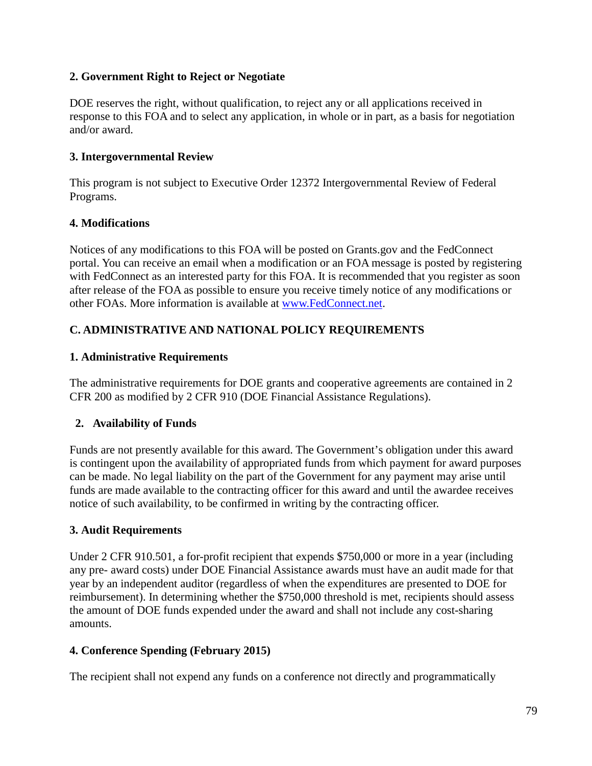## **2. Government Right to Reject or Negotiate**

DOE reserves the right, without qualification, to reject any or all applications received in response to this FOA and to select any application, in whole or in part, as a basis for negotiation and/or award.

## **3. Intergovernmental Review**

This program is not subject to Executive Order 12372 Intergovernmental Review of Federal Programs.

# **4. Modifications**

Notices of any modifications to this FOA will be posted on Grants.gov and the FedConnect portal. You can receive an email when a modification or an FOA message is posted by registering with FedConnect as an interested party for this FOA. It is recommended that you register as soon after release of the FOA as possible to ensure you receive timely notice of any modifications or other FOAs. More information is available at [www.FedConnect.net.](https://www.fedconnect.net/)

# **C. ADMINISTRATIVE AND NATIONAL POLICY REQUIREMENTS**

## **1. Administrative Requirements**

The administrative requirements for DOE grants and cooperative agreements are contained in 2 CFR 200 as modified by 2 CFR 910 (DOE Financial Assistance Regulations).

# **2. Availability of Funds**

Funds are not presently available for this award. The Government's obligation under this award is contingent upon the availability of appropriated funds from which payment for award purposes can be made. No legal liability on the part of the Government for any payment may arise until funds are made available to the contracting officer for this award and until the awardee receives notice of such availability, to be confirmed in writing by the contracting officer.

## **3. Audit Requirements**

Under 2 CFR 910.501, a for-profit recipient that expends \$750,000 or more in a year (including any pre- award costs) under DOE Financial Assistance awards must have an audit made for that year by an independent auditor (regardless of when the expenditures are presented to DOE for reimbursement). In determining whether the \$750,000 threshold is met, recipients should assess the amount of DOE funds expended under the award and shall not include any cost-sharing amounts.

# **4. Conference Spending (February 2015)**

The recipient shall not expend any funds on a conference not directly and programmatically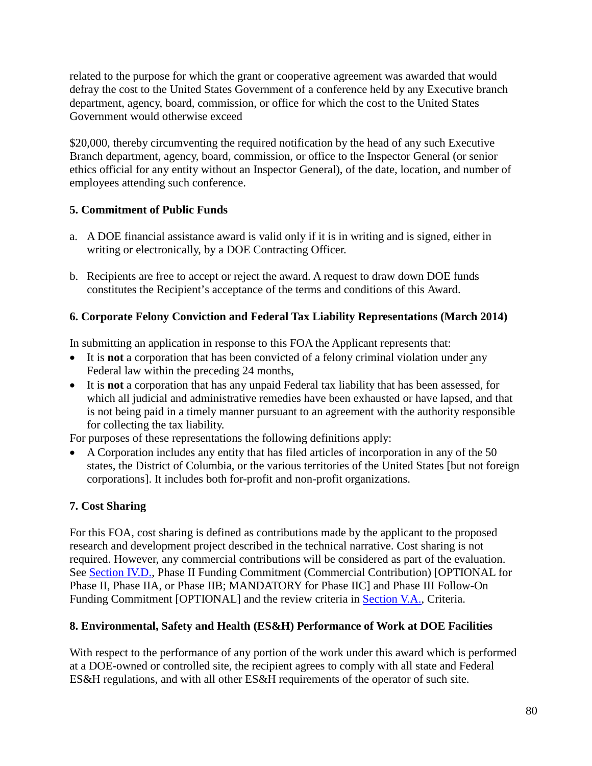related to the purpose for which the grant or cooperative agreement was awarded that would defray the cost to the United States Government of a conference held by any Executive branch department, agency, board, commission, or office for which the cost to the United States Government would otherwise exceed

\$20,000, thereby circumventing the required notification by the head of any such Executive Branch department, agency, board, commission, or office to the Inspector General (or senior ethics official for any entity without an Inspector General), of the date, location, and number of employees attending such conference.

# **5. Commitment of Public Funds**

- a. A DOE financial assistance award is valid only if it is in writing and is signed, either in writing or electronically, by a DOE Contracting Officer.
- b. Recipients are free to accept or reject the award. A request to draw down DOE funds constitutes the Recipient's acceptance of the terms and conditions of this Award.

# **6. Corporate Felony Conviction and Federal Tax Liability Representations (March 2014)**

In submitting an application in response to this FOA the Applicant represents that:

- It is **not** a corporation that has been convicted of a felony criminal violation under any Federal law within the preceding 24 months,
- It is **not** a corporation that has any unpaid Federal tax liability that has been assessed, for which all judicial and administrative remedies have been exhausted or have lapsed, and that is not being paid in a timely manner pursuant to an agreement with the authority responsible for collecting the tax liability.

For purposes of these representations the following definitions apply:

• A Corporation includes any entity that has filed articles of incorporation in any of the 50 states, the District of Columbia, or the various territories of the United States [but not foreign corporations]. It includes both for-profit and non-profit organizations.

# **7. Cost Sharing**

For this FOA, cost sharing is defined as contributions made by the applicant to the proposed research and development project described in the technical narrative. Cost sharing is not required. However, any commercial contributions will be considered as part of the evaluation. See [Section IV.D.,](#page-25-0) Phase II Funding Commitment (Commercial Contribution) [OPTIONAL for Phase II, Phase IIA, or Phase IIB; MANDATORY for Phase IIC] and Phase III Follow-On Funding Commitment [OPTIONAL] and the review criteria in [Section V.A.,](#page-40-0) Criteria.

# **8. Environmental, Safety and Health (ES&H) Performance of Work at DOE Facilities**

With respect to the performance of any portion of the work under this award which is performed at a DOE-owned or controlled site, the recipient agrees to comply with all state and Federal ES&H regulations, and with all other ES&H requirements of the operator of such site.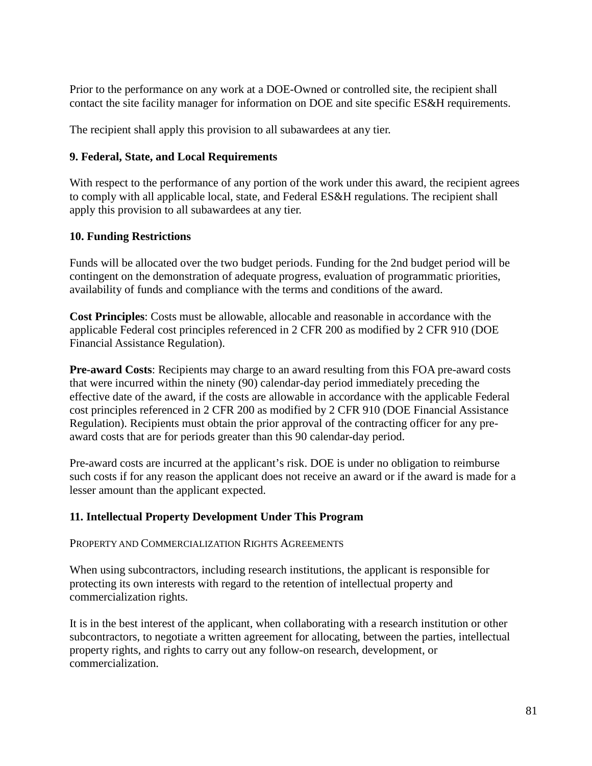Prior to the performance on any work at a DOE-Owned or controlled site, the recipient shall contact the site facility manager for information on DOE and site specific ES&H requirements.

The recipient shall apply this provision to all subawardees at any tier.

### **9. Federal, State, and Local Requirements**

With respect to the performance of any portion of the work under this award, the recipient agrees to comply with all applicable local, state, and Federal ES&H regulations. The recipient shall apply this provision to all subawardees at any tier.

### **10. Funding Restrictions**

Funds will be allocated over the two budget periods. Funding for the 2nd budget period will be contingent on the demonstration of adequate progress, evaluation of programmatic priorities, availability of funds and compliance with the terms and conditions of the award.

**Cost Principles**: Costs must be allowable, allocable and reasonable in accordance with the applicable Federal cost principles referenced in 2 CFR 200 as modified by 2 CFR 910 (DOE Financial Assistance Regulation).

**Pre-award Costs**: Recipients may charge to an award resulting from this FOA pre-award costs that were incurred within the ninety (90) calendar-day period immediately preceding the effective date of the award, if the costs are allowable in accordance with the applicable Federal cost principles referenced in 2 CFR 200 as modified by 2 CFR 910 (DOE Financial Assistance Regulation). Recipients must obtain the prior approval of the contracting officer for any preaward costs that are for periods greater than this 90 calendar-day period.

Pre-award costs are incurred at the applicant's risk. DOE is under no obligation to reimburse such costs if for any reason the applicant does not receive an award or if the award is made for a lesser amount than the applicant expected.

## **11. Intellectual Property Development Under This Program**

PROPERTY AND COMMERCIALIZATION RIGHTS AGREEMENTS

When using subcontractors, including research institutions, the applicant is responsible for protecting its own interests with regard to the retention of intellectual property and commercialization rights.

It is in the best interest of the applicant, when collaborating with a research institution or other subcontractors, to negotiate a written agreement for allocating, between the parties, intellectual property rights, and rights to carry out any follow-on research, development, or commercialization.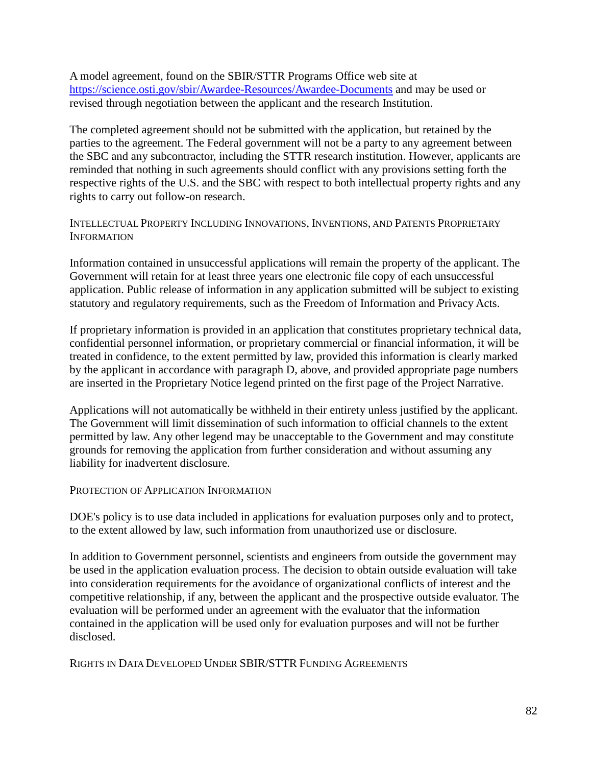A model agreement, found on the SBIR/STTR Programs Office web site at <https://science.osti.gov/sbir/Awardee-Resources/Awardee-Documents> and may be used or revised through negotiation between the applicant and the research Institution.

The completed agreement should not be submitted with the application, but retained by the parties to the agreement. The Federal government will not be a party to any agreement between the SBC and any subcontractor, including the STTR research institution. However, applicants are reminded that nothing in such agreements should conflict with any provisions setting forth the respective rights of the U.S. and the SBC with respect to both intellectual property rights and any rights to carry out follow-on research.

### INTELLECTUAL PROPERTY INCLUDING INNOVATIONS, INVENTIONS, AND PATENTS PROPRIETARY **INFORMATION**

Information contained in unsuccessful applications will remain the property of the applicant. The Government will retain for at least three years one electronic file copy of each unsuccessful application. Public release of information in any application submitted will be subject to existing statutory and regulatory requirements, such as the Freedom of Information and Privacy Acts.

If proprietary information is provided in an application that constitutes proprietary technical data, confidential personnel information, or proprietary commercial or financial information, it will be treated in confidence, to the extent permitted by law, provided this information is clearly marked by the applicant in accordance with paragraph D, above, and provided appropriate page numbers are inserted in the Proprietary Notice legend printed on the first page of the Project Narrative.

Applications will not automatically be withheld in their entirety unless justified by the applicant. The Government will limit dissemination of such information to official channels to the extent permitted by law. Any other legend may be unacceptable to the Government and may constitute grounds for removing the application from further consideration and without assuming any liability for inadvertent disclosure.

#### PROTECTION OF APPLICATION INFORMATION

DOE's policy is to use data included in applications for evaluation purposes only and to protect, to the extent allowed by law, such information from unauthorized use or disclosure.

In addition to Government personnel, scientists and engineers from outside the government may be used in the application evaluation process. The decision to obtain outside evaluation will take into consideration requirements for the avoidance of organizational conflicts of interest and the competitive relationship, if any, between the applicant and the prospective outside evaluator. The evaluation will be performed under an agreement with the evaluator that the information contained in the application will be used only for evaluation purposes and will not be further disclosed.

RIGHTS IN DATA DEVELOPED UNDER SBIR/STTR FUNDING AGREEMENTS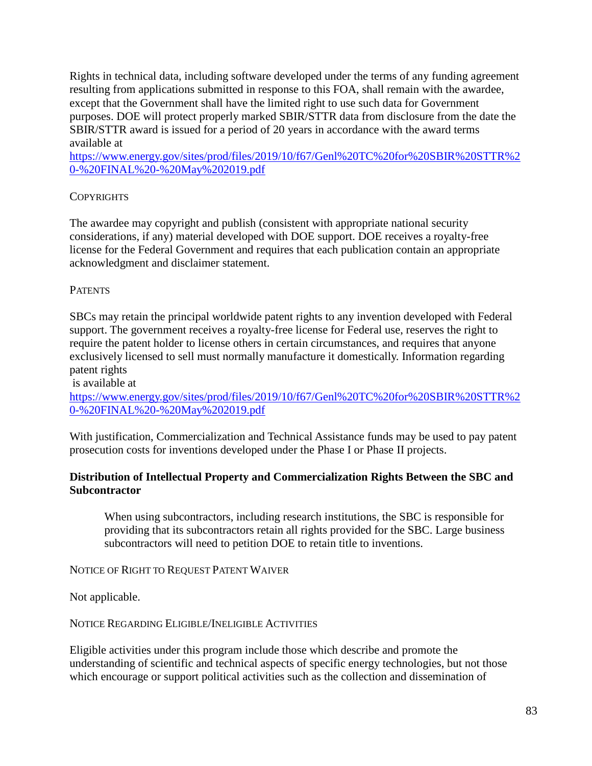Rights in technical data, including software developed under the terms of any funding agreement resulting from applications submitted in response to this FOA, shall remain with the awardee, except that the Government shall have the limited right to use such data for Government purposes. DOE will protect properly marked SBIR/STTR data from disclosure from the date the SBIR/STTR award is issued for a period of 20 years in accordance with the award terms available at

[https://www.energy.gov/sites/prod/files/2019/10/f67/Genl%20TC%20for%20SBIR%20STTR%2](https://www.energy.gov/sites/prod/files/2019/10/f67/Genl%20TC%20for%20SBIR%20STTR%20-%20FINAL%20-%20May%202019.pdf) [0-%20FINAL%20-%20May%202019.pdf](https://www.energy.gov/sites/prod/files/2019/10/f67/Genl%20TC%20for%20SBIR%20STTR%20-%20FINAL%20-%20May%202019.pdf)

## **COPYRIGHTS**

The awardee may copyright and publish (consistent with appropriate national security considerations, if any) material developed with DOE support. DOE receives a royalty-free license for the Federal Government and requires that each publication contain an appropriate acknowledgment and disclaimer statement.

## **PATENTS**

SBCs may retain the principal worldwide patent rights to any invention developed with Federal support. The government receives a royalty-free license for Federal use, reserves the right to require the patent holder to license others in certain circumstances, and requires that anyone exclusively licensed to sell must normally manufacture it domestically. Information regarding patent rights

is available at

[https://www.energy.gov/sites/prod/files/2019/10/f67/Genl%20TC%20for%20SBIR%20STTR%2](https://www.energy.gov/sites/prod/files/2019/10/f67/Genl%20TC%20for%20SBIR%20STTR%20-%20FINAL%20-%20May%202019.pdf) [0-%20FINAL%20-%20May%202019.pdf](https://www.energy.gov/sites/prod/files/2019/10/f67/Genl%20TC%20for%20SBIR%20STTR%20-%20FINAL%20-%20May%202019.pdf)

With justification, Commercialization and Technical Assistance funds may be used to pay patent prosecution costs for inventions developed under the Phase I or Phase II projects.

## **Distribution of Intellectual Property and Commercialization Rights Between the SBC and Subcontractor**

When using subcontractors, including research institutions, the SBC is responsible for providing that its subcontractors retain all rights provided for the SBC. Large business subcontractors will need to petition DOE to retain title to inventions.

NOTICE OF RIGHT TO REQUEST PATENT WAIVER

Not applicable.

NOTICE REGARDING ELIGIBLE/INELIGIBLE ACTIVITIES

Eligible activities under this program include those which describe and promote the understanding of scientific and technical aspects of specific energy technologies, but not those which encourage or support political activities such as the collection and dissemination of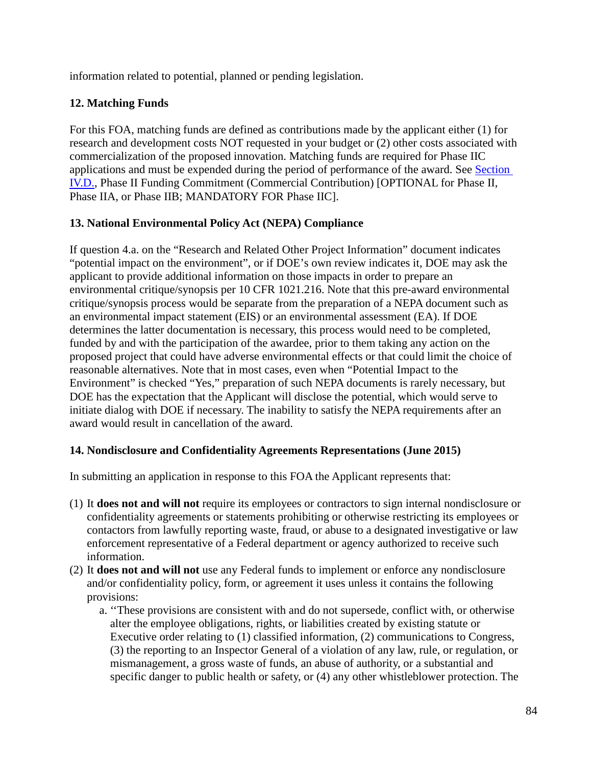information related to potential, planned or pending legislation.

# **12. Matching Funds**

For this FOA, matching funds are defined as contributions made by the applicant either (1) for research and development costs NOT requested in your budget or (2) other costs associated with commercialization of the proposed innovation. Matching funds are required for Phase IIC applications and must be expended during the period of performance of the award. See [Section](#page-25-0)  [IV.D.,](#page-25-0) Phase II Funding Commitment (Commercial Contribution) [OPTIONAL for Phase II, Phase IIA, or Phase IIB; MANDATORY FOR Phase IIC].

# **13. National Environmental Policy Act (NEPA) Compliance**

If question 4.a. on the "Research and Related Other Project Information" document indicates "potential impact on the environment", or if DOE's own review indicates it, DOE may ask the applicant to provide additional information on those impacts in order to prepare an environmental critique/synopsis per 10 CFR 1021.216. Note that this pre-award environmental critique/synopsis process would be separate from the preparation of a NEPA document such as an environmental impact statement (EIS) or an environmental assessment (EA). If DOE determines the latter documentation is necessary, this process would need to be completed, funded by and with the participation of the awardee, prior to them taking any action on the proposed project that could have adverse environmental effects or that could limit the choice of reasonable alternatives. Note that in most cases, even when "Potential Impact to the Environment" is checked "Yes," preparation of such NEPA documents is rarely necessary, but DOE has the expectation that the Applicant will disclose the potential, which would serve to initiate dialog with DOE if necessary. The inability to satisfy the NEPA requirements after an award would result in cancellation of the award.

# **14. Nondisclosure and Confidentiality Agreements Representations (June 2015)**

In submitting an application in response to this FOA the Applicant represents that:

- (1) It **does not and will not** require its employees or contractors to sign internal nondisclosure or confidentiality agreements or statements prohibiting or otherwise restricting its employees or contactors from lawfully reporting waste, fraud, or abuse to a designated investigative or law enforcement representative of a Federal department or agency authorized to receive such information.
- (2) It **does not and will not** use any Federal funds to implement or enforce any nondisclosure and/or confidentiality policy, form, or agreement it uses unless it contains the following provisions:
	- a. ''These provisions are consistent with and do not supersede, conflict with, or otherwise alter the employee obligations, rights, or liabilities created by existing statute or Executive order relating to (1) classified information, (2) communications to Congress, (3) the reporting to an Inspector General of a violation of any law, rule, or regulation, or mismanagement, a gross waste of funds, an abuse of authority, or a substantial and specific danger to public health or safety, or (4) any other whistleblower protection. The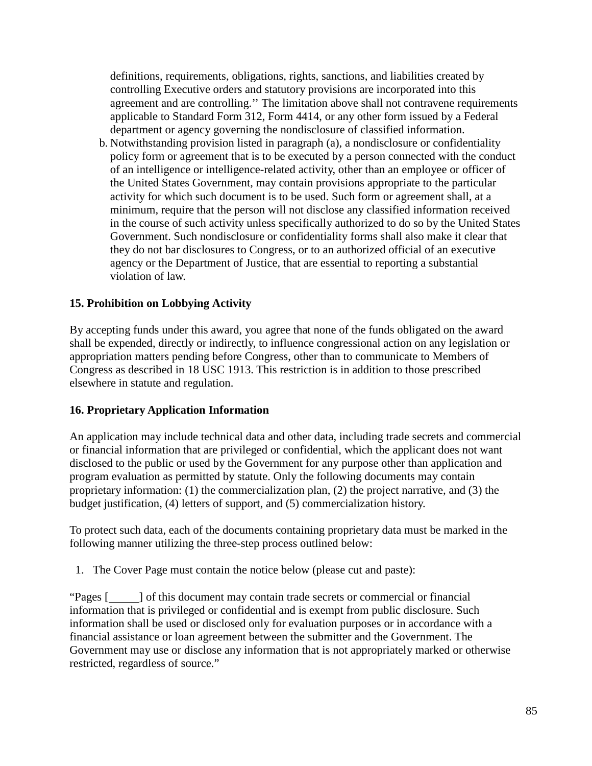definitions, requirements, obligations, rights, sanctions, and liabilities created by controlling Executive orders and statutory provisions are incorporated into this agreement and are controlling.'' The limitation above shall not contravene requirements applicable to Standard Form 312, Form 4414, or any other form issued by a Federal department or agency governing the nondisclosure of classified information.

b. Notwithstanding provision listed in paragraph (a), a nondisclosure or confidentiality policy form or agreement that is to be executed by a person connected with the conduct of an intelligence or intelligence-related activity, other than an employee or officer of the United States Government, may contain provisions appropriate to the particular activity for which such document is to be used. Such form or agreement shall, at a minimum, require that the person will not disclose any classified information received in the course of such activity unless specifically authorized to do so by the United States Government. Such nondisclosure or confidentiality forms shall also make it clear that they do not bar disclosures to Congress, or to an authorized official of an executive agency or the Department of Justice, that are essential to reporting a substantial violation of law.

## **15. Prohibition on Lobbying Activity**

By accepting funds under this award, you agree that none of the funds obligated on the award shall be expended, directly or indirectly, to influence congressional action on any legislation or appropriation matters pending before Congress, other than to communicate to Members of Congress as described in 18 USC 1913. This restriction is in addition to those prescribed elsewhere in statute and regulation.

## **16. Proprietary Application Information**

An application may include technical data and other data, including trade secrets and commercial or financial information that are privileged or confidential, which the applicant does not want disclosed to the public or used by the Government for any purpose other than application and program evaluation as permitted by statute. Only the following documents may contain proprietary information: (1) the commercialization plan, (2) the project narrative, and (3) the budget justification, (4) letters of support, and (5) commercialization history.

To protect such data, each of the documents containing proprietary data must be marked in the following manner utilizing the three-step process outlined below:

1. The Cover Page must contain the notice below (please cut and paste):

"Pages [ ] of this document may contain trade secrets or commercial or financial information that is privileged or confidential and is exempt from public disclosure. Such information shall be used or disclosed only for evaluation purposes or in accordance with a financial assistance or loan agreement between the submitter and the Government. The Government may use or disclose any information that is not appropriately marked or otherwise restricted, regardless of source."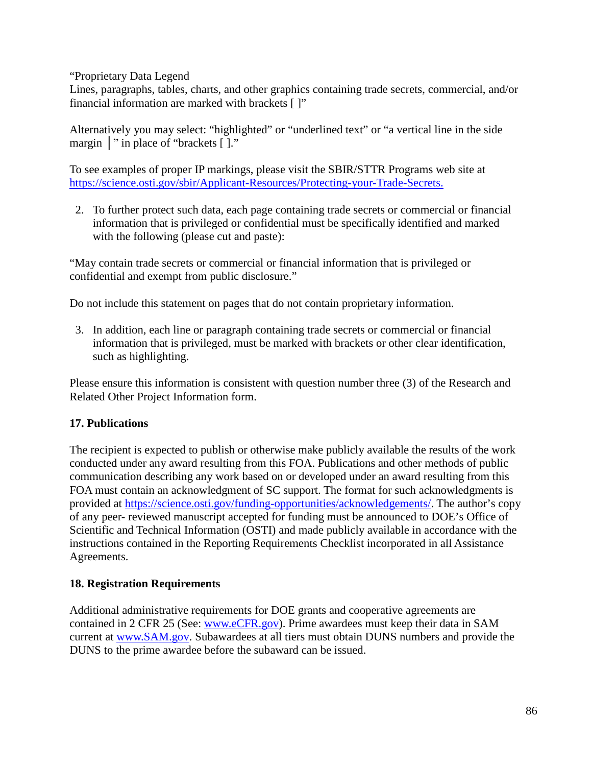"Proprietary Data Legend

Lines, paragraphs, tables, charts, and other graphics containing trade secrets, commercial, and/or financial information are marked with brackets [ ]"

Alternatively you may select: "highlighted" or "underlined text" or "a vertical line in the side margin | " in place of "brackets [ ]."

To see examples of proper IP markings, please visit the SBIR/STTR Programs web site at <https://science.osti.gov/sbir/Applicant-Resources/Protecting-your-Trade-Secrets.>

2. To further protect such data, each page containing trade secrets or commercial or financial information that is privileged or confidential must be specifically identified and marked with the following (please cut and paste):

"May contain trade secrets or commercial or financial information that is privileged or confidential and exempt from public disclosure."

Do not include this statement on pages that do not contain proprietary information.

3. In addition, each line or paragraph containing trade secrets or commercial or financial information that is privileged, must be marked with brackets or other clear identification, such as highlighting.

Please ensure this information is consistent with question number three (3) of the Research and Related Other Project Information form.

# **17. Publications**

The recipient is expected to publish or otherwise make publicly available the results of the work conducted under any award resulting from this FOA. Publications and other methods of public communication describing any work based on or developed under an award resulting from this FOA must contain an acknowledgment of SC support. The format for such acknowledgments is provided at [https://science.osti.gov/funding-opportunities/acknowledgements/.](https://science.energy.gov/funding-opportunities/acknowledgements/) The author's copy of any peer- reviewed manuscript accepted for funding must be announced to DOE's Office of Scientific and Technical Information (OSTI) and made publicly available in accordance with the instructions contained in the Reporting Requirements Checklist incorporated in all Assistance Agreements.

# **18. Registration Requirements**

Additional administrative requirements for DOE grants and cooperative agreements are contained in 2 CFR 25 (See: [www.eCFR.gov\)](https://www.ecfr.gov/). Prime awardees must keep their data in SAM current at [www.SAM.gov.](https://www.sam.gov/) Subawardees at all tiers must obtain DUNS numbers and provide the DUNS to the prime awardee before the subaward can be issued.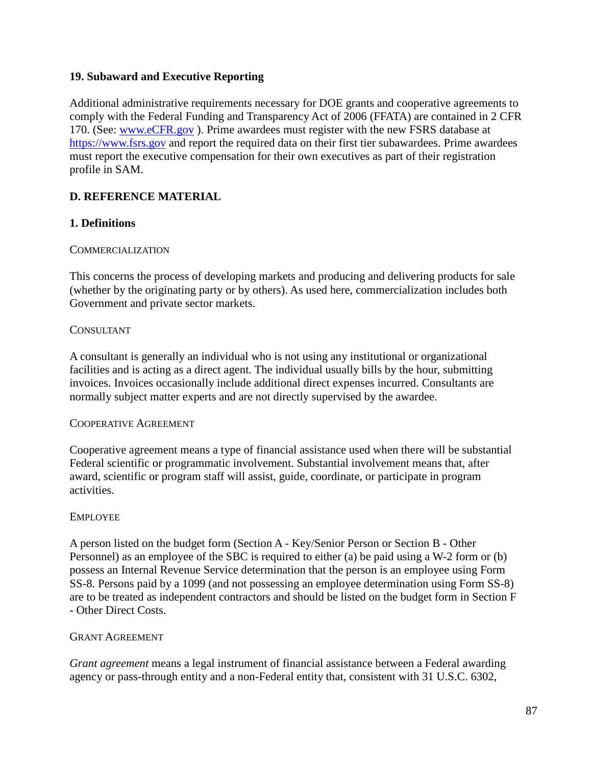### **19. Subaward and Executive Reporting**

Additional administrative requirements necessary for DOE grants and cooperative agreements to comply with the Federal Funding and Transparency Act of 2006 (FFATA) are contained in 2 CFR 170. (See: [www.eCFR.gov](https://www.ecfr.gov/) ). Prime awardees must register with the new FSRS database at [https://www.fsrs.gov](https://www.fsrs.gov/) and report the required data on their first tier subawardees. Prime awardees must report the executive compensation for their own executives as part of their registration profile in SAM.

## **D. REFERENCE MATERIAL**

## **1. Definitions**

#### COMMERCIALIZATION

This concerns the process of developing markets and producing and delivering products for sale (whether by the originating party or by others). As used here, commercialization includes both Government and private sector markets.

#### **CONSULTANT**

A consultant is generally an individual who is not using any institutional or organizational facilities and is acting as a direct agent. The individual usually bills by the hour, submitting invoices. Invoices occasionally include additional direct expenses incurred. Consultants are normally subject matter experts and are not directly supervised by the awardee.

#### COOPERATIVE AGREEMENT

Cooperative agreement means a type of financial assistance used when there will be substantial Federal scientific or programmatic involvement. Substantial involvement means that, after award, scientific or program staff will assist, guide, coordinate, or participate in program activities.

#### EMPLOYEE

A person listed on the budget form (Section A - Key/Senior Person or Section B - Other Personnel) as an employee of the SBC is required to either (a) be paid using a W-2 form or (b) possess an Internal Revenue Service determination that the person is an employee using Form SS-8. Persons paid by a 1099 (and not possessing an employee determination using Form SS-8) are to be treated as independent contractors and should be listed on the budget form in Section F - Other Direct Costs.

#### GRANT AGREEMENT

*Grant agreement* means a legal instrument of financial assistance between a Federal awarding agency or pass-through entity and a non-Federal entity that, consistent with 31 U.S.C. 6302,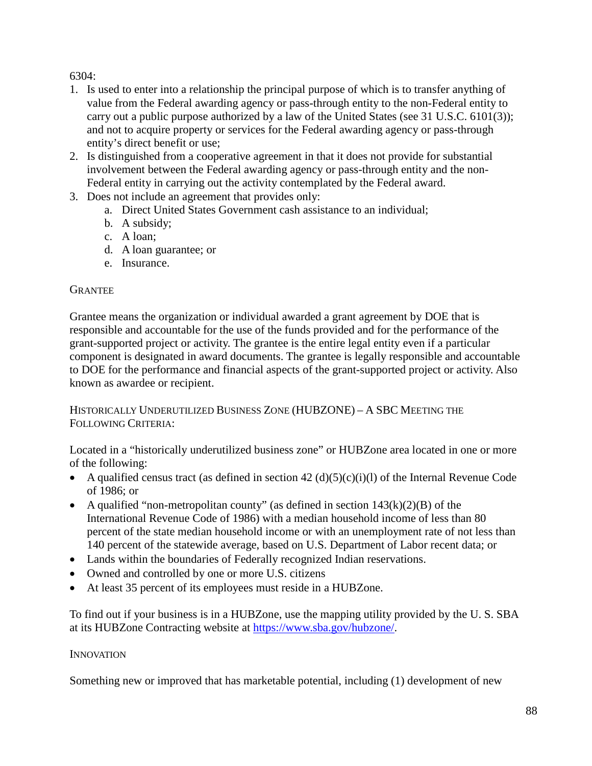6304:

- 1. Is used to enter into a relationship the principal purpose of which is to transfer anything of value from the Federal awarding agency or pass-through entity to the non-Federal entity to carry out a public purpose authorized by a law of the United States (see 31 U.S.C. 6101(3)); and not to acquire property or services for the Federal awarding agency or pass-through entity's direct benefit or use;
- 2. Is distinguished from a cooperative agreement in that it does not provide for substantial involvement between the Federal awarding agency or pass-through entity and the non-Federal entity in carrying out the activity contemplated by the Federal award.
- 3. Does not include an agreement that provides only:
	- a. Direct United States Government cash assistance to an individual;
	- b. A subsidy;
	- c. A loan;
	- d. A loan guarantee; or
	- e. Insurance.

## **GRANTEE**

Grantee means the organization or individual awarded a grant agreement by DOE that is responsible and accountable for the use of the funds provided and for the performance of the grant-supported project or activity. The grantee is the entire legal entity even if a particular component is designated in award documents. The grantee is legally responsible and accountable to DOE for the performance and financial aspects of the grant-supported project or activity. Also known as awardee or recipient.

HISTORICALLY UNDERUTILIZED BUSINESS ZONE (HUBZONE) – A SBC MEETING THE FOLLOWING CRITERIA:

Located in a "historically underutilized business zone" or HUBZone area located in one or more of the following:

- A qualified census tract (as defined in section  $42 \text{ (d)(5)(c)(i)(l)}$  of the Internal Revenue Code of 1986; or
- A qualified "non-metropolitan county" (as defined in section  $143(k)(2)(B)$  of the International Revenue Code of 1986) with a median household income of less than 80 percent of the state median household income or with an unemployment rate of not less than 140 percent of the statewide average, based on U.S. Department of Labor recent data; or
- Lands within the boundaries of Federally recognized Indian reservations.
- Owned and controlled by one or more U.S. citizens
- At least 35 percent of its employees must reside in a HUBZone.

To find out if your business is in a HUBZone, use the mapping utility provided by the U. S. SBA at its HUBZone Contracting website at [https://www.sba.gov/hubzone/.](http://www.sba.gov/hubzone/)

## **INNOVATION**

Something new or improved that has marketable potential, including (1) development of new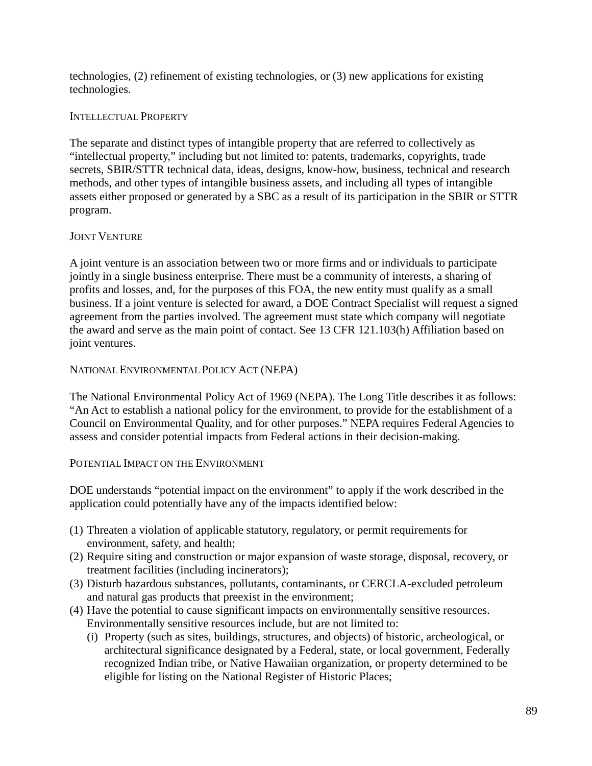technologies, (2) refinement of existing technologies, or (3) new applications for existing technologies.

### INTELLECTUAL PROPERTY

The separate and distinct types of intangible property that are referred to collectively as "intellectual property," including but not limited to: patents, trademarks, copyrights, trade secrets, SBIR/STTR technical data, ideas, designs, know-how, business, technical and research methods, and other types of intangible business assets, and including all types of intangible assets either proposed or generated by a SBC as a result of its participation in the SBIR or STTR program.

### JOINT VENTURE

A joint venture is an association between two or more firms and or individuals to participate jointly in a single business enterprise. There must be a community of interests, a sharing of profits and losses, and, for the purposes of this FOA, the new entity must qualify as a small business. If a joint venture is selected for award, a DOE Contract Specialist will request a signed agreement from the parties involved. The agreement must state which company will negotiate the award and serve as the main point of contact. See 13 CFR 121.103(h) Affiliation based on joint ventures.

### NATIONAL ENVIRONMENTAL POLICY ACT (NEPA)

The National Environmental Policy Act of 1969 (NEPA). The Long Title describes it as follows: "An Act to establish a national policy for the environment, to provide for the establishment of a Council on Environmental Quality, and for other purposes." NEPA requires Federal Agencies to assess and consider potential impacts from Federal actions in their decision-making.

#### POTENTIAL IMPACT ON THE ENVIRONMENT

DOE understands "potential impact on the environment" to apply if the work described in the application could potentially have any of the impacts identified below:

- (1) Threaten a violation of applicable statutory, regulatory, or permit requirements for environment, safety, and health;
- (2) Require siting and construction or major expansion of waste storage, disposal, recovery, or treatment facilities (including incinerators);
- (3) Disturb hazardous substances, pollutants, contaminants, or CERCLA-excluded petroleum and natural gas products that preexist in the environment;
- (4) Have the potential to cause significant impacts on environmentally sensitive resources. Environmentally sensitive resources include, but are not limited to:
	- (i) Property (such as sites, buildings, structures, and objects) of historic, archeological, or architectural significance designated by a Federal, state, or local government, Federally recognized Indian tribe, or Native Hawaiian organization, or property determined to be eligible for listing on the National Register of Historic Places;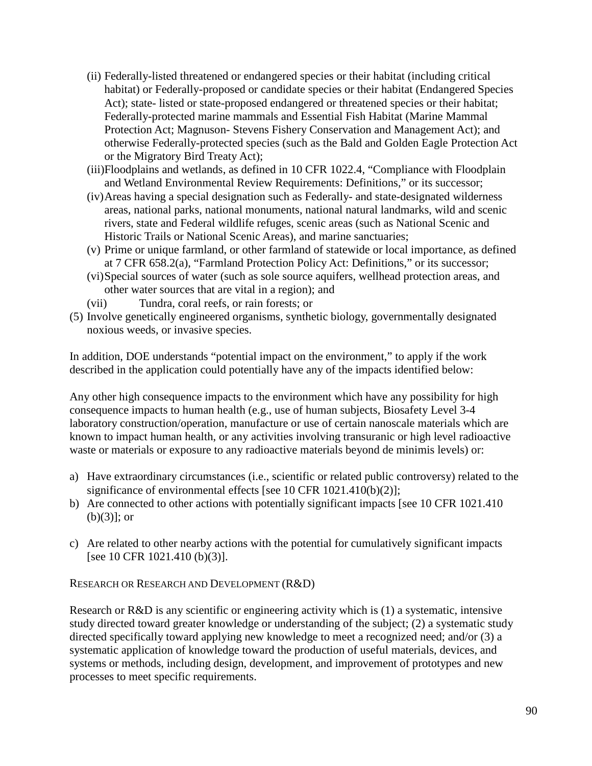- (ii) Federally-listed threatened or endangered species or their habitat (including critical habitat) or Federally-proposed or candidate species or their habitat (Endangered Species Act); state- listed or state-proposed endangered or threatened species or their habitat; Federally-protected marine mammals and Essential Fish Habitat (Marine Mammal Protection Act; Magnuson- Stevens Fishery Conservation and Management Act); and otherwise Federally-protected species (such as the Bald and Golden Eagle Protection Act or the Migratory Bird Treaty Act);
- (iii)Floodplains and wetlands, as defined in 10 CFR 1022.4, "Compliance with Floodplain and Wetland Environmental Review Requirements: Definitions," or its successor;
- (iv)Areas having a special designation such as Federally- and state-designated wilderness areas, national parks, national monuments, national natural landmarks, wild and scenic rivers, state and Federal wildlife refuges, scenic areas (such as National Scenic and Historic Trails or National Scenic Areas), and marine sanctuaries;
- (v) Prime or unique farmland, or other farmland of statewide or local importance, as defined at 7 CFR 658.2(a), "Farmland Protection Policy Act: Definitions," or its successor;
- (vi)Special sources of water (such as sole source aquifers, wellhead protection areas, and other water sources that are vital in a region); and
- (vii) Tundra, coral reefs, or rain forests; or
- (5) Involve genetically engineered organisms, synthetic biology, governmentally designated noxious weeds, or invasive species.

In addition, DOE understands "potential impact on the environment," to apply if the work described in the application could potentially have any of the impacts identified below:

Any other high consequence impacts to the environment which have any possibility for high consequence impacts to human health (e.g., use of human subjects, Biosafety Level 3-4 laboratory construction/operation, manufacture or use of certain nanoscale materials which are known to impact human health, or any activities involving transuranic or high level radioactive waste or materials or exposure to any radioactive materials beyond de minimis levels) or:

- a) Have extraordinary circumstances (i.e., scientific or related public controversy) related to the significance of environmental effects [see 10 CFR 1021.410(b)(2)];
- b) Are connected to other actions with potentially significant impacts [see 10 CFR 1021.410 (b)(3)]; or
- c) Are related to other nearby actions with the potential for cumulatively significant impacts [see 10 CFR 1021.410 (b)(3)].

RESEARCH OR RESEARCH AND DEVELOPMENT (R&D)

Research or R&D is any scientific or engineering activity which is (1) a systematic, intensive study directed toward greater knowledge or understanding of the subject; (2) a systematic study directed specifically toward applying new knowledge to meet a recognized need; and/or (3) a systematic application of knowledge toward the production of useful materials, devices, and systems or methods, including design, development, and improvement of prototypes and new processes to meet specific requirements.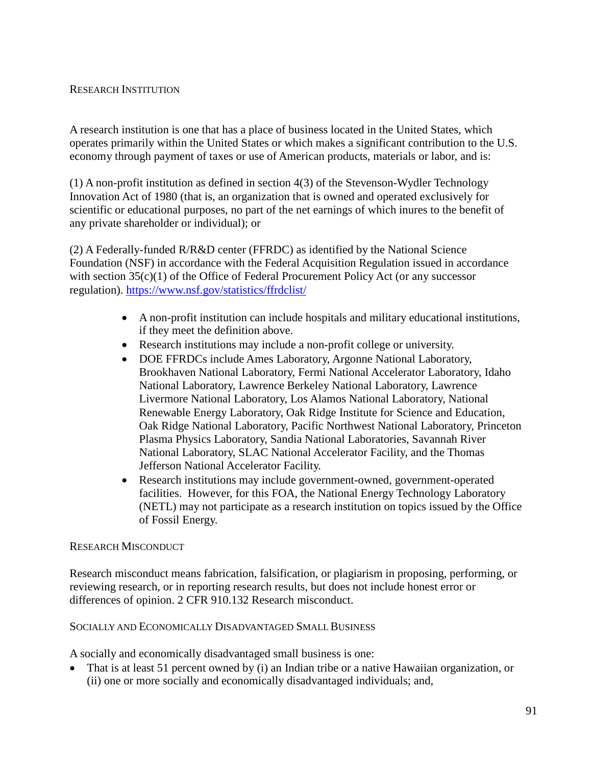### RESEARCH INSTITUTION

A research institution is one that has a place of business located in the United States, which operates primarily within the United States or which makes a significant contribution to the U.S. economy through payment of taxes or use of American products, materials or labor, and is:

(1) A non-profit institution as defined in section 4(3) of the Stevenson-Wydler Technology Innovation Act of 1980 (that is, an organization that is owned and operated exclusively for scientific or educational purposes, no part of the net earnings of which inures to the benefit of any private shareholder or individual); or

(2) A Federally-funded R/R&D center (FFRDC) as identified by the National Science Foundation (NSF) in accordance with the Federal Acquisition Regulation issued in accordance with section 35(c)(1) of the Office of Federal Procurement Policy Act (or any successor regulation).<https://www.nsf.gov/statistics/ffrdclist/>

- A non-profit institution can include hospitals and military educational institutions, if they meet the definition above.
- Research institutions may include a non-profit college or university.
- DOE FFRDCs include Ames Laboratory, Argonne National Laboratory, Brookhaven National Laboratory, Fermi National Accelerator Laboratory, Idaho National Laboratory, Lawrence Berkeley National Laboratory, Lawrence Livermore National Laboratory, Los Alamos National Laboratory, National Renewable Energy Laboratory, Oak Ridge Institute for Science and Education, Oak Ridge National Laboratory, Pacific Northwest National Laboratory, Princeton Plasma Physics Laboratory, Sandia National Laboratories, Savannah River National Laboratory, SLAC National Accelerator Facility, and the Thomas Jefferson National Accelerator Facility.
- Research institutions may include government-owned, government-operated facilities. However, for this FOA, the National Energy Technology Laboratory (NETL) may not participate as a research institution on topics issued by the Office of Fossil Energy.

#### RESEARCH MISCONDUCT

Research misconduct means [fabrication,](https://www.law.cornell.edu/definitions/index.php?width=840&height=800&iframe=true&def_id=a00e2166fa426b77a88842a0e1bfc037&term_occur=999&term_src=Title%3A2%3ASubtitle%3AB%3AChapter%3AIX%3APart%3A910%3ASubpart%3AB%3A910.132) [falsification, o](https://www.law.cornell.edu/definitions/index.php?width=840&height=800&iframe=true&def_id=1d3e3eacdab690fc5a68f15e70b64d7e&term_occur=999&term_src=Title%3A2%3ASubtitle%3AB%3AChapter%3AIX%3APart%3A910%3ASubpart%3AB%3A910.132)r [plagiarism i](https://www.law.cornell.edu/definitions/index.php?width=840&height=800&iframe=true&def_id=bdaa64e261e3dac5781af63c3bb41d37&term_occur=999&term_src=Title%3A2%3ASubtitle%3AB%3AChapter%3AIX%3APart%3A910%3ASubpart%3AB%3A910.132)n proposing, performing, or reviewing [research, o](https://www.law.cornell.edu/definitions/index.php?width=840&height=800&iframe=true&def_id=d2d38eca750ed16595ec4bf345862b93&term_occur=999&term_src=Title%3A2%3ASubtitle%3AB%3AChapter%3AIX%3APart%3A910%3ASubpart%3AB%3A910.132)r in reporting [research r](https://www.law.cornell.edu/definitions/index.php?width=840&height=800&iframe=true&def_id=d2d38eca750ed16595ec4bf345862b93&term_occur=999&term_src=Title%3A2%3ASubtitle%3AB%3AChapter%3AIX%3APart%3A910%3ASubpart%3AB%3A910.132)esults, but does not include honest error or differences of opinion. 2 CFR 910.132 Research misconduct.

#### SOCIALLY AND ECONOMICALLY DISADVANTAGED SMALL BUSINESS

A socially and economically disadvantaged small business is one:

• That is at least 51 percent owned by (i) an Indian tribe or a native Hawaiian organization, or (ii) one or more socially and economically disadvantaged individuals; and,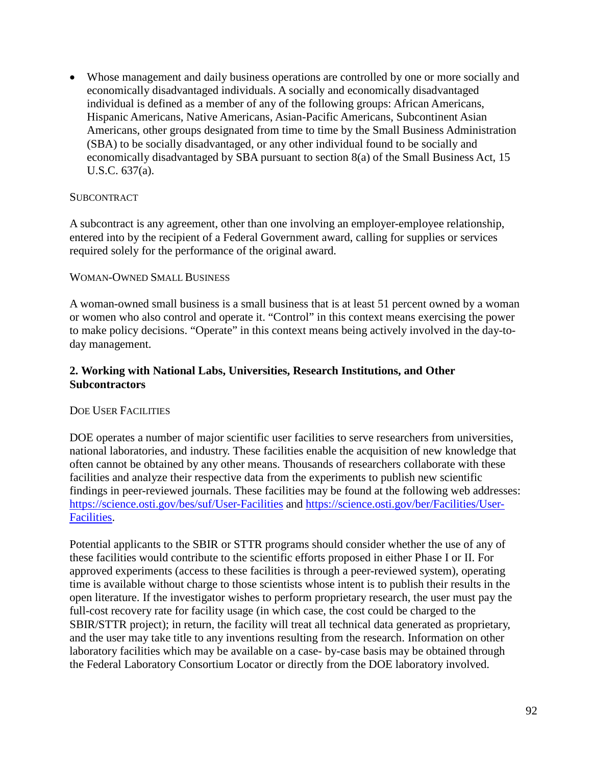• Whose management and daily business operations are controlled by one or more socially and economically disadvantaged individuals. A socially and economically disadvantaged individual is defined as a member of any of the following groups: African Americans, Hispanic Americans, Native Americans, Asian-Pacific Americans, Subcontinent Asian Americans, other groups designated from time to time by the Small Business Administration (SBA) to be socially disadvantaged, or any other individual found to be socially and economically disadvantaged by SBA pursuant to section 8(a) of the Small Business Act, 15 U.S.C. 637(a).

### **SUBCONTRACT**

A subcontract is any agreement, other than one involving an employer-employee relationship, entered into by the recipient of a Federal Government award, calling for supplies or services required solely for the performance of the original award.

#### WOMAN-OWNED SMALL BUSINESS

A woman-owned small business is a small business that is at least 51 percent owned by a woman or women who also control and operate it. "Control" in this context means exercising the power to make policy decisions. "Operate" in this context means being actively involved in the day-today management.

### **2. Working with National Labs, Universities, Research Institutions, and Other Subcontractors**

#### DOE USER FACILITIES

DOE operates a number of major scientific user facilities to serve researchers from universities, national laboratories, and industry. These facilities enable the acquisition of new knowledge that often cannot be obtained by any other means. Thousands of researchers collaborate with these facilities and analyze their respective data from the experiments to publish new scientific findings in peer-reviewed journals. These facilities may be found at the following web addresses: <https://science.osti.gov/bes/suf/User-Facilities> and [https://science.osti.gov/ber/Facilities/User-](https://science.osti.gov/ber/Facilities/User-Facilities)[Facilities.](https://science.osti.gov/ber/Facilities/User-Facilities)

Potential applicants to the SBIR or STTR programs should consider whether the use of any of these facilities would contribute to the scientific efforts proposed in either Phase I or II. For approved experiments (access to these facilities is through a peer-reviewed system), operating time is available without charge to those scientists whose intent is to publish their results in the open literature. If the investigator wishes to perform proprietary research, the user must pay the full-cost recovery rate for facility usage (in which case, the cost could be charged to the SBIR/STTR project); in return, the facility will treat all technical data generated as proprietary, and the user may take title to any inventions resulting from the research. Information on other laboratory facilities which may be available on a case- by-case basis may be obtained through the Federal Laboratory Consortium Locator or directly from the DOE laboratory involved.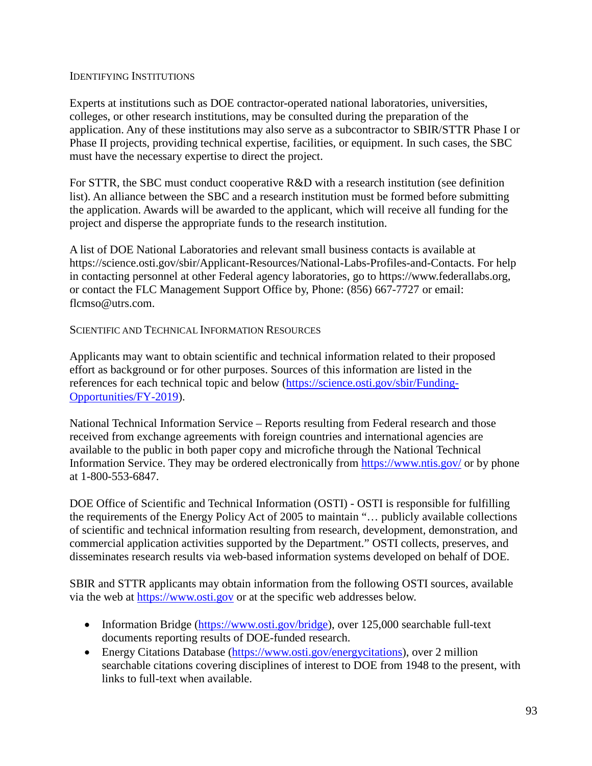#### IDENTIFYING INSTITUTIONS

Experts at institutions such as DOE contractor-operated national laboratories, universities, colleges, or other research institutions, may be consulted during the preparation of the application. Any of these institutions may also serve as a subcontractor to SBIR/STTR Phase I or Phase II projects, providing technical expertise, facilities, or equipment. In such cases, the SBC must have the necessary expertise to direct the project.

For STTR, the SBC must conduct cooperative R&D with a research institution (see definition list). An alliance between the SBC and a research institution must be formed before submitting the application. Awards will be awarded to the applicant, which will receive all funding for the project and disperse the appropriate funds to the research institution.

A list of DOE National Laboratories and relevant small business contacts is available at [https://science.osti.gov/sbir/Applicant-Resources/National-Labs-Profiles-and-Contacts.](https://science.osti.gov/sbir/Applicant-Resources/National-Labs-Profiles-and-Contacts) For help in contacting personnel at other Federal agency laboratories, go to [https://www.federallabs.org,](https://www.federallabs.org/) or contact the FLC Management Support Office by, Phone: (856) 667-7727 or email: [flcmso@utrs.com.](mailto:ssamuelian@utrsmail.com)

### SCIENTIFIC AND TECHNICAL INFORMATION RESOURCES

Applicants may want to obtain scientific and technical information related to their proposed effort as background or for other purposes. Sources of this information are listed in the references for each technical topic and below [\(https://science.osti.gov/sbir/Funding-](https://science.osti.gov/sbir/Funding-Opportunities/FY-2019)[Opportunities/FY-2019\)](https://science.osti.gov/sbir/Funding-Opportunities/FY-2019).

National Technical Information Service – Reports resulting from Federal research and those received from exchange agreements with foreign countries and international agencies are available to the public in both paper copy and microfiche through the National Technical Information Service. They may be ordered electronically from<https://www.ntis.gov/> or by phone at 1-800-553-6847.

DOE Office of Scientific and Technical Information (OSTI) - OSTI is responsible for fulfilling the requirements of the Energy Policy Act of 2005 to maintain "… publicly available collections of scientific and technical information resulting from research, development, demonstration, and commercial application activities supported by the Department." OSTI collects, preserves, and disseminates research results via web-based information systems developed on behalf of DOE.

SBIR and STTR applicants may obtain information from the following OSTI sources, available via the web at [https://www.osti.gov](https://www.osti.gov/) or at the specific web addresses below.

- Information Bridge [\(https://www.osti.gov/bridge\)](https://www.osti.gov/bridge), over 125,000 searchable full-text documents reporting results of DOE-funded research.
- Energy Citations Database [\(https://www.osti.gov/energycitations\)](https://www.osti.gov/energycitations), over 2 million searchable citations covering disciplines of interest to DOE from 1948 to the present, with links to full-text when available.